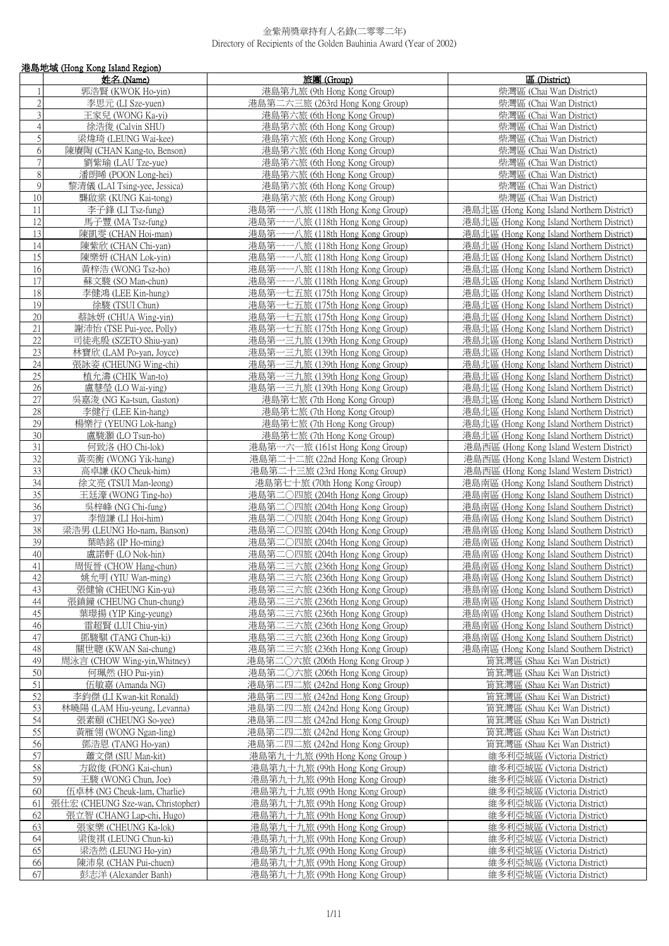|                 | 港島地域 (Hong Kong Island Region)    |                                        |                                           |  |
|-----------------|-----------------------------------|----------------------------------------|-------------------------------------------|--|
|                 | 姓名 (Name)                         | 旅團 (Group)                             | 區 (District)                              |  |
|                 | 郭浩賢 (KWOK Ho-yin)                 | 港島第九旅 (9th Hong Kong Group)            | 柴灣區 (Chai Wan District)                   |  |
| $\overline{c}$  | 李思元 (LI Sze-yuen)                 | 港島第二六三旅 (263rd Hong Kong Group)        | 柴灣區 (Chai Wan District)                   |  |
| 3               |                                   |                                        |                                           |  |
|                 | 王家兒 (WONG Ka-yi)                  | 港島第六旅 (6th Hong Kong Group)            | 柴灣區 (Chai Wan District)                   |  |
| $\overline{4}$  | 徐浩俊 (Calvin SHU)                  | 港島第六旅 (6th Hong Kong Group)            | 柴灣區 (Chai Wan District)                   |  |
| 5               | 梁煒琦 (LEUNG Wai-kee)               | 港島第六旅 (6th Hong Kong Group)            | 柴灣區 (Chai Wan District)                   |  |
| 6               | 陳賡陶 (CHAN Kang-to, Benson)        | 港島第六旅 (6th Hong Kong Group)            | 柴灣區 (Chai Wan District)                   |  |
| 7               | 劉紫瑜 (LAU Tze-yue)                 | 港島第六旅 (6th Hong Kong Group)            | 柴灣區 (Chai Wan District)                   |  |
| $\,$ $\,$       | 潘朗晞 (POON Long-hei)               | 港島第六旅 (6th Hong Kong Group)            | 柴灣區 (Chai Wan District)                   |  |
| $\mathcal{G}$   | 黎清儀 (LAI Tsing-yee, Jessica)      | 港島第六旅 (6th Hong Kong Group)            | 柴灣區 (Chai Wan District)                   |  |
| 10              | 龔啟棠 (KUNG Kai-tong)               | 港島第六旅 (6th Hong Kong Group)            | 柴灣區 (Chai Wan District)                   |  |
| 11              | 李子鋒 (LI Tsz-fung)                 | 港島第一一八旅 (118th Hong Kong Group)        | 港島北區 (Hong Kong Island Northern District) |  |
| 12              | 馬子豐 (MA Tsz-fung)                 | 港島第一一八旅 (118th Hong Kong Group)        | 港島北區 (Hong Kong Island Northern District) |  |
| 13              | 陳凱雯 (CHAN Hoi-man)                | 港島第-<br>——八旅 (118th Hong Kong Group)   | 港島北區 (Hong Kong Island Northern District) |  |
| 14              | 陳紫欣 (CHAN Chi-yan)                | 港島第一一八旅 (118th Hong Kong Group)        | 港島北區 (Hong Kong Island Northern District) |  |
| 15              | 陳樂妍 (CHAN Lok-yin)                | 港島第一一八旅 (118th Hong Kong Group)        | 港島北區 (Hong Kong Island Northern District) |  |
| 16              | 黃梓浩 (WONG Tsz-ho)                 | 港島第·<br>-- 八旅 (118th Hong Kong Group)  | 港島北區 (Hong Kong Island Northern District) |  |
| 17              |                                   | 港島第一一八旅 (118th Hong Kong Group)        |                                           |  |
| 18              | 蘇文駿 (SO Man-chun)                 |                                        | 港島北區 (Hong Kong Island Northern District) |  |
|                 | 李健鴻 (LEE Kin-hung)                | 港島第一七五旅 (175th Hong Kong Group)        | 港島北區 (Hong Kong Island Northern District) |  |
| 19              | 徐駿 (TSUI Chun)                    | 港島第一七五旅 (175th Hong Kong Group)        | 港島北區 (Hong Kong Island Northern District) |  |
| 20              | 蔡詠妍 (CHUA Wing-yin)               | 港島第一七五旅 (175th Hong Kong Group)        | 港島北區 (Hong Kong Island Northern District) |  |
| 21              | 謝沛怡 (TSE Pui-yee, Polly)          | 港島第一七五旅 (175th Hong Kong Group)        | 港島北區 (Hong Kong Island Northern District) |  |
| 22              | 司徒兆殷 (SZETO Shiu-yan)             | 港島第一三九旅 (139th Hong Kong Group)        | 港島北區 (Hong Kong Island Northern District) |  |
| 23              | 林寶欣 (LAM Po-yan, Joyce)           | 港島第一三九旅 (139th Hong Kong Group)        | 港島北區 (Hong Kong Island Northern District) |  |
| 24              | 張詠姿 (CHEUNG Wing-chi)             | 港島第一三九旅 (139th Hong Kong Group)        | 港島北區 (Hong Kong Island Northern District) |  |
| 25              | 植允濤 (CHIK Wan-to)                 | 港島第一三九旅 (139th Hong Kong Group)        | 港島北區 (Hong Kong Island Northern District) |  |
| 26              | 盧慧瑩 (LO Wai-ying)                 | 港島第一三九旅 (139th Hong Kong Group)        | 港島北區 (Hong Kong Island Northern District) |  |
| 27              | 吳嘉浚 (NG Ka-tsun, Gaston)          | 港島第七旅 (7th Hong Kong Group)            | 港島北區 (Hong Kong Island Northern District) |  |
| 28              | 李健行 (LEE Kin-hang)                | 港島第七旅 (7th Hong Kong Group)            | 港島北區 (Hong Kong Island Northern District) |  |
| 29              | 楊樂行 (YEUNG Lok-hang)              | 港島第七旅 (7th Hong Kong Group)            | 港島北區 (Hong Kong Island Northern District) |  |
| 30              | 盧駿灝 (LO Tsun-ho)                  | 港島第七旅 (7th Hong Kong Group)            | 港島北區 (Hong Kong Island Northern District) |  |
| 31              | 何致洛 (HO Chi-lok)                  | 港島第一六一旅 (161st Hong Kong Group)        | 港島西區 (Hong Kong Island Western District)  |  |
| $\overline{32}$ | 黃奕衡 (WONG Yik-hang)               | 港島第二十二旅 (22nd Hong Kong Group)         | 港島西區 (Hong Kong Island Western District)  |  |
| 33              | 高卓謙 (KO Cheuk-him)                | 港島第二十三旅 (23rd Hong Kong Group)         | 港島西區 (Hong Kong Island Western District)  |  |
| $\overline{34}$ | 徐文亮 (TSUI Man-leong)              | 港島第七十旅 (70th Hong Kong Group)          | 港島南區 (Hong Kong Island Southern District) |  |
| $\overline{35}$ | 王廷濠 (WONG Ting-ho)                | 港島第二○四旅 (204th Hong Kong Group)        | 港島南區 (Hong Kong Island Southern District) |  |
| 36              | 吳梓峰 (NG Chi-fung)                 | 港島第二〇四旅 (204th Hong Kong Group)        | 港島南區 (Hong Kong Island Southern District) |  |
| 37              | 李愷謙 (LI Hoi-him)                  | 港島第二〇四旅 (204th Hong Kong Group)        | 港島南區 (Hong Kong Island Southern District) |  |
| 38              | 梁浩男 (LEUNG Ho-nam, Banson)        | 港島第二〇四旅 (204th Hong Kong Group)        | 港島南區 (Hong Kong Island Southern District) |  |
| 39              | 葉皓銘 (IP Ho-ming)                  | 港島第二○四旅 (204th Hong Kong Group)        | 港島南區 (Hong Kong Island Southern District) |  |
|                 |                                   |                                        |                                           |  |
| 40              | 盧諾軒 (LO Nok-hin)                  | 港島第二○四旅 (204th Hong Kong Group)        | 港島南區 (Hong Kong Island Southern District) |  |
| 41              | 周恆晉 (CHOW Hang-chun)              | <u>港島第二三六旅 (236th Hong Kong Group)</u> | 港島南區 (Hong Kong Island Southern District) |  |
| 42              | 姚允明 (YIU Wan-ming)                | 港島第二三六旅 (236th Hong Kong Group)        | 港島南區 (Hong Kong Island Southern District) |  |
| 43              | 張健愉 (CHEUNG Kin-yu)               | 港島第二三六旅 (236th Hong Kong Group)        | 港島南區 (Hong Kong Island Southern District) |  |
| 44              | 張鎮鐘 (CHEUNG Chun-chung)           | 港島第二三六旅 (236th Hong Kong Group)        | 港島南區 (Hong Kong Island Southern District) |  |
| 45              | 葉璟揚 (YIP King-yeung)              | 港島第二三六旅 (236th Hong Kong Group)        | 港島南區 (Hong Kong Island Southern District) |  |
| 46              | 雷超賢 (LUI Chiu-yin)                | 港島第二三六旅 (236th Hong Kong Group)        | 港島南區 (Hong Kong Island Southern District) |  |
| 47              | 鄧駿騏 (TANG Chun-ki)                | 港島第二三六旅 (236th Hong Kong Group)        | 港島南區 (Hong Kong Island Southern District) |  |
| 48              | 關世聰 (KWAN Sai-chung)              | 港島第二三六旅 (236th Hong Kong Group)        | 港島南區 (Hong Kong Island Southern District) |  |
| 49              | 周泳言 (CHOW Wing-yin, Whitney)      | 港島第二〇六旅 (206th Hong Kong Group )       | 筲箕灣區 (Shau Kei Wan District)              |  |
| 50              | 何珮然 (HO Pui-yin)                  | 港島第二〇六旅 (206th Hong Kong Group)        | 筲箕灣區 (Shau Kei Wan District)              |  |
| 51              | 伍敏嘉 (Amanda NG)                   | 港島第二四二旅 (242nd Hong Kong Group)        | 筲箕灣區 (Shau Kei Wan District)              |  |
| 52              | 李鈞傑 (LI Kwan-kit Ronald)          | 港島第二四二旅 (242nd Hong Kong Group)        | 筲箕灣區 (Shau Kei Wan District)              |  |
| 53              | 林曉陽 (LAM Hiu-yeung, Levanna)      | 港島第二四二旅 (242nd Hong Kong Group)        | 筲箕灣區 (Shau Kei Wan District)              |  |
| 54              | 張素頤 (CHEUNG So-yee)               | 港島第二四二旅 (242nd Hong Kong Group)        | 筲箕灣區 (Shau Kei Wan District)              |  |
| 55              | 黃雁翎 (WONG Ngan-ling)              | 港島第二四二旅 (242nd Hong Kong Group)        | 筲箕灣區 (Shau Kei Wan District)              |  |
| 56              | 鄧浩恩 (TANG Ho-yan)                 | 港島第二四二旅 (242nd Hong Kong Group)        | 筲箕灣區 (Shau Kei Wan District)              |  |
| 57              | 蕭文傑 (SIU Man-kit)                 | 港島第九十九旅 (99th Hong Kong Group)         | 維多利亞城區 (Victoria District)                |  |
| 58              | 方啟俊 (FONG Kai-chun)               | 港島第九十九旅 (99th Hong Kong Group)         | 維多利亞城區 (Victoria District)                |  |
| 59              |                                   |                                        |                                           |  |
|                 | 王駿 (WONG Chun, Joe)               | 港島第九十九旅 (99th Hong Kong Group)         | 維多利亞城區 (Victoria District)                |  |
| 60              | 伍卓林 (NG Cheuk-lam, Charlie)       | 港島第九十九旅 (99th Hong Kong Group)         | 維多利亞城區 (Victoria District)                |  |
| 61              | 張仕宏 (CHEUNG Sze-wan, Christopher) | 港島第九十九旅 (99th Hong Kong Group)         | 維多利亞城區 (Victoria District)                |  |
| 62              | 張立智 (CHANG Lap-chi, Hugo)         | 港島第九十九旅 (99th Hong Kong Group)         | 維多利亞城區 (Victoria District)                |  |
| 63              | 張家樂 (CHEUNG Ka-lok)               | 港島第九十九旅 (99th Hong Kong Group)         | 維多利亞城區 (Victoria District)                |  |
| 64              | 梁俊祺 (LEUNG Chun-ki)               | 港島第九十九旅 (99th Hong Kong Group)         | 維多利亞城區 (Victoria District)                |  |
| 65              | 梁浩然 (LEUNG Ho-yin)                | 港島第九十九旅 (99th Hong Kong Group)         | 維多利亞城區 (Victoria District)                |  |
| 66              | 陳沛泉 (CHAN Pui-chuen)              | 港島第九十九旅 (99th Hong Kong Group)         | 維多利亞城區 (Victoria District)                |  |
| 67              | 彭志洋 (Alexander Banh)              | 港島第九十九旅 (99th Hong Kong Group)         | 維多利亞城區 (Victoria District)                |  |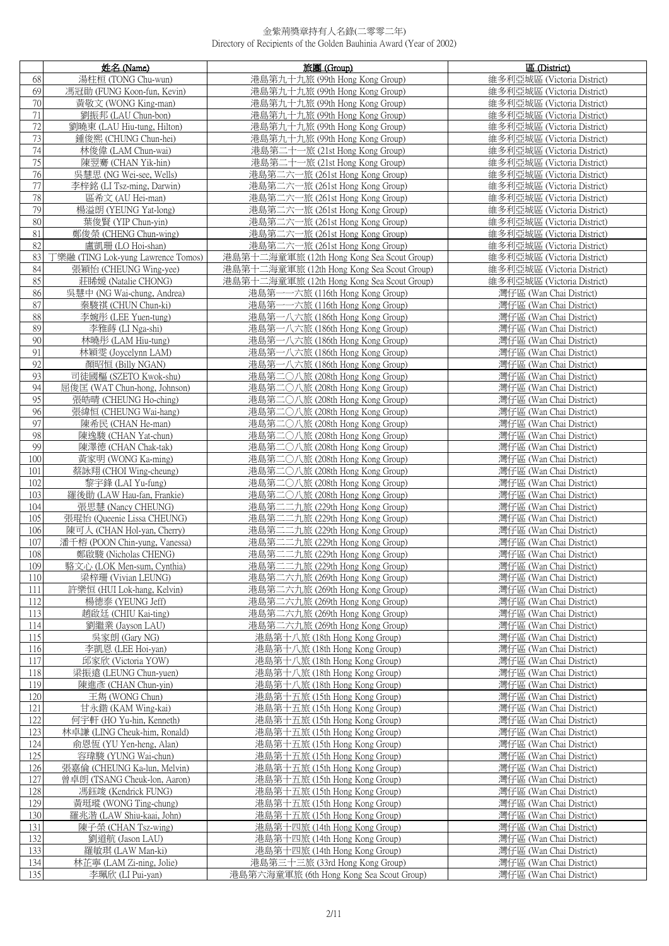|            | 姓名 (Name)                                                | 旅團 (Group)                                                         | 區 (District)                                       |
|------------|----------------------------------------------------------|--------------------------------------------------------------------|----------------------------------------------------|
| 68         | 湯柱桓 (TONG Chu-wun)                                       | 港島第九十九旅 (99th Hong Kong Group)                                     | 維多利亞城區 (Victoria District)                         |
| 69         | 馮冠勛 (FUNG Koon-fun, Kevin)                               | 港島第九十九旅 (99th Hong Kong Group)                                     | 維多利亞城區 (Victoria District)                         |
| 70         | 黃敬文 (WONG King-man)                                      | 港島第九十九旅 (99th Hong Kong Group)                                     | 維多利亞城區 (Victoria District)                         |
| 71         | 劉振邦 (LAU Chun-bon)                                       | 港島第九十九旅 (99th Hong Kong Group)                                     | 維多利亞城區 (Victoria District)                         |
| 72         | 劉曉東 (LAU Hiu-tung, Hilton)                               | 港島第九十九旅 (99th Hong Kong Group)                                     | 維多利亞城區 (Victoria District)                         |
| 73         | 鍾俊熙 (CHUNG Chun-hei)                                     | 港島第九十九旅 (99th Hong Kong Group)                                     | 維多利亞城區 (Victoria District)                         |
| 74         | 林俊偉 (LAM Chun-wai)                                       | 港島第二十一旅 (21st Hong Kong Group)                                     | 維多利亞城區 (Victoria District)                         |
| 75         | 陳翌騫 (CHAN Yik-hin)                                       | 港島第二十一旅 (21st Hong Kong Group)                                     | 維多利亞城區 (Victoria District)                         |
| 76         | 吳慧思 (NG Wei-see, Wells)                                  | 港島第二六一旅 (261st Hong Kong Group)                                    | 維多利亞城區 (Victoria District)                         |
| 77         | 李梓銘 (LI Tsz-ming, Darwin)                                | 港島第二六一旅 (261st Hong Kong Group)                                    | 維多利亞城區 (Victoria District)                         |
| 78         | 區希文 (AU Hei-man)                                         | 港島第二六一旅 (261st Hong Kong Group)                                    | 維多利亞城區 (Victoria District)                         |
| 79         | 楊溢朗 (YEUNG Yat-long)                                     | 港島第二六一旅 (261st Hong Kong Group)                                    | 維多利亞城區 (Victoria District)                         |
| 80         | 葉俊賢 (YIP Chun-vin)                                       | 港島第二六一旅 (261st Hong Kong Group)                                    | 維多利亞城區 (Victoria District)                         |
| 81         | 鄭俊榮 (CHENG Chun-wing)                                    | 港島第二六一旅 (261st Hong Kong Group)                                    | 維多利亞城區 (Victoria District)                         |
| 82         | 盧凱珊 (LO Hoi-shan)                                        | 港島第二六一旅 (261st Hong Kong Group)                                    | 維多利亞城區 (Victoria District)                         |
| 83         | 丁樂融 (TING Lok-yung Lawrence Tomos)                       | 港島第十二海童軍旅 (12th Hong Kong Sea Scout Group)                         | 維多利亞城區 (Victoria District)                         |
| 84         | 張穎怡 (CHEUNG Wing-yee)                                    | 港島第十二海童軍旅 (12th Hong Kong Sea Scout Group)                         | 維多利亞城區 (Victoria District)                         |
| 85         |                                                          | 港島第十二海童軍旅 (12th Hong Kong Sea Scout Group)                         | 維多利亞城區 (Victoria District)                         |
| 86         | 莊睎媛 (Natalie CHONG)<br>吳慧中 (NG Wai-chung, Andrea)        | 港島第一一六旅 (116th Hong Kong Group)                                    |                                                    |
|            |                                                          |                                                                    | 灣仔區 (Wan Chai District)                            |
| 87<br>88   | 秦駿祺 (CHUN Chun-ki)                                       | 港島第一一六旅 (116th Hong Kong Group)                                    | 灣仔區 (Wan Chai District)                            |
| 89         | 李婉彤 (LEE Yuen-tung)                                      | 港島第一八六旅 (186th Hong Kong Group)                                    | 灣仔區 (Wan Chai District)                            |
| 90         | 李雅蒔 (LI Nga-shi)                                         | 港島第一八六旅 (186th Hong Kong Group)                                    | 灣仔區 (Wan Chai District)                            |
|            | 林曉彤 (LAM Hiu-tung)                                       | 港島第一八六旅 (186th Hong Kong Group)                                    | 灣仔區 (Wan Chai District)                            |
| 91<br>92   | 林穎雯 (Joycelynn LAM)                                      | 港島第一八六旅 (186th Hong Kong Group)                                    | 灣仔區 (Wan Chai District)                            |
| 93         | 顏昭恒 (Billy NGAN)<br>司徒國樞 (SZETO Kwok-shu)                | 港島第一八六旅 (186th Hong Kong Group)                                    | 灣仔區 (Wan Chai District)<br>灣仔區 (Wan Chai District) |
|            |                                                          | 港島第二〇八旅 (208th Hong Kong Group)                                    |                                                    |
| 94<br>95   | 屈俊匡 (WAT Chun-hong, Johnson)                             | 港島第二〇八旅 (208th Hong Kong Group)                                    | 灣仔區 (Wan Chai District)                            |
|            | 張皓晴 (CHEUNG Ho-ching)                                    | 港島第二〇八旅 (208th Hong Kong Group)                                    | 灣仔區 (Wan Chai District)                            |
| 96         | 張緯恒 (CHEUNG Wai-hang)                                    | 港島第二〇八旅 (208th Hong Kong Group)                                    | 灣仔區 (Wan Chai District)                            |
| 97         | 陳希民 (CHAN He-man)                                        | 港島第二〇八旅 (208th Hong Kong Group)                                    | 灣仔區 (Wan Chai District)                            |
| 98         | 陳逸駿 (CHAN Yat-chun)                                      | 港島第二〇八旅 (208th Hong Kong Group)                                    | 灣仔區 (Wan Chai District)                            |
| 99         | 陳澤德 (CHAN Chak-tak)                                      | 港島第二〇八旅 (208th Hong Kong Group)                                    | 灣仔區 (Wan Chai District)                            |
| 100        | 黃家明 (WONG Ka-ming)                                       | 港島第二〇八旅 (208th Hong Kong Group)                                    | 灣仔區 (Wan Chai District)                            |
| 101        | 蔡詠翔 (CHOI Wing-cheung)                                   | 港島第二〇八旅 (208th Hong Kong Group)                                    | 灣仔區 (Wan Chai District)                            |
| 102        | 黎宇鋒 (LAI Yu-fung)                                        | 港島第二〇八旅 (208th Hong Kong Group)                                    | 灣仔區 (Wan Chai District)                            |
| 103        | 羅後勛 (LAW Hau-fan, Frankie)                               | 港島第二〇八旅 (208th Hong Kong Group)                                    | 灣仔區 (Wan Chai District)                            |
| 104        | 張思慧 (Nancy CHEUNG)                                       | 港島第二二九旅 (229th Hong Kong Group)                                    | 灣仔區 (Wan Chai District)                            |
| 105        | 張琨怡 (Queenie Lissa CHEUNG)<br>陳可人 (CHAN Hol-yan, Cherry) | 港島第二二九旅 (229th Hong Kong Group)                                    | 灣仔區 (Wan Chai District)                            |
| 106<br>107 | 潘千榕 (POON Chin-yung, Vanessa)                            | 港島第二二九旅 (229th Hong Kong Group)<br>港島第二二九旅 (229th Hong Kong Group) | 灣仔區 (Wan Chai District)<br>灣仔區 (Wan Chai District) |
|            | 鄭啟駿 (Nicholas CHENG)                                     | 港島第二二九旅 (229th Hong Kong Group)                                    |                                                    |
| 108<br>109 | 駱文心 (LOK Men-sum, Cynthia)                               | 港島第二二九旅 (229th Hong Kong Group)                                    | 灣仔區 (Wan Chai District)<br>灣仔區 (Wan Chai District) |
| 110        | 梁梓珊 (Vivian LEUNG)                                       | 港島第二六九旅 (269th Hong Kong Group)                                    | 灣仔區 (Wan Chai District)                            |
| 111        | 許樂恒 (HUI Lok-hang, Kelvin)                               | 港島第二六九旅 (269th Hong Kong Group)                                    | 灣仔區 (Wan Chai District)                            |
| 112        | 楊德泰 (YEUNG Jeff)                                         | 港島第二六九旅 (269th Hong Kong Group)                                    | 灣仔區 (Wan Chai District)                            |
| 113        | 趙啟廷 (CHIU Kai-ting)                                      | 港島第二六九旅 (269th Hong Kong Group)                                    | 灣仔區 (Wan Chai District)                            |
| 114        | 劉繼業 (Jayson LAU)                                         | 港島第二六九旅 (269th Hong Kong Group)                                    | 灣仔區 (Wan Chai District)                            |
| 115        | 吳家朗 (Gary NG)                                            | 港島第十八旅 (18th Hong Kong Group)                                      | 灣仔區 (Wan Chai District)                            |
| 116        | 李凱恩 (LEE Hoi-yan)                                        | 港島第十八旅 (18th Hong Kong Group)                                      | 灣仔區 (Wan Chai District)                            |
| 117        | 邱家欣 (Victoria YOW)                                       | 港島第十八旅 (18th Hong Kong Group)                                      | 灣仔區 (Wan Chai District)                            |
| 118        | 梁振遠 (LEUNG Chun-yuen)                                    | 港島第十八旅 (18th Hong Kong Group)                                      | 灣仔區 (Wan Chai District)                            |
| 119        | 陳進彥 (CHAN Chun-yin)                                      | 港島第十八旅 (18th Hong Kong Group)                                      | 灣仔區 (Wan Chai District)                            |
| 120        | 王雋 (WONG Chun)                                           | 港島第十五旅 (15th Hong Kong Group)                                      | 灣仔區 (Wan Chai District)                            |
| 121        | 甘永鍇 (KAM Wing-kai)                                       | 港島第十五旅 (15th Hong Kong Group)                                      | 灣仔區 (Wan Chai District)                            |
| 122        | 何宇軒 (HO Yu-hin, Kenneth)                                 | 港島第十五旅 (15th Hong Kong Group)                                      | 灣仔區 (Wan Chai District)                            |
| 123        | 林卓謙 (LING Cheuk-him, Ronald)                             | 港島第十五旅 (15th Hong Kong Group)                                      | 灣仔區 (Wan Chai District)                            |
| 124        | 俞恩恆 (YU Yen-heng, Alan)                                  | 港島第十五旅 (15th Hong Kong Group)                                      | 灣仔區 (Wan Chai District)                            |
| 125        | 容瑋駿 (YUNG Wai-chun)                                      | 港島第十五旅 (15th Hong Kong Group)                                      | 灣仔區 (Wan Chai District)                            |
| 126        | 張嘉倫 (CHEUNG Ka-lun, Melvin)                              | 港島第十五旅 (15th Hong Kong Group)                                      | 灣仔區 (Wan Chai District)                            |
| 127        | 曾卓朗 (TSANG Cheuk-lon, Aaron)                             | 港島第十五旅 (15th Hong Kong Group)                                      | 灣仔區 (Wan Chai District)                            |
| 128        | 馮鈺竣 (Kendrick FUNG)                                      | 港島第十五旅 (15th Hong Kong Group)                                      | 灣仔區 (Wan Chai District)                            |
| 129        | 黃斑瑽 (WONG Ting-chung)                                    | 港島第十五旅 (15th Hong Kong Group)                                      | 灣仔區 (Wan Chai District)                            |
| 130        | 羅兆湝 (LAW Shiu-kaai, John)                                | 港島第十五旅 (15th Hong Kong Group)                                      | 灣仔區 (Wan Chai District)                            |
| 131        | 陳子榮 (CHAN Tsz-wing)                                      | 港島第十四旅 (14th Hong Kong Group)                                      | 灣仔區 (Wan Chai District)                            |
| 132        | 劉道航 (Jason LAU)                                          | 港島第十四旅 (14th Hong Kong Group)                                      | 灣仔區 (Wan Chai District)                            |
| 133        | 羅敏琪 (LAW Man-ki)                                         | 港島第十四旅 (14th Hong Kong Group)                                      | 灣仔區 (Wan Chai District)                            |
| 134        | 林芷寧 (LAM Zi-ning, Jolie)                                 | 港島第三十三旅 (33rd Hong Kong Group)                                     | 灣仔區 (Wan Chai District)                            |
| 135        | 李珮欣 (LI Pui-yan)                                         | 港島第六海童軍旅 (6th Hong Kong Sea Scout Group)                           | 灣仔區 (Wan Chai District)                            |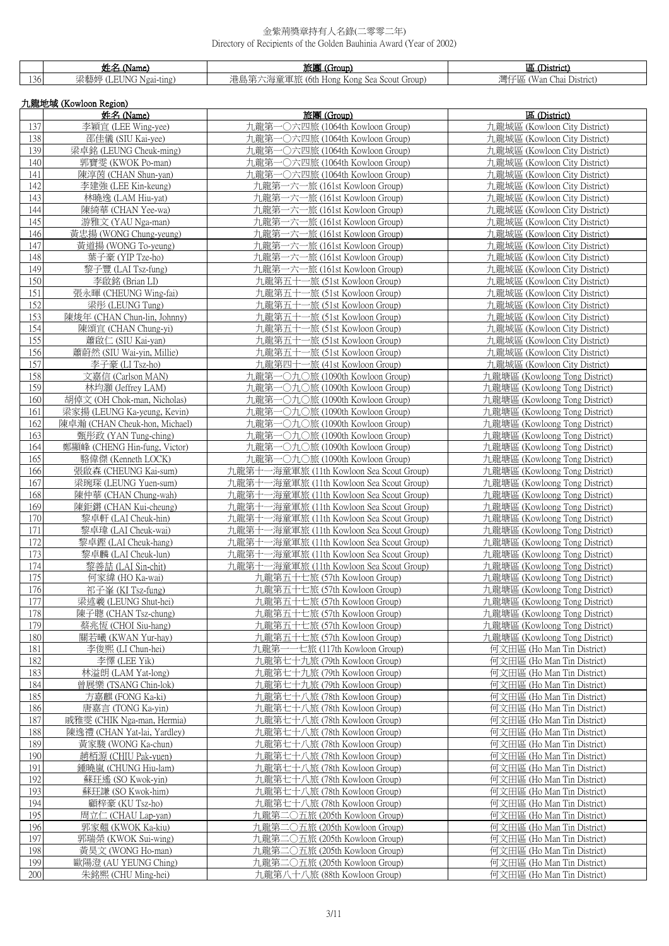|     | 姓名 (Name)             | 旅團 (Group)                               | 區 (District)                 |  |  |  |
|-----|-----------------------|------------------------------------------|------------------------------|--|--|--|
| 136 | 梁藝婷 (LEUNG Ngai-ting) | 港島第六海童軍旅 (6th Hong Kong Sea Scout Group) | 灣仔區 (Wan Chai District)      |  |  |  |
|     | 九龍地域 (Kowloon Region) |                                          |                              |  |  |  |
|     | 姓名 (Name)             | 旅團 (Group)                               | 區 (District)                 |  |  |  |
| 137 | 李穎宜 (LEE Wing-yee)    | 九龍第一〇六四旅 (1064th Kowloon Group)          | 九龍城區 (Kowloon City District) |  |  |  |
|     |                       |                                          |                              |  |  |  |

| 138<br>邵佳儀 (SIU Kai-yee)<br>九龍第一〇六四旅 (1064th Kowloon Group)<br>九龍城區 (Kowloon City District)<br>梁卓銘 (LEUNG Cheuk-ming)<br>139<br>九龍第一〇六四旅 (1064th Kowloon Group)<br>九龍城區 (Kowloon City District)<br>140<br>郭寶雯 (KWOK Po-man)<br>九龍第一〇六四旅 (1064th Kowloon Group)<br>九龍城區 (Kowloon City District)<br>141<br>九龍第一〇六四旅 (1064th Kowloon Group)<br>九龍城區 (Kowloon City District)<br>陳淳茵 (CHAN Shun-yan)<br>142<br>李建強 (LEE Kin-keung)<br>九龍第一六一旅 (161st Kowloon Group)<br>九龍城區 (Kowloon City District)<br>143<br>林曉逸 (LAM Hiu-yat)<br>九龍第一六一旅 (161st Kowloon Group)<br>九龍城區 (Kowloon City District)<br>144<br>九龍第一六一旅 (161st Kowloon Group)<br>九龍城區 (Kowloon City District)<br>陳綺華 (CHAN Yee-wa)<br>145<br>游雅文 (YAU Nga-man)<br>九龍第一六一旅 (161st Kowloon Group)<br>九龍城區 (Kowloon City District)<br>146<br>黃忠揚 (WONG Chung-yeung)<br>九龍第一六一旅 (161st Kowloon Group)<br>九龍城區 (Kowloon City District)<br>147<br>黃道揚 (WONG To-yeung)<br>九龍第一六一旅 (161st Kowloon Group)<br>九龍城區 (Kowloon City District)<br>148<br>葉子豪 (YIP Tze-ho)<br>九龍第一六一旅 (161st Kowloon Group)<br>九龍城區 (Kowloon City District)<br>149<br>黎子豐 (LAI Tsz-fung)<br>九龍第一六一旅 (161st Kowloon Group)<br>九龍城區 (Kowloon City District)<br>150<br>李啟銘 (Brian LI)<br>九龍第五十一旅 (51st Kowloon Group)<br>九龍城區 (Kowloon City District)<br>151<br>張永暉 (CHEUNG Wing-fai)<br>九龍第五十一旅 (51st Kowloon Group)<br>九龍城區 (Kowloon City District)<br>152<br>梁彤 (LEUNG Tung)<br>九龍第五十一旅 (51st Kowloon Group)<br>九龍城區 (Kowloon City District)<br>153<br>陳焌年 (CHAN Chun-lin, Johnny)<br>-旅 (51st Kowloon Group)<br>九龍城區 (Kowloon City District)<br>九龍第五十一<br>154<br>九龍第五十一旅 (51st Kowloon Group)<br>九龍城區 (Kowloon City District)<br>陳頌宜 (CHAN Chung-yi)<br>155<br>蕭啟仁 (SIU Kai-yan)<br>九龍第五十一旅 (51st Kowloon Group)<br>九龍城區 (Kowloon City District)<br>156<br>蕭蔚然 (SIU Wai-yin, Millie)<br>九龍第五十一旅 (51st Kowloon Group)<br>九龍城區 (Kowloon City District)<br>157<br>李子豪 (LI Tsz-ho)<br>九龍第四十一旅 (41st Kowloon Group)<br>九龍城區 (Kowloon City District)<br>158<br>文嘉信 (Carlson MAN)<br>九龍第一〇九〇旅 (1090th Kowloon Group)<br>九龍塘區 (Kowloong Tong District)<br>159<br>九龍第一〇九〇旅 (1090th Kowloon Group)<br>林均灝 (Jeffrey LAM)<br>九龍塘區 (Kowloong Tong District)<br>160<br>胡倬文 (OH Chok-man, Nicholas)<br>九龍第一〇九〇旅 (1090th Kowloon Group)<br>九龍塘區 (Kowloong Tong District)<br>161<br>梁家揚 (LEUNG Ka-yeung, Kevin)<br>九龍第一〇九〇旅 (1090th Kowloon Group)<br>九龍塘區 (Kowloong Tong District)<br>162<br>陳卓瀚 (CHAN Cheuk-hon, Michael)<br>九龍第一〇九〇旅 (1090th Kowloon Group)<br>九龍塘區 (Kowloong Tong District)<br>163<br>甄彤政 (YAN Tung-ching)<br>九龍第一〇九〇旅 (1090th Kowloon Group)<br>九龍塘區 (Kowloong Tong District)<br>164<br>鄭顯峰 (CHENG Hin-fung, Victor)<br>九龍第一〇九〇旅 (1090th Kowloon Group)<br>九龍塘區 (Kowloong Tong District)<br>165<br>駱偉傑 (Kenneth LOCK)<br>九龍第一〇九〇旅 (1090th Kowloon Group)<br>九龍塘區 (Kowloong Tong District)<br>166<br>張啟森 (CHEUNG Kai-sum)<br>九龍第十一海童軍旅 (11th Kowloon Sea Scout Group)<br>九龍塘區 (Kowloong Tong District)<br>167<br>梁琬琛 (LEUNG Yuen-sum)<br>九龍第十一海童軍旅 (11th Kowloon Sea Scout Group)<br>九龍塘區 (Kowloong Tong District)<br>168<br>陳仲華 (CHAN Chung-wah)<br>九龍第十一海童軍旅 (11th Kowloon Sea Scout Group)<br>九龍塘區 (Kowloong Tong District)<br>169<br>九龍第十一海童軍旅 (11th Kowloon Sea Scout Group)<br>九龍塘區 (Kowloong Tong District)<br>陳鉅鏘 (CHAN Kui-cheung)<br>170<br>黎卓軒 (LAI Cheuk-hin)<br>九龍第十<br>一海童軍旅 (11th Kowloon Sea Scout Group)<br>九龍塘區 (Kowloong Tong District)<br>171<br>黎卓瑋 (LAI Cheuk-wai)<br>九龍第十一海童軍旅 (11th Kowloon Sea Scout Group)<br>九龍塘區 (Kowloong Tong District)<br>172<br>黎卓鏗 (LAI Cheuk-hang)<br>九龍第十<br>一海童軍旅 (11th Kowloon Sea Scout Group)<br>九龍塘區 (Kowloong Tong District)<br>173<br>黎卓麟 (LAI Cheuk-lun)<br>九龍第十一海童軍旅 (11th Kowloon Sea Scout Group)<br>九龍塘區 (Kowloong Tong District)<br>174<br>黎善喆 (LAI Sin-chit)<br>九龍第十一海童軍旅 (11th Kowloon Sea Scout Group)<br>九龍塘區 (Kowloong Tong District)<br>175<br>九龍第五十七旅 (57th Kowloon Group)<br>九龍塘區 (Kowloong Tong District)<br>何家緯 (HO Ka-wai)<br>九龍第五十七旅 (57th Kowloon Group)<br>176<br>祁子峯 (KI Tsz-fung)<br>九龍塘區 (Kowloong Tong District)<br>177<br>九龍第五十七旅 (57th Kowloon Group)<br>梁述羲 (LEUNG Shut-hei)<br>九龍塘區 (Kowloong Tong District)<br>178<br>九龍第五十七旅 (57th Kowloon Group)<br>陳子聰 (CHAN Tsz-chung)<br>九龍塘區 (Kowloong Tong District)<br>179<br>蔡兆恆 (CHOI Siu-hang)<br>九龍第五十七旅 (57th Kowloon Group)<br>九龍塘區 (Kowloong Tong District)<br>180<br>九龍第五十七旅 (57th Kowloon Group)<br>關若曦 (KWAN Yur-hay)<br>九龍塘區 (Kowloong Tong District)<br>181<br>李俊熙 (LI Chun-hei)<br>九龍第一一七旅 (117th Kowloon Group)<br>何文田區 (Ho Man Tin District)<br>182<br>李懌 (LEE Yik)<br>九龍第七十九旅 (79th Kowloon Group)<br>何文田區 (Ho Man Tin District)<br>183<br>林溢朗 (LAM Yat-long)<br>九龍第七十九旅 (79th Kowloon Group)<br>何文田區 (Ho Man Tin District)<br>184<br>曾展樂 (TSANG Chin-lok)<br>九龍第七十九旅 (79th Kowloon Group)<br>何文田區 (Ho Man Tin District)<br>185<br>方嘉麒 (FONG Ka-ki)<br>九龍第七十八旅 (78th Kowloon Group)<br>何文田區 (Ho Man Tin District)<br>186<br>唐嘉言 (TONG Ka-yin)<br>九龍第七十八旅 (78th Kowloon Group)<br>何文田區 (Ho Man Tin District)<br>187<br>戚雅雯 (CHIK Nga-man, Hermia)<br>九龍第七十八旅 (78th Kowloon Group)<br>何文田區 (Ho Man Tin District)<br>188<br>九龍第七十八旅 (78th Kowloon Group)<br>陳逸禮 (CHAN Yat-lai, Yardley)<br>何文田區 (Ho Man Tin District)<br>189<br>黃家駿 (WONG Ka-chun)<br>九龍第七十八旅 (78th Kowloon Group)<br>何文田區 (Ho Man Tin District)<br>190<br>趙栢源 (CHIU Pak-yuen)<br>九龍第七十八旅 (78th Kowloon Group)<br>何文田區 (Ho Man Tin District)<br>191<br>鍾曉嵐 (CHUNG Hiu-lam)<br>九龍第七十八旅 (78th Kowloon Group)<br>何文田區 (Ho Man Tin District)<br>192<br>蘇玨遙 (SO Kwok-yin)<br>九龍第七十八旅 (78th Kowloon Group)<br>何文田區 (Ho Man Tin District)<br>193<br>何文田區 (Ho Man Tin District)<br>蘇玨謙 (SO Kwok-him)<br>九龍第七十八旅 (78th Kowloon Group)<br>194<br>顧梓豪 (KU Tsz-ho)<br>九龍第七十八旅 (78th Kowloon Group)<br>何文田區 (Ho Man Tin District)<br>195<br>九龍第二〇五旅 (205th Kowloon Group)<br>何文田區 (Ho Man Tin District)<br>周立仁 (CHAU Lap-yan)<br>196<br>九龍第二〇五旅 (205th Kowloon Group)<br>何文田區 (Ho Man Tin District)<br>郭家翹 (KWOK Ka-kiu)<br>197<br>郭瑞榮 (KWOK Sui-wing)<br>九龍第二〇五旅 (205th Kowloon Group)<br>何文田區 (Ho Man Tin District)<br>198<br>黃昊文 (WONG Ho-man)<br>九龍第二〇五旅 (205th Kowloon Group)<br>何文田區 (Ho Man Tin District)<br>199<br>歐陽澄 (AU YEUNG Ching)<br>九龍第二〇五旅 (205th Kowloon Group)<br>何文田區 (Ho Man Tin District)<br>200<br>朱銘熙 (CHU Ming-hei)<br>九龍第八十八旅 (88th Kowloon Group)<br>何文田區 (Ho Man Tin District) | 121 | 子积且 (LEE WIIIg-yee <i>)</i> | 儿殖 另一 (ノハ四) JK (IVO4UI NOWIOON GIOUP) | 丿L雕呶峘 (NOWIOOII UII) DISINCI) |
|-------------------------------------------------------------------------------------------------------------------------------------------------------------------------------------------------------------------------------------------------------------------------------------------------------------------------------------------------------------------------------------------------------------------------------------------------------------------------------------------------------------------------------------------------------------------------------------------------------------------------------------------------------------------------------------------------------------------------------------------------------------------------------------------------------------------------------------------------------------------------------------------------------------------------------------------------------------------------------------------------------------------------------------------------------------------------------------------------------------------------------------------------------------------------------------------------------------------------------------------------------------------------------------------------------------------------------------------------------------------------------------------------------------------------------------------------------------------------------------------------------------------------------------------------------------------------------------------------------------------------------------------------------------------------------------------------------------------------------------------------------------------------------------------------------------------------------------------------------------------------------------------------------------------------------------------------------------------------------------------------------------------------------------------------------------------------------------------------------------------------------------------------------------------------------------------------------------------------------------------------------------------------------------------------------------------------------------------------------------------------------------------------------------------------------------------------------------------------------------------------------------------------------------------------------------------------------------------------------------------------------------------------------------------------------------------------------------------------------------------------------------------------------------------------------------------------------------------------------------------------------------------------------------------------------------------------------------------------------------------------------------------------------------------------------------------------------------------------------------------------------------------------------------------------------------------------------------------------------------------------------------------------------------------------------------------------------------------------------------------------------------------------------------------------------------------------------------------------------------------------------------------------------------------------------------------------------------------------------------------------------------------------------------------------------------------------------------------------------------------------------------------------------------------------------------------------------------------------------------------------------------------------------------------------------------------------------------------------------------------------------------------------------------------------------------------------------------------------------------------------------------------------------------------------------------------------------------------------------------------------------------------------------------------------------------------------------------------------------------------------------------------------------------------------------------------------------------------------------------------------------------------------------------------------------------------------------------------------------------------------------------------------------------------------------------------------------------------------------------------------------------------------------------------------------------------------------------------------------------------------------------------------------------------------------------------------------------------------------------------------------------------------------------------------------------------------------------------------------------------------------------------------------------------------------------------------------------------------------------------------------------------------------------------------------------------------------------------------------------------------------------------------------------------------------------------------------------------------------------------------------------------------------------------------------------------------------------------------------------------------------------------------------------------------------------------------------------------------------------------------------------------------------------------------------------------------------------------------------------------------------------------------------------------------------------------------------------------------------------------------------------------------------------------------------------------------------------------------------------------------------------------------------------------------------------------------------------------------------------------------------------------------------------------------------------------------------------|-----|-----------------------------|---------------------------------------|-------------------------------|
|                                                                                                                                                                                                                                                                                                                                                                                                                                                                                                                                                                                                                                                                                                                                                                                                                                                                                                                                                                                                                                                                                                                                                                                                                                                                                                                                                                                                                                                                                                                                                                                                                                                                                                                                                                                                                                                                                                                                                                                                                                                                                                                                                                                                                                                                                                                                                                                                                                                                                                                                                                                                                                                                                                                                                                                                                                                                                                                                                                                                                                                                                                                                                                                                                                                                                                                                                                                                                                                                                                                                                                                                                                                                                                                                                                                                                                                                                                                                                                                                                                                                                                                                                                                                                                                                                                                                                                                                                                                                                                                                                                                                                                                                                                                                                                                                                                                                                                                                                                                                                                                                                                                                                                                                                                                                                                                                                                                                                                                                                                                                                                                                                                                                                                                                                                                                                                                                                                                                                                                                                                                                                                                                                                                                                                                                                                                                     |     |                             |                                       |                               |
|                                                                                                                                                                                                                                                                                                                                                                                                                                                                                                                                                                                                                                                                                                                                                                                                                                                                                                                                                                                                                                                                                                                                                                                                                                                                                                                                                                                                                                                                                                                                                                                                                                                                                                                                                                                                                                                                                                                                                                                                                                                                                                                                                                                                                                                                                                                                                                                                                                                                                                                                                                                                                                                                                                                                                                                                                                                                                                                                                                                                                                                                                                                                                                                                                                                                                                                                                                                                                                                                                                                                                                                                                                                                                                                                                                                                                                                                                                                                                                                                                                                                                                                                                                                                                                                                                                                                                                                                                                                                                                                                                                                                                                                                                                                                                                                                                                                                                                                                                                                                                                                                                                                                                                                                                                                                                                                                                                                                                                                                                                                                                                                                                                                                                                                                                                                                                                                                                                                                                                                                                                                                                                                                                                                                                                                                                                                                     |     |                             |                                       |                               |
|                                                                                                                                                                                                                                                                                                                                                                                                                                                                                                                                                                                                                                                                                                                                                                                                                                                                                                                                                                                                                                                                                                                                                                                                                                                                                                                                                                                                                                                                                                                                                                                                                                                                                                                                                                                                                                                                                                                                                                                                                                                                                                                                                                                                                                                                                                                                                                                                                                                                                                                                                                                                                                                                                                                                                                                                                                                                                                                                                                                                                                                                                                                                                                                                                                                                                                                                                                                                                                                                                                                                                                                                                                                                                                                                                                                                                                                                                                                                                                                                                                                                                                                                                                                                                                                                                                                                                                                                                                                                                                                                                                                                                                                                                                                                                                                                                                                                                                                                                                                                                                                                                                                                                                                                                                                                                                                                                                                                                                                                                                                                                                                                                                                                                                                                                                                                                                                                                                                                                                                                                                                                                                                                                                                                                                                                                                                                     |     |                             |                                       |                               |
|                                                                                                                                                                                                                                                                                                                                                                                                                                                                                                                                                                                                                                                                                                                                                                                                                                                                                                                                                                                                                                                                                                                                                                                                                                                                                                                                                                                                                                                                                                                                                                                                                                                                                                                                                                                                                                                                                                                                                                                                                                                                                                                                                                                                                                                                                                                                                                                                                                                                                                                                                                                                                                                                                                                                                                                                                                                                                                                                                                                                                                                                                                                                                                                                                                                                                                                                                                                                                                                                                                                                                                                                                                                                                                                                                                                                                                                                                                                                                                                                                                                                                                                                                                                                                                                                                                                                                                                                                                                                                                                                                                                                                                                                                                                                                                                                                                                                                                                                                                                                                                                                                                                                                                                                                                                                                                                                                                                                                                                                                                                                                                                                                                                                                                                                                                                                                                                                                                                                                                                                                                                                                                                                                                                                                                                                                                                                     |     |                             |                                       |                               |
|                                                                                                                                                                                                                                                                                                                                                                                                                                                                                                                                                                                                                                                                                                                                                                                                                                                                                                                                                                                                                                                                                                                                                                                                                                                                                                                                                                                                                                                                                                                                                                                                                                                                                                                                                                                                                                                                                                                                                                                                                                                                                                                                                                                                                                                                                                                                                                                                                                                                                                                                                                                                                                                                                                                                                                                                                                                                                                                                                                                                                                                                                                                                                                                                                                                                                                                                                                                                                                                                                                                                                                                                                                                                                                                                                                                                                                                                                                                                                                                                                                                                                                                                                                                                                                                                                                                                                                                                                                                                                                                                                                                                                                                                                                                                                                                                                                                                                                                                                                                                                                                                                                                                                                                                                                                                                                                                                                                                                                                                                                                                                                                                                                                                                                                                                                                                                                                                                                                                                                                                                                                                                                                                                                                                                                                                                                                                     |     |                             |                                       |                               |
|                                                                                                                                                                                                                                                                                                                                                                                                                                                                                                                                                                                                                                                                                                                                                                                                                                                                                                                                                                                                                                                                                                                                                                                                                                                                                                                                                                                                                                                                                                                                                                                                                                                                                                                                                                                                                                                                                                                                                                                                                                                                                                                                                                                                                                                                                                                                                                                                                                                                                                                                                                                                                                                                                                                                                                                                                                                                                                                                                                                                                                                                                                                                                                                                                                                                                                                                                                                                                                                                                                                                                                                                                                                                                                                                                                                                                                                                                                                                                                                                                                                                                                                                                                                                                                                                                                                                                                                                                                                                                                                                                                                                                                                                                                                                                                                                                                                                                                                                                                                                                                                                                                                                                                                                                                                                                                                                                                                                                                                                                                                                                                                                                                                                                                                                                                                                                                                                                                                                                                                                                                                                                                                                                                                                                                                                                                                                     |     |                             |                                       |                               |
|                                                                                                                                                                                                                                                                                                                                                                                                                                                                                                                                                                                                                                                                                                                                                                                                                                                                                                                                                                                                                                                                                                                                                                                                                                                                                                                                                                                                                                                                                                                                                                                                                                                                                                                                                                                                                                                                                                                                                                                                                                                                                                                                                                                                                                                                                                                                                                                                                                                                                                                                                                                                                                                                                                                                                                                                                                                                                                                                                                                                                                                                                                                                                                                                                                                                                                                                                                                                                                                                                                                                                                                                                                                                                                                                                                                                                                                                                                                                                                                                                                                                                                                                                                                                                                                                                                                                                                                                                                                                                                                                                                                                                                                                                                                                                                                                                                                                                                                                                                                                                                                                                                                                                                                                                                                                                                                                                                                                                                                                                                                                                                                                                                                                                                                                                                                                                                                                                                                                                                                                                                                                                                                                                                                                                                                                                                                                     |     |                             |                                       |                               |
|                                                                                                                                                                                                                                                                                                                                                                                                                                                                                                                                                                                                                                                                                                                                                                                                                                                                                                                                                                                                                                                                                                                                                                                                                                                                                                                                                                                                                                                                                                                                                                                                                                                                                                                                                                                                                                                                                                                                                                                                                                                                                                                                                                                                                                                                                                                                                                                                                                                                                                                                                                                                                                                                                                                                                                                                                                                                                                                                                                                                                                                                                                                                                                                                                                                                                                                                                                                                                                                                                                                                                                                                                                                                                                                                                                                                                                                                                                                                                                                                                                                                                                                                                                                                                                                                                                                                                                                                                                                                                                                                                                                                                                                                                                                                                                                                                                                                                                                                                                                                                                                                                                                                                                                                                                                                                                                                                                                                                                                                                                                                                                                                                                                                                                                                                                                                                                                                                                                                                                                                                                                                                                                                                                                                                                                                                                                                     |     |                             |                                       |                               |
|                                                                                                                                                                                                                                                                                                                                                                                                                                                                                                                                                                                                                                                                                                                                                                                                                                                                                                                                                                                                                                                                                                                                                                                                                                                                                                                                                                                                                                                                                                                                                                                                                                                                                                                                                                                                                                                                                                                                                                                                                                                                                                                                                                                                                                                                                                                                                                                                                                                                                                                                                                                                                                                                                                                                                                                                                                                                                                                                                                                                                                                                                                                                                                                                                                                                                                                                                                                                                                                                                                                                                                                                                                                                                                                                                                                                                                                                                                                                                                                                                                                                                                                                                                                                                                                                                                                                                                                                                                                                                                                                                                                                                                                                                                                                                                                                                                                                                                                                                                                                                                                                                                                                                                                                                                                                                                                                                                                                                                                                                                                                                                                                                                                                                                                                                                                                                                                                                                                                                                                                                                                                                                                                                                                                                                                                                                                                     |     |                             |                                       |                               |
|                                                                                                                                                                                                                                                                                                                                                                                                                                                                                                                                                                                                                                                                                                                                                                                                                                                                                                                                                                                                                                                                                                                                                                                                                                                                                                                                                                                                                                                                                                                                                                                                                                                                                                                                                                                                                                                                                                                                                                                                                                                                                                                                                                                                                                                                                                                                                                                                                                                                                                                                                                                                                                                                                                                                                                                                                                                                                                                                                                                                                                                                                                                                                                                                                                                                                                                                                                                                                                                                                                                                                                                                                                                                                                                                                                                                                                                                                                                                                                                                                                                                                                                                                                                                                                                                                                                                                                                                                                                                                                                                                                                                                                                                                                                                                                                                                                                                                                                                                                                                                                                                                                                                                                                                                                                                                                                                                                                                                                                                                                                                                                                                                                                                                                                                                                                                                                                                                                                                                                                                                                                                                                                                                                                                                                                                                                                                     |     |                             |                                       |                               |
|                                                                                                                                                                                                                                                                                                                                                                                                                                                                                                                                                                                                                                                                                                                                                                                                                                                                                                                                                                                                                                                                                                                                                                                                                                                                                                                                                                                                                                                                                                                                                                                                                                                                                                                                                                                                                                                                                                                                                                                                                                                                                                                                                                                                                                                                                                                                                                                                                                                                                                                                                                                                                                                                                                                                                                                                                                                                                                                                                                                                                                                                                                                                                                                                                                                                                                                                                                                                                                                                                                                                                                                                                                                                                                                                                                                                                                                                                                                                                                                                                                                                                                                                                                                                                                                                                                                                                                                                                                                                                                                                                                                                                                                                                                                                                                                                                                                                                                                                                                                                                                                                                                                                                                                                                                                                                                                                                                                                                                                                                                                                                                                                                                                                                                                                                                                                                                                                                                                                                                                                                                                                                                                                                                                                                                                                                                                                     |     |                             |                                       |                               |
|                                                                                                                                                                                                                                                                                                                                                                                                                                                                                                                                                                                                                                                                                                                                                                                                                                                                                                                                                                                                                                                                                                                                                                                                                                                                                                                                                                                                                                                                                                                                                                                                                                                                                                                                                                                                                                                                                                                                                                                                                                                                                                                                                                                                                                                                                                                                                                                                                                                                                                                                                                                                                                                                                                                                                                                                                                                                                                                                                                                                                                                                                                                                                                                                                                                                                                                                                                                                                                                                                                                                                                                                                                                                                                                                                                                                                                                                                                                                                                                                                                                                                                                                                                                                                                                                                                                                                                                                                                                                                                                                                                                                                                                                                                                                                                                                                                                                                                                                                                                                                                                                                                                                                                                                                                                                                                                                                                                                                                                                                                                                                                                                                                                                                                                                                                                                                                                                                                                                                                                                                                                                                                                                                                                                                                                                                                                                     |     |                             |                                       |                               |
|                                                                                                                                                                                                                                                                                                                                                                                                                                                                                                                                                                                                                                                                                                                                                                                                                                                                                                                                                                                                                                                                                                                                                                                                                                                                                                                                                                                                                                                                                                                                                                                                                                                                                                                                                                                                                                                                                                                                                                                                                                                                                                                                                                                                                                                                                                                                                                                                                                                                                                                                                                                                                                                                                                                                                                                                                                                                                                                                                                                                                                                                                                                                                                                                                                                                                                                                                                                                                                                                                                                                                                                                                                                                                                                                                                                                                                                                                                                                                                                                                                                                                                                                                                                                                                                                                                                                                                                                                                                                                                                                                                                                                                                                                                                                                                                                                                                                                                                                                                                                                                                                                                                                                                                                                                                                                                                                                                                                                                                                                                                                                                                                                                                                                                                                                                                                                                                                                                                                                                                                                                                                                                                                                                                                                                                                                                                                     |     |                             |                                       |                               |
|                                                                                                                                                                                                                                                                                                                                                                                                                                                                                                                                                                                                                                                                                                                                                                                                                                                                                                                                                                                                                                                                                                                                                                                                                                                                                                                                                                                                                                                                                                                                                                                                                                                                                                                                                                                                                                                                                                                                                                                                                                                                                                                                                                                                                                                                                                                                                                                                                                                                                                                                                                                                                                                                                                                                                                                                                                                                                                                                                                                                                                                                                                                                                                                                                                                                                                                                                                                                                                                                                                                                                                                                                                                                                                                                                                                                                                                                                                                                                                                                                                                                                                                                                                                                                                                                                                                                                                                                                                                                                                                                                                                                                                                                                                                                                                                                                                                                                                                                                                                                                                                                                                                                                                                                                                                                                                                                                                                                                                                                                                                                                                                                                                                                                                                                                                                                                                                                                                                                                                                                                                                                                                                                                                                                                                                                                                                                     |     |                             |                                       |                               |
|                                                                                                                                                                                                                                                                                                                                                                                                                                                                                                                                                                                                                                                                                                                                                                                                                                                                                                                                                                                                                                                                                                                                                                                                                                                                                                                                                                                                                                                                                                                                                                                                                                                                                                                                                                                                                                                                                                                                                                                                                                                                                                                                                                                                                                                                                                                                                                                                                                                                                                                                                                                                                                                                                                                                                                                                                                                                                                                                                                                                                                                                                                                                                                                                                                                                                                                                                                                                                                                                                                                                                                                                                                                                                                                                                                                                                                                                                                                                                                                                                                                                                                                                                                                                                                                                                                                                                                                                                                                                                                                                                                                                                                                                                                                                                                                                                                                                                                                                                                                                                                                                                                                                                                                                                                                                                                                                                                                                                                                                                                                                                                                                                                                                                                                                                                                                                                                                                                                                                                                                                                                                                                                                                                                                                                                                                                                                     |     |                             |                                       |                               |
|                                                                                                                                                                                                                                                                                                                                                                                                                                                                                                                                                                                                                                                                                                                                                                                                                                                                                                                                                                                                                                                                                                                                                                                                                                                                                                                                                                                                                                                                                                                                                                                                                                                                                                                                                                                                                                                                                                                                                                                                                                                                                                                                                                                                                                                                                                                                                                                                                                                                                                                                                                                                                                                                                                                                                                                                                                                                                                                                                                                                                                                                                                                                                                                                                                                                                                                                                                                                                                                                                                                                                                                                                                                                                                                                                                                                                                                                                                                                                                                                                                                                                                                                                                                                                                                                                                                                                                                                                                                                                                                                                                                                                                                                                                                                                                                                                                                                                                                                                                                                                                                                                                                                                                                                                                                                                                                                                                                                                                                                                                                                                                                                                                                                                                                                                                                                                                                                                                                                                                                                                                                                                                                                                                                                                                                                                                                                     |     |                             |                                       |                               |
|                                                                                                                                                                                                                                                                                                                                                                                                                                                                                                                                                                                                                                                                                                                                                                                                                                                                                                                                                                                                                                                                                                                                                                                                                                                                                                                                                                                                                                                                                                                                                                                                                                                                                                                                                                                                                                                                                                                                                                                                                                                                                                                                                                                                                                                                                                                                                                                                                                                                                                                                                                                                                                                                                                                                                                                                                                                                                                                                                                                                                                                                                                                                                                                                                                                                                                                                                                                                                                                                                                                                                                                                                                                                                                                                                                                                                                                                                                                                                                                                                                                                                                                                                                                                                                                                                                                                                                                                                                                                                                                                                                                                                                                                                                                                                                                                                                                                                                                                                                                                                                                                                                                                                                                                                                                                                                                                                                                                                                                                                                                                                                                                                                                                                                                                                                                                                                                                                                                                                                                                                                                                                                                                                                                                                                                                                                                                     |     |                             |                                       |                               |
|                                                                                                                                                                                                                                                                                                                                                                                                                                                                                                                                                                                                                                                                                                                                                                                                                                                                                                                                                                                                                                                                                                                                                                                                                                                                                                                                                                                                                                                                                                                                                                                                                                                                                                                                                                                                                                                                                                                                                                                                                                                                                                                                                                                                                                                                                                                                                                                                                                                                                                                                                                                                                                                                                                                                                                                                                                                                                                                                                                                                                                                                                                                                                                                                                                                                                                                                                                                                                                                                                                                                                                                                                                                                                                                                                                                                                                                                                                                                                                                                                                                                                                                                                                                                                                                                                                                                                                                                                                                                                                                                                                                                                                                                                                                                                                                                                                                                                                                                                                                                                                                                                                                                                                                                                                                                                                                                                                                                                                                                                                                                                                                                                                                                                                                                                                                                                                                                                                                                                                                                                                                                                                                                                                                                                                                                                                                                     |     |                             |                                       |                               |
|                                                                                                                                                                                                                                                                                                                                                                                                                                                                                                                                                                                                                                                                                                                                                                                                                                                                                                                                                                                                                                                                                                                                                                                                                                                                                                                                                                                                                                                                                                                                                                                                                                                                                                                                                                                                                                                                                                                                                                                                                                                                                                                                                                                                                                                                                                                                                                                                                                                                                                                                                                                                                                                                                                                                                                                                                                                                                                                                                                                                                                                                                                                                                                                                                                                                                                                                                                                                                                                                                                                                                                                                                                                                                                                                                                                                                                                                                                                                                                                                                                                                                                                                                                                                                                                                                                                                                                                                                                                                                                                                                                                                                                                                                                                                                                                                                                                                                                                                                                                                                                                                                                                                                                                                                                                                                                                                                                                                                                                                                                                                                                                                                                                                                                                                                                                                                                                                                                                                                                                                                                                                                                                                                                                                                                                                                                                                     |     |                             |                                       |                               |
|                                                                                                                                                                                                                                                                                                                                                                                                                                                                                                                                                                                                                                                                                                                                                                                                                                                                                                                                                                                                                                                                                                                                                                                                                                                                                                                                                                                                                                                                                                                                                                                                                                                                                                                                                                                                                                                                                                                                                                                                                                                                                                                                                                                                                                                                                                                                                                                                                                                                                                                                                                                                                                                                                                                                                                                                                                                                                                                                                                                                                                                                                                                                                                                                                                                                                                                                                                                                                                                                                                                                                                                                                                                                                                                                                                                                                                                                                                                                                                                                                                                                                                                                                                                                                                                                                                                                                                                                                                                                                                                                                                                                                                                                                                                                                                                                                                                                                                                                                                                                                                                                                                                                                                                                                                                                                                                                                                                                                                                                                                                                                                                                                                                                                                                                                                                                                                                                                                                                                                                                                                                                                                                                                                                                                                                                                                                                     |     |                             |                                       |                               |
|                                                                                                                                                                                                                                                                                                                                                                                                                                                                                                                                                                                                                                                                                                                                                                                                                                                                                                                                                                                                                                                                                                                                                                                                                                                                                                                                                                                                                                                                                                                                                                                                                                                                                                                                                                                                                                                                                                                                                                                                                                                                                                                                                                                                                                                                                                                                                                                                                                                                                                                                                                                                                                                                                                                                                                                                                                                                                                                                                                                                                                                                                                                                                                                                                                                                                                                                                                                                                                                                                                                                                                                                                                                                                                                                                                                                                                                                                                                                                                                                                                                                                                                                                                                                                                                                                                                                                                                                                                                                                                                                                                                                                                                                                                                                                                                                                                                                                                                                                                                                                                                                                                                                                                                                                                                                                                                                                                                                                                                                                                                                                                                                                                                                                                                                                                                                                                                                                                                                                                                                                                                                                                                                                                                                                                                                                                                                     |     |                             |                                       |                               |
|                                                                                                                                                                                                                                                                                                                                                                                                                                                                                                                                                                                                                                                                                                                                                                                                                                                                                                                                                                                                                                                                                                                                                                                                                                                                                                                                                                                                                                                                                                                                                                                                                                                                                                                                                                                                                                                                                                                                                                                                                                                                                                                                                                                                                                                                                                                                                                                                                                                                                                                                                                                                                                                                                                                                                                                                                                                                                                                                                                                                                                                                                                                                                                                                                                                                                                                                                                                                                                                                                                                                                                                                                                                                                                                                                                                                                                                                                                                                                                                                                                                                                                                                                                                                                                                                                                                                                                                                                                                                                                                                                                                                                                                                                                                                                                                                                                                                                                                                                                                                                                                                                                                                                                                                                                                                                                                                                                                                                                                                                                                                                                                                                                                                                                                                                                                                                                                                                                                                                                                                                                                                                                                                                                                                                                                                                                                                     |     |                             |                                       |                               |
|                                                                                                                                                                                                                                                                                                                                                                                                                                                                                                                                                                                                                                                                                                                                                                                                                                                                                                                                                                                                                                                                                                                                                                                                                                                                                                                                                                                                                                                                                                                                                                                                                                                                                                                                                                                                                                                                                                                                                                                                                                                                                                                                                                                                                                                                                                                                                                                                                                                                                                                                                                                                                                                                                                                                                                                                                                                                                                                                                                                                                                                                                                                                                                                                                                                                                                                                                                                                                                                                                                                                                                                                                                                                                                                                                                                                                                                                                                                                                                                                                                                                                                                                                                                                                                                                                                                                                                                                                                                                                                                                                                                                                                                                                                                                                                                                                                                                                                                                                                                                                                                                                                                                                                                                                                                                                                                                                                                                                                                                                                                                                                                                                                                                                                                                                                                                                                                                                                                                                                                                                                                                                                                                                                                                                                                                                                                                     |     |                             |                                       |                               |
|                                                                                                                                                                                                                                                                                                                                                                                                                                                                                                                                                                                                                                                                                                                                                                                                                                                                                                                                                                                                                                                                                                                                                                                                                                                                                                                                                                                                                                                                                                                                                                                                                                                                                                                                                                                                                                                                                                                                                                                                                                                                                                                                                                                                                                                                                                                                                                                                                                                                                                                                                                                                                                                                                                                                                                                                                                                                                                                                                                                                                                                                                                                                                                                                                                                                                                                                                                                                                                                                                                                                                                                                                                                                                                                                                                                                                                                                                                                                                                                                                                                                                                                                                                                                                                                                                                                                                                                                                                                                                                                                                                                                                                                                                                                                                                                                                                                                                                                                                                                                                                                                                                                                                                                                                                                                                                                                                                                                                                                                                                                                                                                                                                                                                                                                                                                                                                                                                                                                                                                                                                                                                                                                                                                                                                                                                                                                     |     |                             |                                       |                               |
|                                                                                                                                                                                                                                                                                                                                                                                                                                                                                                                                                                                                                                                                                                                                                                                                                                                                                                                                                                                                                                                                                                                                                                                                                                                                                                                                                                                                                                                                                                                                                                                                                                                                                                                                                                                                                                                                                                                                                                                                                                                                                                                                                                                                                                                                                                                                                                                                                                                                                                                                                                                                                                                                                                                                                                                                                                                                                                                                                                                                                                                                                                                                                                                                                                                                                                                                                                                                                                                                                                                                                                                                                                                                                                                                                                                                                                                                                                                                                                                                                                                                                                                                                                                                                                                                                                                                                                                                                                                                                                                                                                                                                                                                                                                                                                                                                                                                                                                                                                                                                                                                                                                                                                                                                                                                                                                                                                                                                                                                                                                                                                                                                                                                                                                                                                                                                                                                                                                                                                                                                                                                                                                                                                                                                                                                                                                                     |     |                             |                                       |                               |
|                                                                                                                                                                                                                                                                                                                                                                                                                                                                                                                                                                                                                                                                                                                                                                                                                                                                                                                                                                                                                                                                                                                                                                                                                                                                                                                                                                                                                                                                                                                                                                                                                                                                                                                                                                                                                                                                                                                                                                                                                                                                                                                                                                                                                                                                                                                                                                                                                                                                                                                                                                                                                                                                                                                                                                                                                                                                                                                                                                                                                                                                                                                                                                                                                                                                                                                                                                                                                                                                                                                                                                                                                                                                                                                                                                                                                                                                                                                                                                                                                                                                                                                                                                                                                                                                                                                                                                                                                                                                                                                                                                                                                                                                                                                                                                                                                                                                                                                                                                                                                                                                                                                                                                                                                                                                                                                                                                                                                                                                                                                                                                                                                                                                                                                                                                                                                                                                                                                                                                                                                                                                                                                                                                                                                                                                                                                                     |     |                             |                                       |                               |
|                                                                                                                                                                                                                                                                                                                                                                                                                                                                                                                                                                                                                                                                                                                                                                                                                                                                                                                                                                                                                                                                                                                                                                                                                                                                                                                                                                                                                                                                                                                                                                                                                                                                                                                                                                                                                                                                                                                                                                                                                                                                                                                                                                                                                                                                                                                                                                                                                                                                                                                                                                                                                                                                                                                                                                                                                                                                                                                                                                                                                                                                                                                                                                                                                                                                                                                                                                                                                                                                                                                                                                                                                                                                                                                                                                                                                                                                                                                                                                                                                                                                                                                                                                                                                                                                                                                                                                                                                                                                                                                                                                                                                                                                                                                                                                                                                                                                                                                                                                                                                                                                                                                                                                                                                                                                                                                                                                                                                                                                                                                                                                                                                                                                                                                                                                                                                                                                                                                                                                                                                                                                                                                                                                                                                                                                                                                                     |     |                             |                                       |                               |
|                                                                                                                                                                                                                                                                                                                                                                                                                                                                                                                                                                                                                                                                                                                                                                                                                                                                                                                                                                                                                                                                                                                                                                                                                                                                                                                                                                                                                                                                                                                                                                                                                                                                                                                                                                                                                                                                                                                                                                                                                                                                                                                                                                                                                                                                                                                                                                                                                                                                                                                                                                                                                                                                                                                                                                                                                                                                                                                                                                                                                                                                                                                                                                                                                                                                                                                                                                                                                                                                                                                                                                                                                                                                                                                                                                                                                                                                                                                                                                                                                                                                                                                                                                                                                                                                                                                                                                                                                                                                                                                                                                                                                                                                                                                                                                                                                                                                                                                                                                                                                                                                                                                                                                                                                                                                                                                                                                                                                                                                                                                                                                                                                                                                                                                                                                                                                                                                                                                                                                                                                                                                                                                                                                                                                                                                                                                                     |     |                             |                                       |                               |
|                                                                                                                                                                                                                                                                                                                                                                                                                                                                                                                                                                                                                                                                                                                                                                                                                                                                                                                                                                                                                                                                                                                                                                                                                                                                                                                                                                                                                                                                                                                                                                                                                                                                                                                                                                                                                                                                                                                                                                                                                                                                                                                                                                                                                                                                                                                                                                                                                                                                                                                                                                                                                                                                                                                                                                                                                                                                                                                                                                                                                                                                                                                                                                                                                                                                                                                                                                                                                                                                                                                                                                                                                                                                                                                                                                                                                                                                                                                                                                                                                                                                                                                                                                                                                                                                                                                                                                                                                                                                                                                                                                                                                                                                                                                                                                                                                                                                                                                                                                                                                                                                                                                                                                                                                                                                                                                                                                                                                                                                                                                                                                                                                                                                                                                                                                                                                                                                                                                                                                                                                                                                                                                                                                                                                                                                                                                                     |     |                             |                                       |                               |
|                                                                                                                                                                                                                                                                                                                                                                                                                                                                                                                                                                                                                                                                                                                                                                                                                                                                                                                                                                                                                                                                                                                                                                                                                                                                                                                                                                                                                                                                                                                                                                                                                                                                                                                                                                                                                                                                                                                                                                                                                                                                                                                                                                                                                                                                                                                                                                                                                                                                                                                                                                                                                                                                                                                                                                                                                                                                                                                                                                                                                                                                                                                                                                                                                                                                                                                                                                                                                                                                                                                                                                                                                                                                                                                                                                                                                                                                                                                                                                                                                                                                                                                                                                                                                                                                                                                                                                                                                                                                                                                                                                                                                                                                                                                                                                                                                                                                                                                                                                                                                                                                                                                                                                                                                                                                                                                                                                                                                                                                                                                                                                                                                                                                                                                                                                                                                                                                                                                                                                                                                                                                                                                                                                                                                                                                                                                                     |     |                             |                                       |                               |
|                                                                                                                                                                                                                                                                                                                                                                                                                                                                                                                                                                                                                                                                                                                                                                                                                                                                                                                                                                                                                                                                                                                                                                                                                                                                                                                                                                                                                                                                                                                                                                                                                                                                                                                                                                                                                                                                                                                                                                                                                                                                                                                                                                                                                                                                                                                                                                                                                                                                                                                                                                                                                                                                                                                                                                                                                                                                                                                                                                                                                                                                                                                                                                                                                                                                                                                                                                                                                                                                                                                                                                                                                                                                                                                                                                                                                                                                                                                                                                                                                                                                                                                                                                                                                                                                                                                                                                                                                                                                                                                                                                                                                                                                                                                                                                                                                                                                                                                                                                                                                                                                                                                                                                                                                                                                                                                                                                                                                                                                                                                                                                                                                                                                                                                                                                                                                                                                                                                                                                                                                                                                                                                                                                                                                                                                                                                                     |     |                             |                                       |                               |
|                                                                                                                                                                                                                                                                                                                                                                                                                                                                                                                                                                                                                                                                                                                                                                                                                                                                                                                                                                                                                                                                                                                                                                                                                                                                                                                                                                                                                                                                                                                                                                                                                                                                                                                                                                                                                                                                                                                                                                                                                                                                                                                                                                                                                                                                                                                                                                                                                                                                                                                                                                                                                                                                                                                                                                                                                                                                                                                                                                                                                                                                                                                                                                                                                                                                                                                                                                                                                                                                                                                                                                                                                                                                                                                                                                                                                                                                                                                                                                                                                                                                                                                                                                                                                                                                                                                                                                                                                                                                                                                                                                                                                                                                                                                                                                                                                                                                                                                                                                                                                                                                                                                                                                                                                                                                                                                                                                                                                                                                                                                                                                                                                                                                                                                                                                                                                                                                                                                                                                                                                                                                                                                                                                                                                                                                                                                                     |     |                             |                                       |                               |
|                                                                                                                                                                                                                                                                                                                                                                                                                                                                                                                                                                                                                                                                                                                                                                                                                                                                                                                                                                                                                                                                                                                                                                                                                                                                                                                                                                                                                                                                                                                                                                                                                                                                                                                                                                                                                                                                                                                                                                                                                                                                                                                                                                                                                                                                                                                                                                                                                                                                                                                                                                                                                                                                                                                                                                                                                                                                                                                                                                                                                                                                                                                                                                                                                                                                                                                                                                                                                                                                                                                                                                                                                                                                                                                                                                                                                                                                                                                                                                                                                                                                                                                                                                                                                                                                                                                                                                                                                                                                                                                                                                                                                                                                                                                                                                                                                                                                                                                                                                                                                                                                                                                                                                                                                                                                                                                                                                                                                                                                                                                                                                                                                                                                                                                                                                                                                                                                                                                                                                                                                                                                                                                                                                                                                                                                                                                                     |     |                             |                                       |                               |
|                                                                                                                                                                                                                                                                                                                                                                                                                                                                                                                                                                                                                                                                                                                                                                                                                                                                                                                                                                                                                                                                                                                                                                                                                                                                                                                                                                                                                                                                                                                                                                                                                                                                                                                                                                                                                                                                                                                                                                                                                                                                                                                                                                                                                                                                                                                                                                                                                                                                                                                                                                                                                                                                                                                                                                                                                                                                                                                                                                                                                                                                                                                                                                                                                                                                                                                                                                                                                                                                                                                                                                                                                                                                                                                                                                                                                                                                                                                                                                                                                                                                                                                                                                                                                                                                                                                                                                                                                                                                                                                                                                                                                                                                                                                                                                                                                                                                                                                                                                                                                                                                                                                                                                                                                                                                                                                                                                                                                                                                                                                                                                                                                                                                                                                                                                                                                                                                                                                                                                                                                                                                                                                                                                                                                                                                                                                                     |     |                             |                                       |                               |
|                                                                                                                                                                                                                                                                                                                                                                                                                                                                                                                                                                                                                                                                                                                                                                                                                                                                                                                                                                                                                                                                                                                                                                                                                                                                                                                                                                                                                                                                                                                                                                                                                                                                                                                                                                                                                                                                                                                                                                                                                                                                                                                                                                                                                                                                                                                                                                                                                                                                                                                                                                                                                                                                                                                                                                                                                                                                                                                                                                                                                                                                                                                                                                                                                                                                                                                                                                                                                                                                                                                                                                                                                                                                                                                                                                                                                                                                                                                                                                                                                                                                                                                                                                                                                                                                                                                                                                                                                                                                                                                                                                                                                                                                                                                                                                                                                                                                                                                                                                                                                                                                                                                                                                                                                                                                                                                                                                                                                                                                                                                                                                                                                                                                                                                                                                                                                                                                                                                                                                                                                                                                                                                                                                                                                                                                                                                                     |     |                             |                                       |                               |
|                                                                                                                                                                                                                                                                                                                                                                                                                                                                                                                                                                                                                                                                                                                                                                                                                                                                                                                                                                                                                                                                                                                                                                                                                                                                                                                                                                                                                                                                                                                                                                                                                                                                                                                                                                                                                                                                                                                                                                                                                                                                                                                                                                                                                                                                                                                                                                                                                                                                                                                                                                                                                                                                                                                                                                                                                                                                                                                                                                                                                                                                                                                                                                                                                                                                                                                                                                                                                                                                                                                                                                                                                                                                                                                                                                                                                                                                                                                                                                                                                                                                                                                                                                                                                                                                                                                                                                                                                                                                                                                                                                                                                                                                                                                                                                                                                                                                                                                                                                                                                                                                                                                                                                                                                                                                                                                                                                                                                                                                                                                                                                                                                                                                                                                                                                                                                                                                                                                                                                                                                                                                                                                                                                                                                                                                                                                                     |     |                             |                                       |                               |
|                                                                                                                                                                                                                                                                                                                                                                                                                                                                                                                                                                                                                                                                                                                                                                                                                                                                                                                                                                                                                                                                                                                                                                                                                                                                                                                                                                                                                                                                                                                                                                                                                                                                                                                                                                                                                                                                                                                                                                                                                                                                                                                                                                                                                                                                                                                                                                                                                                                                                                                                                                                                                                                                                                                                                                                                                                                                                                                                                                                                                                                                                                                                                                                                                                                                                                                                                                                                                                                                                                                                                                                                                                                                                                                                                                                                                                                                                                                                                                                                                                                                                                                                                                                                                                                                                                                                                                                                                                                                                                                                                                                                                                                                                                                                                                                                                                                                                                                                                                                                                                                                                                                                                                                                                                                                                                                                                                                                                                                                                                                                                                                                                                                                                                                                                                                                                                                                                                                                                                                                                                                                                                                                                                                                                                                                                                                                     |     |                             |                                       |                               |
|                                                                                                                                                                                                                                                                                                                                                                                                                                                                                                                                                                                                                                                                                                                                                                                                                                                                                                                                                                                                                                                                                                                                                                                                                                                                                                                                                                                                                                                                                                                                                                                                                                                                                                                                                                                                                                                                                                                                                                                                                                                                                                                                                                                                                                                                                                                                                                                                                                                                                                                                                                                                                                                                                                                                                                                                                                                                                                                                                                                                                                                                                                                                                                                                                                                                                                                                                                                                                                                                                                                                                                                                                                                                                                                                                                                                                                                                                                                                                                                                                                                                                                                                                                                                                                                                                                                                                                                                                                                                                                                                                                                                                                                                                                                                                                                                                                                                                                                                                                                                                                                                                                                                                                                                                                                                                                                                                                                                                                                                                                                                                                                                                                                                                                                                                                                                                                                                                                                                                                                                                                                                                                                                                                                                                                                                                                                                     |     |                             |                                       |                               |
|                                                                                                                                                                                                                                                                                                                                                                                                                                                                                                                                                                                                                                                                                                                                                                                                                                                                                                                                                                                                                                                                                                                                                                                                                                                                                                                                                                                                                                                                                                                                                                                                                                                                                                                                                                                                                                                                                                                                                                                                                                                                                                                                                                                                                                                                                                                                                                                                                                                                                                                                                                                                                                                                                                                                                                                                                                                                                                                                                                                                                                                                                                                                                                                                                                                                                                                                                                                                                                                                                                                                                                                                                                                                                                                                                                                                                                                                                                                                                                                                                                                                                                                                                                                                                                                                                                                                                                                                                                                                                                                                                                                                                                                                                                                                                                                                                                                                                                                                                                                                                                                                                                                                                                                                                                                                                                                                                                                                                                                                                                                                                                                                                                                                                                                                                                                                                                                                                                                                                                                                                                                                                                                                                                                                                                                                                                                                     |     |                             |                                       |                               |
|                                                                                                                                                                                                                                                                                                                                                                                                                                                                                                                                                                                                                                                                                                                                                                                                                                                                                                                                                                                                                                                                                                                                                                                                                                                                                                                                                                                                                                                                                                                                                                                                                                                                                                                                                                                                                                                                                                                                                                                                                                                                                                                                                                                                                                                                                                                                                                                                                                                                                                                                                                                                                                                                                                                                                                                                                                                                                                                                                                                                                                                                                                                                                                                                                                                                                                                                                                                                                                                                                                                                                                                                                                                                                                                                                                                                                                                                                                                                                                                                                                                                                                                                                                                                                                                                                                                                                                                                                                                                                                                                                                                                                                                                                                                                                                                                                                                                                                                                                                                                                                                                                                                                                                                                                                                                                                                                                                                                                                                                                                                                                                                                                                                                                                                                                                                                                                                                                                                                                                                                                                                                                                                                                                                                                                                                                                                                     |     |                             |                                       |                               |
|                                                                                                                                                                                                                                                                                                                                                                                                                                                                                                                                                                                                                                                                                                                                                                                                                                                                                                                                                                                                                                                                                                                                                                                                                                                                                                                                                                                                                                                                                                                                                                                                                                                                                                                                                                                                                                                                                                                                                                                                                                                                                                                                                                                                                                                                                                                                                                                                                                                                                                                                                                                                                                                                                                                                                                                                                                                                                                                                                                                                                                                                                                                                                                                                                                                                                                                                                                                                                                                                                                                                                                                                                                                                                                                                                                                                                                                                                                                                                                                                                                                                                                                                                                                                                                                                                                                                                                                                                                                                                                                                                                                                                                                                                                                                                                                                                                                                                                                                                                                                                                                                                                                                                                                                                                                                                                                                                                                                                                                                                                                                                                                                                                                                                                                                                                                                                                                                                                                                                                                                                                                                                                                                                                                                                                                                                                                                     |     |                             |                                       |                               |
|                                                                                                                                                                                                                                                                                                                                                                                                                                                                                                                                                                                                                                                                                                                                                                                                                                                                                                                                                                                                                                                                                                                                                                                                                                                                                                                                                                                                                                                                                                                                                                                                                                                                                                                                                                                                                                                                                                                                                                                                                                                                                                                                                                                                                                                                                                                                                                                                                                                                                                                                                                                                                                                                                                                                                                                                                                                                                                                                                                                                                                                                                                                                                                                                                                                                                                                                                                                                                                                                                                                                                                                                                                                                                                                                                                                                                                                                                                                                                                                                                                                                                                                                                                                                                                                                                                                                                                                                                                                                                                                                                                                                                                                                                                                                                                                                                                                                                                                                                                                                                                                                                                                                                                                                                                                                                                                                                                                                                                                                                                                                                                                                                                                                                                                                                                                                                                                                                                                                                                                                                                                                                                                                                                                                                                                                                                                                     |     |                             |                                       |                               |
|                                                                                                                                                                                                                                                                                                                                                                                                                                                                                                                                                                                                                                                                                                                                                                                                                                                                                                                                                                                                                                                                                                                                                                                                                                                                                                                                                                                                                                                                                                                                                                                                                                                                                                                                                                                                                                                                                                                                                                                                                                                                                                                                                                                                                                                                                                                                                                                                                                                                                                                                                                                                                                                                                                                                                                                                                                                                                                                                                                                                                                                                                                                                                                                                                                                                                                                                                                                                                                                                                                                                                                                                                                                                                                                                                                                                                                                                                                                                                                                                                                                                                                                                                                                                                                                                                                                                                                                                                                                                                                                                                                                                                                                                                                                                                                                                                                                                                                                                                                                                                                                                                                                                                                                                                                                                                                                                                                                                                                                                                                                                                                                                                                                                                                                                                                                                                                                                                                                                                                                                                                                                                                                                                                                                                                                                                                                                     |     |                             |                                       |                               |
|                                                                                                                                                                                                                                                                                                                                                                                                                                                                                                                                                                                                                                                                                                                                                                                                                                                                                                                                                                                                                                                                                                                                                                                                                                                                                                                                                                                                                                                                                                                                                                                                                                                                                                                                                                                                                                                                                                                                                                                                                                                                                                                                                                                                                                                                                                                                                                                                                                                                                                                                                                                                                                                                                                                                                                                                                                                                                                                                                                                                                                                                                                                                                                                                                                                                                                                                                                                                                                                                                                                                                                                                                                                                                                                                                                                                                                                                                                                                                                                                                                                                                                                                                                                                                                                                                                                                                                                                                                                                                                                                                                                                                                                                                                                                                                                                                                                                                                                                                                                                                                                                                                                                                                                                                                                                                                                                                                                                                                                                                                                                                                                                                                                                                                                                                                                                                                                                                                                                                                                                                                                                                                                                                                                                                                                                                                                                     |     |                             |                                       |                               |
|                                                                                                                                                                                                                                                                                                                                                                                                                                                                                                                                                                                                                                                                                                                                                                                                                                                                                                                                                                                                                                                                                                                                                                                                                                                                                                                                                                                                                                                                                                                                                                                                                                                                                                                                                                                                                                                                                                                                                                                                                                                                                                                                                                                                                                                                                                                                                                                                                                                                                                                                                                                                                                                                                                                                                                                                                                                                                                                                                                                                                                                                                                                                                                                                                                                                                                                                                                                                                                                                                                                                                                                                                                                                                                                                                                                                                                                                                                                                                                                                                                                                                                                                                                                                                                                                                                                                                                                                                                                                                                                                                                                                                                                                                                                                                                                                                                                                                                                                                                                                                                                                                                                                                                                                                                                                                                                                                                                                                                                                                                                                                                                                                                                                                                                                                                                                                                                                                                                                                                                                                                                                                                                                                                                                                                                                                                                                     |     |                             |                                       |                               |
|                                                                                                                                                                                                                                                                                                                                                                                                                                                                                                                                                                                                                                                                                                                                                                                                                                                                                                                                                                                                                                                                                                                                                                                                                                                                                                                                                                                                                                                                                                                                                                                                                                                                                                                                                                                                                                                                                                                                                                                                                                                                                                                                                                                                                                                                                                                                                                                                                                                                                                                                                                                                                                                                                                                                                                                                                                                                                                                                                                                                                                                                                                                                                                                                                                                                                                                                                                                                                                                                                                                                                                                                                                                                                                                                                                                                                                                                                                                                                                                                                                                                                                                                                                                                                                                                                                                                                                                                                                                                                                                                                                                                                                                                                                                                                                                                                                                                                                                                                                                                                                                                                                                                                                                                                                                                                                                                                                                                                                                                                                                                                                                                                                                                                                                                                                                                                                                                                                                                                                                                                                                                                                                                                                                                                                                                                                                                     |     |                             |                                       |                               |
|                                                                                                                                                                                                                                                                                                                                                                                                                                                                                                                                                                                                                                                                                                                                                                                                                                                                                                                                                                                                                                                                                                                                                                                                                                                                                                                                                                                                                                                                                                                                                                                                                                                                                                                                                                                                                                                                                                                                                                                                                                                                                                                                                                                                                                                                                                                                                                                                                                                                                                                                                                                                                                                                                                                                                                                                                                                                                                                                                                                                                                                                                                                                                                                                                                                                                                                                                                                                                                                                                                                                                                                                                                                                                                                                                                                                                                                                                                                                                                                                                                                                                                                                                                                                                                                                                                                                                                                                                                                                                                                                                                                                                                                                                                                                                                                                                                                                                                                                                                                                                                                                                                                                                                                                                                                                                                                                                                                                                                                                                                                                                                                                                                                                                                                                                                                                                                                                                                                                                                                                                                                                                                                                                                                                                                                                                                                                     |     |                             |                                       |                               |
|                                                                                                                                                                                                                                                                                                                                                                                                                                                                                                                                                                                                                                                                                                                                                                                                                                                                                                                                                                                                                                                                                                                                                                                                                                                                                                                                                                                                                                                                                                                                                                                                                                                                                                                                                                                                                                                                                                                                                                                                                                                                                                                                                                                                                                                                                                                                                                                                                                                                                                                                                                                                                                                                                                                                                                                                                                                                                                                                                                                                                                                                                                                                                                                                                                                                                                                                                                                                                                                                                                                                                                                                                                                                                                                                                                                                                                                                                                                                                                                                                                                                                                                                                                                                                                                                                                                                                                                                                                                                                                                                                                                                                                                                                                                                                                                                                                                                                                                                                                                                                                                                                                                                                                                                                                                                                                                                                                                                                                                                                                                                                                                                                                                                                                                                                                                                                                                                                                                                                                                                                                                                                                                                                                                                                                                                                                                                     |     |                             |                                       |                               |
|                                                                                                                                                                                                                                                                                                                                                                                                                                                                                                                                                                                                                                                                                                                                                                                                                                                                                                                                                                                                                                                                                                                                                                                                                                                                                                                                                                                                                                                                                                                                                                                                                                                                                                                                                                                                                                                                                                                                                                                                                                                                                                                                                                                                                                                                                                                                                                                                                                                                                                                                                                                                                                                                                                                                                                                                                                                                                                                                                                                                                                                                                                                                                                                                                                                                                                                                                                                                                                                                                                                                                                                                                                                                                                                                                                                                                                                                                                                                                                                                                                                                                                                                                                                                                                                                                                                                                                                                                                                                                                                                                                                                                                                                                                                                                                                                                                                                                                                                                                                                                                                                                                                                                                                                                                                                                                                                                                                                                                                                                                                                                                                                                                                                                                                                                                                                                                                                                                                                                                                                                                                                                                                                                                                                                                                                                                                                     |     |                             |                                       |                               |
|                                                                                                                                                                                                                                                                                                                                                                                                                                                                                                                                                                                                                                                                                                                                                                                                                                                                                                                                                                                                                                                                                                                                                                                                                                                                                                                                                                                                                                                                                                                                                                                                                                                                                                                                                                                                                                                                                                                                                                                                                                                                                                                                                                                                                                                                                                                                                                                                                                                                                                                                                                                                                                                                                                                                                                                                                                                                                                                                                                                                                                                                                                                                                                                                                                                                                                                                                                                                                                                                                                                                                                                                                                                                                                                                                                                                                                                                                                                                                                                                                                                                                                                                                                                                                                                                                                                                                                                                                                                                                                                                                                                                                                                                                                                                                                                                                                                                                                                                                                                                                                                                                                                                                                                                                                                                                                                                                                                                                                                                                                                                                                                                                                                                                                                                                                                                                                                                                                                                                                                                                                                                                                                                                                                                                                                                                                                                     |     |                             |                                       |                               |
|                                                                                                                                                                                                                                                                                                                                                                                                                                                                                                                                                                                                                                                                                                                                                                                                                                                                                                                                                                                                                                                                                                                                                                                                                                                                                                                                                                                                                                                                                                                                                                                                                                                                                                                                                                                                                                                                                                                                                                                                                                                                                                                                                                                                                                                                                                                                                                                                                                                                                                                                                                                                                                                                                                                                                                                                                                                                                                                                                                                                                                                                                                                                                                                                                                                                                                                                                                                                                                                                                                                                                                                                                                                                                                                                                                                                                                                                                                                                                                                                                                                                                                                                                                                                                                                                                                                                                                                                                                                                                                                                                                                                                                                                                                                                                                                                                                                                                                                                                                                                                                                                                                                                                                                                                                                                                                                                                                                                                                                                                                                                                                                                                                                                                                                                                                                                                                                                                                                                                                                                                                                                                                                                                                                                                                                                                                                                     |     |                             |                                       |                               |
|                                                                                                                                                                                                                                                                                                                                                                                                                                                                                                                                                                                                                                                                                                                                                                                                                                                                                                                                                                                                                                                                                                                                                                                                                                                                                                                                                                                                                                                                                                                                                                                                                                                                                                                                                                                                                                                                                                                                                                                                                                                                                                                                                                                                                                                                                                                                                                                                                                                                                                                                                                                                                                                                                                                                                                                                                                                                                                                                                                                                                                                                                                                                                                                                                                                                                                                                                                                                                                                                                                                                                                                                                                                                                                                                                                                                                                                                                                                                                                                                                                                                                                                                                                                                                                                                                                                                                                                                                                                                                                                                                                                                                                                                                                                                                                                                                                                                                                                                                                                                                                                                                                                                                                                                                                                                                                                                                                                                                                                                                                                                                                                                                                                                                                                                                                                                                                                                                                                                                                                                                                                                                                                                                                                                                                                                                                                                     |     |                             |                                       |                               |
|                                                                                                                                                                                                                                                                                                                                                                                                                                                                                                                                                                                                                                                                                                                                                                                                                                                                                                                                                                                                                                                                                                                                                                                                                                                                                                                                                                                                                                                                                                                                                                                                                                                                                                                                                                                                                                                                                                                                                                                                                                                                                                                                                                                                                                                                                                                                                                                                                                                                                                                                                                                                                                                                                                                                                                                                                                                                                                                                                                                                                                                                                                                                                                                                                                                                                                                                                                                                                                                                                                                                                                                                                                                                                                                                                                                                                                                                                                                                                                                                                                                                                                                                                                                                                                                                                                                                                                                                                                                                                                                                                                                                                                                                                                                                                                                                                                                                                                                                                                                                                                                                                                                                                                                                                                                                                                                                                                                                                                                                                                                                                                                                                                                                                                                                                                                                                                                                                                                                                                                                                                                                                                                                                                                                                                                                                                                                     |     |                             |                                       |                               |
|                                                                                                                                                                                                                                                                                                                                                                                                                                                                                                                                                                                                                                                                                                                                                                                                                                                                                                                                                                                                                                                                                                                                                                                                                                                                                                                                                                                                                                                                                                                                                                                                                                                                                                                                                                                                                                                                                                                                                                                                                                                                                                                                                                                                                                                                                                                                                                                                                                                                                                                                                                                                                                                                                                                                                                                                                                                                                                                                                                                                                                                                                                                                                                                                                                                                                                                                                                                                                                                                                                                                                                                                                                                                                                                                                                                                                                                                                                                                                                                                                                                                                                                                                                                                                                                                                                                                                                                                                                                                                                                                                                                                                                                                                                                                                                                                                                                                                                                                                                                                                                                                                                                                                                                                                                                                                                                                                                                                                                                                                                                                                                                                                                                                                                                                                                                                                                                                                                                                                                                                                                                                                                                                                                                                                                                                                                                                     |     |                             |                                       |                               |
|                                                                                                                                                                                                                                                                                                                                                                                                                                                                                                                                                                                                                                                                                                                                                                                                                                                                                                                                                                                                                                                                                                                                                                                                                                                                                                                                                                                                                                                                                                                                                                                                                                                                                                                                                                                                                                                                                                                                                                                                                                                                                                                                                                                                                                                                                                                                                                                                                                                                                                                                                                                                                                                                                                                                                                                                                                                                                                                                                                                                                                                                                                                                                                                                                                                                                                                                                                                                                                                                                                                                                                                                                                                                                                                                                                                                                                                                                                                                                                                                                                                                                                                                                                                                                                                                                                                                                                                                                                                                                                                                                                                                                                                                                                                                                                                                                                                                                                                                                                                                                                                                                                                                                                                                                                                                                                                                                                                                                                                                                                                                                                                                                                                                                                                                                                                                                                                                                                                                                                                                                                                                                                                                                                                                                                                                                                                                     |     |                             |                                       |                               |
|                                                                                                                                                                                                                                                                                                                                                                                                                                                                                                                                                                                                                                                                                                                                                                                                                                                                                                                                                                                                                                                                                                                                                                                                                                                                                                                                                                                                                                                                                                                                                                                                                                                                                                                                                                                                                                                                                                                                                                                                                                                                                                                                                                                                                                                                                                                                                                                                                                                                                                                                                                                                                                                                                                                                                                                                                                                                                                                                                                                                                                                                                                                                                                                                                                                                                                                                                                                                                                                                                                                                                                                                                                                                                                                                                                                                                                                                                                                                                                                                                                                                                                                                                                                                                                                                                                                                                                                                                                                                                                                                                                                                                                                                                                                                                                                                                                                                                                                                                                                                                                                                                                                                                                                                                                                                                                                                                                                                                                                                                                                                                                                                                                                                                                                                                                                                                                                                                                                                                                                                                                                                                                                                                                                                                                                                                                                                     |     |                             |                                       |                               |
|                                                                                                                                                                                                                                                                                                                                                                                                                                                                                                                                                                                                                                                                                                                                                                                                                                                                                                                                                                                                                                                                                                                                                                                                                                                                                                                                                                                                                                                                                                                                                                                                                                                                                                                                                                                                                                                                                                                                                                                                                                                                                                                                                                                                                                                                                                                                                                                                                                                                                                                                                                                                                                                                                                                                                                                                                                                                                                                                                                                                                                                                                                                                                                                                                                                                                                                                                                                                                                                                                                                                                                                                                                                                                                                                                                                                                                                                                                                                                                                                                                                                                                                                                                                                                                                                                                                                                                                                                                                                                                                                                                                                                                                                                                                                                                                                                                                                                                                                                                                                                                                                                                                                                                                                                                                                                                                                                                                                                                                                                                                                                                                                                                                                                                                                                                                                                                                                                                                                                                                                                                                                                                                                                                                                                                                                                                                                     |     |                             |                                       |                               |
|                                                                                                                                                                                                                                                                                                                                                                                                                                                                                                                                                                                                                                                                                                                                                                                                                                                                                                                                                                                                                                                                                                                                                                                                                                                                                                                                                                                                                                                                                                                                                                                                                                                                                                                                                                                                                                                                                                                                                                                                                                                                                                                                                                                                                                                                                                                                                                                                                                                                                                                                                                                                                                                                                                                                                                                                                                                                                                                                                                                                                                                                                                                                                                                                                                                                                                                                                                                                                                                                                                                                                                                                                                                                                                                                                                                                                                                                                                                                                                                                                                                                                                                                                                                                                                                                                                                                                                                                                                                                                                                                                                                                                                                                                                                                                                                                                                                                                                                                                                                                                                                                                                                                                                                                                                                                                                                                                                                                                                                                                                                                                                                                                                                                                                                                                                                                                                                                                                                                                                                                                                                                                                                                                                                                                                                                                                                                     |     |                             |                                       |                               |
|                                                                                                                                                                                                                                                                                                                                                                                                                                                                                                                                                                                                                                                                                                                                                                                                                                                                                                                                                                                                                                                                                                                                                                                                                                                                                                                                                                                                                                                                                                                                                                                                                                                                                                                                                                                                                                                                                                                                                                                                                                                                                                                                                                                                                                                                                                                                                                                                                                                                                                                                                                                                                                                                                                                                                                                                                                                                                                                                                                                                                                                                                                                                                                                                                                                                                                                                                                                                                                                                                                                                                                                                                                                                                                                                                                                                                                                                                                                                                                                                                                                                                                                                                                                                                                                                                                                                                                                                                                                                                                                                                                                                                                                                                                                                                                                                                                                                                                                                                                                                                                                                                                                                                                                                                                                                                                                                                                                                                                                                                                                                                                                                                                                                                                                                                                                                                                                                                                                                                                                                                                                                                                                                                                                                                                                                                                                                     |     |                             |                                       |                               |
|                                                                                                                                                                                                                                                                                                                                                                                                                                                                                                                                                                                                                                                                                                                                                                                                                                                                                                                                                                                                                                                                                                                                                                                                                                                                                                                                                                                                                                                                                                                                                                                                                                                                                                                                                                                                                                                                                                                                                                                                                                                                                                                                                                                                                                                                                                                                                                                                                                                                                                                                                                                                                                                                                                                                                                                                                                                                                                                                                                                                                                                                                                                                                                                                                                                                                                                                                                                                                                                                                                                                                                                                                                                                                                                                                                                                                                                                                                                                                                                                                                                                                                                                                                                                                                                                                                                                                                                                                                                                                                                                                                                                                                                                                                                                                                                                                                                                                                                                                                                                                                                                                                                                                                                                                                                                                                                                                                                                                                                                                                                                                                                                                                                                                                                                                                                                                                                                                                                                                                                                                                                                                                                                                                                                                                                                                                                                     |     |                             |                                       |                               |
|                                                                                                                                                                                                                                                                                                                                                                                                                                                                                                                                                                                                                                                                                                                                                                                                                                                                                                                                                                                                                                                                                                                                                                                                                                                                                                                                                                                                                                                                                                                                                                                                                                                                                                                                                                                                                                                                                                                                                                                                                                                                                                                                                                                                                                                                                                                                                                                                                                                                                                                                                                                                                                                                                                                                                                                                                                                                                                                                                                                                                                                                                                                                                                                                                                                                                                                                                                                                                                                                                                                                                                                                                                                                                                                                                                                                                                                                                                                                                                                                                                                                                                                                                                                                                                                                                                                                                                                                                                                                                                                                                                                                                                                                                                                                                                                                                                                                                                                                                                                                                                                                                                                                                                                                                                                                                                                                                                                                                                                                                                                                                                                                                                                                                                                                                                                                                                                                                                                                                                                                                                                                                                                                                                                                                                                                                                                                     |     |                             |                                       |                               |
|                                                                                                                                                                                                                                                                                                                                                                                                                                                                                                                                                                                                                                                                                                                                                                                                                                                                                                                                                                                                                                                                                                                                                                                                                                                                                                                                                                                                                                                                                                                                                                                                                                                                                                                                                                                                                                                                                                                                                                                                                                                                                                                                                                                                                                                                                                                                                                                                                                                                                                                                                                                                                                                                                                                                                                                                                                                                                                                                                                                                                                                                                                                                                                                                                                                                                                                                                                                                                                                                                                                                                                                                                                                                                                                                                                                                                                                                                                                                                                                                                                                                                                                                                                                                                                                                                                                                                                                                                                                                                                                                                                                                                                                                                                                                                                                                                                                                                                                                                                                                                                                                                                                                                                                                                                                                                                                                                                                                                                                                                                                                                                                                                                                                                                                                                                                                                                                                                                                                                                                                                                                                                                                                                                                                                                                                                                                                     |     |                             |                                       |                               |
|                                                                                                                                                                                                                                                                                                                                                                                                                                                                                                                                                                                                                                                                                                                                                                                                                                                                                                                                                                                                                                                                                                                                                                                                                                                                                                                                                                                                                                                                                                                                                                                                                                                                                                                                                                                                                                                                                                                                                                                                                                                                                                                                                                                                                                                                                                                                                                                                                                                                                                                                                                                                                                                                                                                                                                                                                                                                                                                                                                                                                                                                                                                                                                                                                                                                                                                                                                                                                                                                                                                                                                                                                                                                                                                                                                                                                                                                                                                                                                                                                                                                                                                                                                                                                                                                                                                                                                                                                                                                                                                                                                                                                                                                                                                                                                                                                                                                                                                                                                                                                                                                                                                                                                                                                                                                                                                                                                                                                                                                                                                                                                                                                                                                                                                                                                                                                                                                                                                                                                                                                                                                                                                                                                                                                                                                                                                                     |     |                             |                                       |                               |
|                                                                                                                                                                                                                                                                                                                                                                                                                                                                                                                                                                                                                                                                                                                                                                                                                                                                                                                                                                                                                                                                                                                                                                                                                                                                                                                                                                                                                                                                                                                                                                                                                                                                                                                                                                                                                                                                                                                                                                                                                                                                                                                                                                                                                                                                                                                                                                                                                                                                                                                                                                                                                                                                                                                                                                                                                                                                                                                                                                                                                                                                                                                                                                                                                                                                                                                                                                                                                                                                                                                                                                                                                                                                                                                                                                                                                                                                                                                                                                                                                                                                                                                                                                                                                                                                                                                                                                                                                                                                                                                                                                                                                                                                                                                                                                                                                                                                                                                                                                                                                                                                                                                                                                                                                                                                                                                                                                                                                                                                                                                                                                                                                                                                                                                                                                                                                                                                                                                                                                                                                                                                                                                                                                                                                                                                                                                                     |     |                             |                                       |                               |
|                                                                                                                                                                                                                                                                                                                                                                                                                                                                                                                                                                                                                                                                                                                                                                                                                                                                                                                                                                                                                                                                                                                                                                                                                                                                                                                                                                                                                                                                                                                                                                                                                                                                                                                                                                                                                                                                                                                                                                                                                                                                                                                                                                                                                                                                                                                                                                                                                                                                                                                                                                                                                                                                                                                                                                                                                                                                                                                                                                                                                                                                                                                                                                                                                                                                                                                                                                                                                                                                                                                                                                                                                                                                                                                                                                                                                                                                                                                                                                                                                                                                                                                                                                                                                                                                                                                                                                                                                                                                                                                                                                                                                                                                                                                                                                                                                                                                                                                                                                                                                                                                                                                                                                                                                                                                                                                                                                                                                                                                                                                                                                                                                                                                                                                                                                                                                                                                                                                                                                                                                                                                                                                                                                                                                                                                                                                                     |     |                             |                                       |                               |
|                                                                                                                                                                                                                                                                                                                                                                                                                                                                                                                                                                                                                                                                                                                                                                                                                                                                                                                                                                                                                                                                                                                                                                                                                                                                                                                                                                                                                                                                                                                                                                                                                                                                                                                                                                                                                                                                                                                                                                                                                                                                                                                                                                                                                                                                                                                                                                                                                                                                                                                                                                                                                                                                                                                                                                                                                                                                                                                                                                                                                                                                                                                                                                                                                                                                                                                                                                                                                                                                                                                                                                                                                                                                                                                                                                                                                                                                                                                                                                                                                                                                                                                                                                                                                                                                                                                                                                                                                                                                                                                                                                                                                                                                                                                                                                                                                                                                                                                                                                                                                                                                                                                                                                                                                                                                                                                                                                                                                                                                                                                                                                                                                                                                                                                                                                                                                                                                                                                                                                                                                                                                                                                                                                                                                                                                                                                                     |     |                             |                                       |                               |
|                                                                                                                                                                                                                                                                                                                                                                                                                                                                                                                                                                                                                                                                                                                                                                                                                                                                                                                                                                                                                                                                                                                                                                                                                                                                                                                                                                                                                                                                                                                                                                                                                                                                                                                                                                                                                                                                                                                                                                                                                                                                                                                                                                                                                                                                                                                                                                                                                                                                                                                                                                                                                                                                                                                                                                                                                                                                                                                                                                                                                                                                                                                                                                                                                                                                                                                                                                                                                                                                                                                                                                                                                                                                                                                                                                                                                                                                                                                                                                                                                                                                                                                                                                                                                                                                                                                                                                                                                                                                                                                                                                                                                                                                                                                                                                                                                                                                                                                                                                                                                                                                                                                                                                                                                                                                                                                                                                                                                                                                                                                                                                                                                                                                                                                                                                                                                                                                                                                                                                                                                                                                                                                                                                                                                                                                                                                                     |     |                             |                                       |                               |
|                                                                                                                                                                                                                                                                                                                                                                                                                                                                                                                                                                                                                                                                                                                                                                                                                                                                                                                                                                                                                                                                                                                                                                                                                                                                                                                                                                                                                                                                                                                                                                                                                                                                                                                                                                                                                                                                                                                                                                                                                                                                                                                                                                                                                                                                                                                                                                                                                                                                                                                                                                                                                                                                                                                                                                                                                                                                                                                                                                                                                                                                                                                                                                                                                                                                                                                                                                                                                                                                                                                                                                                                                                                                                                                                                                                                                                                                                                                                                                                                                                                                                                                                                                                                                                                                                                                                                                                                                                                                                                                                                                                                                                                                                                                                                                                                                                                                                                                                                                                                                                                                                                                                                                                                                                                                                                                                                                                                                                                                                                                                                                                                                                                                                                                                                                                                                                                                                                                                                                                                                                                                                                                                                                                                                                                                                                                                     |     |                             |                                       |                               |
|                                                                                                                                                                                                                                                                                                                                                                                                                                                                                                                                                                                                                                                                                                                                                                                                                                                                                                                                                                                                                                                                                                                                                                                                                                                                                                                                                                                                                                                                                                                                                                                                                                                                                                                                                                                                                                                                                                                                                                                                                                                                                                                                                                                                                                                                                                                                                                                                                                                                                                                                                                                                                                                                                                                                                                                                                                                                                                                                                                                                                                                                                                                                                                                                                                                                                                                                                                                                                                                                                                                                                                                                                                                                                                                                                                                                                                                                                                                                                                                                                                                                                                                                                                                                                                                                                                                                                                                                                                                                                                                                                                                                                                                                                                                                                                                                                                                                                                                                                                                                                                                                                                                                                                                                                                                                                                                                                                                                                                                                                                                                                                                                                                                                                                                                                                                                                                                                                                                                                                                                                                                                                                                                                                                                                                                                                                                                     |     |                             |                                       |                               |
|                                                                                                                                                                                                                                                                                                                                                                                                                                                                                                                                                                                                                                                                                                                                                                                                                                                                                                                                                                                                                                                                                                                                                                                                                                                                                                                                                                                                                                                                                                                                                                                                                                                                                                                                                                                                                                                                                                                                                                                                                                                                                                                                                                                                                                                                                                                                                                                                                                                                                                                                                                                                                                                                                                                                                                                                                                                                                                                                                                                                                                                                                                                                                                                                                                                                                                                                                                                                                                                                                                                                                                                                                                                                                                                                                                                                                                                                                                                                                                                                                                                                                                                                                                                                                                                                                                                                                                                                                                                                                                                                                                                                                                                                                                                                                                                                                                                                                                                                                                                                                                                                                                                                                                                                                                                                                                                                                                                                                                                                                                                                                                                                                                                                                                                                                                                                                                                                                                                                                                                                                                                                                                                                                                                                                                                                                                                                     |     |                             |                                       |                               |
|                                                                                                                                                                                                                                                                                                                                                                                                                                                                                                                                                                                                                                                                                                                                                                                                                                                                                                                                                                                                                                                                                                                                                                                                                                                                                                                                                                                                                                                                                                                                                                                                                                                                                                                                                                                                                                                                                                                                                                                                                                                                                                                                                                                                                                                                                                                                                                                                                                                                                                                                                                                                                                                                                                                                                                                                                                                                                                                                                                                                                                                                                                                                                                                                                                                                                                                                                                                                                                                                                                                                                                                                                                                                                                                                                                                                                                                                                                                                                                                                                                                                                                                                                                                                                                                                                                                                                                                                                                                                                                                                                                                                                                                                                                                                                                                                                                                                                                                                                                                                                                                                                                                                                                                                                                                                                                                                                                                                                                                                                                                                                                                                                                                                                                                                                                                                                                                                                                                                                                                                                                                                                                                                                                                                                                                                                                                                     |     |                             |                                       |                               |
|                                                                                                                                                                                                                                                                                                                                                                                                                                                                                                                                                                                                                                                                                                                                                                                                                                                                                                                                                                                                                                                                                                                                                                                                                                                                                                                                                                                                                                                                                                                                                                                                                                                                                                                                                                                                                                                                                                                                                                                                                                                                                                                                                                                                                                                                                                                                                                                                                                                                                                                                                                                                                                                                                                                                                                                                                                                                                                                                                                                                                                                                                                                                                                                                                                                                                                                                                                                                                                                                                                                                                                                                                                                                                                                                                                                                                                                                                                                                                                                                                                                                                                                                                                                                                                                                                                                                                                                                                                                                                                                                                                                                                                                                                                                                                                                                                                                                                                                                                                                                                                                                                                                                                                                                                                                                                                                                                                                                                                                                                                                                                                                                                                                                                                                                                                                                                                                                                                                                                                                                                                                                                                                                                                                                                                                                                                                                     |     |                             |                                       |                               |
|                                                                                                                                                                                                                                                                                                                                                                                                                                                                                                                                                                                                                                                                                                                                                                                                                                                                                                                                                                                                                                                                                                                                                                                                                                                                                                                                                                                                                                                                                                                                                                                                                                                                                                                                                                                                                                                                                                                                                                                                                                                                                                                                                                                                                                                                                                                                                                                                                                                                                                                                                                                                                                                                                                                                                                                                                                                                                                                                                                                                                                                                                                                                                                                                                                                                                                                                                                                                                                                                                                                                                                                                                                                                                                                                                                                                                                                                                                                                                                                                                                                                                                                                                                                                                                                                                                                                                                                                                                                                                                                                                                                                                                                                                                                                                                                                                                                                                                                                                                                                                                                                                                                                                                                                                                                                                                                                                                                                                                                                                                                                                                                                                                                                                                                                                                                                                                                                                                                                                                                                                                                                                                                                                                                                                                                                                                                                     |     |                             |                                       |                               |
|                                                                                                                                                                                                                                                                                                                                                                                                                                                                                                                                                                                                                                                                                                                                                                                                                                                                                                                                                                                                                                                                                                                                                                                                                                                                                                                                                                                                                                                                                                                                                                                                                                                                                                                                                                                                                                                                                                                                                                                                                                                                                                                                                                                                                                                                                                                                                                                                                                                                                                                                                                                                                                                                                                                                                                                                                                                                                                                                                                                                                                                                                                                                                                                                                                                                                                                                                                                                                                                                                                                                                                                                                                                                                                                                                                                                                                                                                                                                                                                                                                                                                                                                                                                                                                                                                                                                                                                                                                                                                                                                                                                                                                                                                                                                                                                                                                                                                                                                                                                                                                                                                                                                                                                                                                                                                                                                                                                                                                                                                                                                                                                                                                                                                                                                                                                                                                                                                                                                                                                                                                                                                                                                                                                                                                                                                                                                     |     |                             |                                       |                               |
|                                                                                                                                                                                                                                                                                                                                                                                                                                                                                                                                                                                                                                                                                                                                                                                                                                                                                                                                                                                                                                                                                                                                                                                                                                                                                                                                                                                                                                                                                                                                                                                                                                                                                                                                                                                                                                                                                                                                                                                                                                                                                                                                                                                                                                                                                                                                                                                                                                                                                                                                                                                                                                                                                                                                                                                                                                                                                                                                                                                                                                                                                                                                                                                                                                                                                                                                                                                                                                                                                                                                                                                                                                                                                                                                                                                                                                                                                                                                                                                                                                                                                                                                                                                                                                                                                                                                                                                                                                                                                                                                                                                                                                                                                                                                                                                                                                                                                                                                                                                                                                                                                                                                                                                                                                                                                                                                                                                                                                                                                                                                                                                                                                                                                                                                                                                                                                                                                                                                                                                                                                                                                                                                                                                                                                                                                                                                     |     |                             |                                       |                               |
|                                                                                                                                                                                                                                                                                                                                                                                                                                                                                                                                                                                                                                                                                                                                                                                                                                                                                                                                                                                                                                                                                                                                                                                                                                                                                                                                                                                                                                                                                                                                                                                                                                                                                                                                                                                                                                                                                                                                                                                                                                                                                                                                                                                                                                                                                                                                                                                                                                                                                                                                                                                                                                                                                                                                                                                                                                                                                                                                                                                                                                                                                                                                                                                                                                                                                                                                                                                                                                                                                                                                                                                                                                                                                                                                                                                                                                                                                                                                                                                                                                                                                                                                                                                                                                                                                                                                                                                                                                                                                                                                                                                                                                                                                                                                                                                                                                                                                                                                                                                                                                                                                                                                                                                                                                                                                                                                                                                                                                                                                                                                                                                                                                                                                                                                                                                                                                                                                                                                                                                                                                                                                                                                                                                                                                                                                                                                     |     |                             |                                       |                               |
|                                                                                                                                                                                                                                                                                                                                                                                                                                                                                                                                                                                                                                                                                                                                                                                                                                                                                                                                                                                                                                                                                                                                                                                                                                                                                                                                                                                                                                                                                                                                                                                                                                                                                                                                                                                                                                                                                                                                                                                                                                                                                                                                                                                                                                                                                                                                                                                                                                                                                                                                                                                                                                                                                                                                                                                                                                                                                                                                                                                                                                                                                                                                                                                                                                                                                                                                                                                                                                                                                                                                                                                                                                                                                                                                                                                                                                                                                                                                                                                                                                                                                                                                                                                                                                                                                                                                                                                                                                                                                                                                                                                                                                                                                                                                                                                                                                                                                                                                                                                                                                                                                                                                                                                                                                                                                                                                                                                                                                                                                                                                                                                                                                                                                                                                                                                                                                                                                                                                                                                                                                                                                                                                                                                                                                                                                                                                     |     |                             |                                       |                               |
|                                                                                                                                                                                                                                                                                                                                                                                                                                                                                                                                                                                                                                                                                                                                                                                                                                                                                                                                                                                                                                                                                                                                                                                                                                                                                                                                                                                                                                                                                                                                                                                                                                                                                                                                                                                                                                                                                                                                                                                                                                                                                                                                                                                                                                                                                                                                                                                                                                                                                                                                                                                                                                                                                                                                                                                                                                                                                                                                                                                                                                                                                                                                                                                                                                                                                                                                                                                                                                                                                                                                                                                                                                                                                                                                                                                                                                                                                                                                                                                                                                                                                                                                                                                                                                                                                                                                                                                                                                                                                                                                                                                                                                                                                                                                                                                                                                                                                                                                                                                                                                                                                                                                                                                                                                                                                                                                                                                                                                                                                                                                                                                                                                                                                                                                                                                                                                                                                                                                                                                                                                                                                                                                                                                                                                                                                                                                     |     |                             |                                       |                               |
|                                                                                                                                                                                                                                                                                                                                                                                                                                                                                                                                                                                                                                                                                                                                                                                                                                                                                                                                                                                                                                                                                                                                                                                                                                                                                                                                                                                                                                                                                                                                                                                                                                                                                                                                                                                                                                                                                                                                                                                                                                                                                                                                                                                                                                                                                                                                                                                                                                                                                                                                                                                                                                                                                                                                                                                                                                                                                                                                                                                                                                                                                                                                                                                                                                                                                                                                                                                                                                                                                                                                                                                                                                                                                                                                                                                                                                                                                                                                                                                                                                                                                                                                                                                                                                                                                                                                                                                                                                                                                                                                                                                                                                                                                                                                                                                                                                                                                                                                                                                                                                                                                                                                                                                                                                                                                                                                                                                                                                                                                                                                                                                                                                                                                                                                                                                                                                                                                                                                                                                                                                                                                                                                                                                                                                                                                                                                     |     |                             |                                       |                               |
|                                                                                                                                                                                                                                                                                                                                                                                                                                                                                                                                                                                                                                                                                                                                                                                                                                                                                                                                                                                                                                                                                                                                                                                                                                                                                                                                                                                                                                                                                                                                                                                                                                                                                                                                                                                                                                                                                                                                                                                                                                                                                                                                                                                                                                                                                                                                                                                                                                                                                                                                                                                                                                                                                                                                                                                                                                                                                                                                                                                                                                                                                                                                                                                                                                                                                                                                                                                                                                                                                                                                                                                                                                                                                                                                                                                                                                                                                                                                                                                                                                                                                                                                                                                                                                                                                                                                                                                                                                                                                                                                                                                                                                                                                                                                                                                                                                                                                                                                                                                                                                                                                                                                                                                                                                                                                                                                                                                                                                                                                                                                                                                                                                                                                                                                                                                                                                                                                                                                                                                                                                                                                                                                                                                                                                                                                                                                     |     |                             |                                       |                               |
|                                                                                                                                                                                                                                                                                                                                                                                                                                                                                                                                                                                                                                                                                                                                                                                                                                                                                                                                                                                                                                                                                                                                                                                                                                                                                                                                                                                                                                                                                                                                                                                                                                                                                                                                                                                                                                                                                                                                                                                                                                                                                                                                                                                                                                                                                                                                                                                                                                                                                                                                                                                                                                                                                                                                                                                                                                                                                                                                                                                                                                                                                                                                                                                                                                                                                                                                                                                                                                                                                                                                                                                                                                                                                                                                                                                                                                                                                                                                                                                                                                                                                                                                                                                                                                                                                                                                                                                                                                                                                                                                                                                                                                                                                                                                                                                                                                                                                                                                                                                                                                                                                                                                                                                                                                                                                                                                                                                                                                                                                                                                                                                                                                                                                                                                                                                                                                                                                                                                                                                                                                                                                                                                                                                                                                                                                                                                     |     |                             |                                       |                               |
|                                                                                                                                                                                                                                                                                                                                                                                                                                                                                                                                                                                                                                                                                                                                                                                                                                                                                                                                                                                                                                                                                                                                                                                                                                                                                                                                                                                                                                                                                                                                                                                                                                                                                                                                                                                                                                                                                                                                                                                                                                                                                                                                                                                                                                                                                                                                                                                                                                                                                                                                                                                                                                                                                                                                                                                                                                                                                                                                                                                                                                                                                                                                                                                                                                                                                                                                                                                                                                                                                                                                                                                                                                                                                                                                                                                                                                                                                                                                                                                                                                                                                                                                                                                                                                                                                                                                                                                                                                                                                                                                                                                                                                                                                                                                                                                                                                                                                                                                                                                                                                                                                                                                                                                                                                                                                                                                                                                                                                                                                                                                                                                                                                                                                                                                                                                                                                                                                                                                                                                                                                                                                                                                                                                                                                                                                                                                     |     |                             |                                       |                               |
|                                                                                                                                                                                                                                                                                                                                                                                                                                                                                                                                                                                                                                                                                                                                                                                                                                                                                                                                                                                                                                                                                                                                                                                                                                                                                                                                                                                                                                                                                                                                                                                                                                                                                                                                                                                                                                                                                                                                                                                                                                                                                                                                                                                                                                                                                                                                                                                                                                                                                                                                                                                                                                                                                                                                                                                                                                                                                                                                                                                                                                                                                                                                                                                                                                                                                                                                                                                                                                                                                                                                                                                                                                                                                                                                                                                                                                                                                                                                                                                                                                                                                                                                                                                                                                                                                                                                                                                                                                                                                                                                                                                                                                                                                                                                                                                                                                                                                                                                                                                                                                                                                                                                                                                                                                                                                                                                                                                                                                                                                                                                                                                                                                                                                                                                                                                                                                                                                                                                                                                                                                                                                                                                                                                                                                                                                                                                     |     |                             |                                       |                               |
|                                                                                                                                                                                                                                                                                                                                                                                                                                                                                                                                                                                                                                                                                                                                                                                                                                                                                                                                                                                                                                                                                                                                                                                                                                                                                                                                                                                                                                                                                                                                                                                                                                                                                                                                                                                                                                                                                                                                                                                                                                                                                                                                                                                                                                                                                                                                                                                                                                                                                                                                                                                                                                                                                                                                                                                                                                                                                                                                                                                                                                                                                                                                                                                                                                                                                                                                                                                                                                                                                                                                                                                                                                                                                                                                                                                                                                                                                                                                                                                                                                                                                                                                                                                                                                                                                                                                                                                                                                                                                                                                                                                                                                                                                                                                                                                                                                                                                                                                                                                                                                                                                                                                                                                                                                                                                                                                                                                                                                                                                                                                                                                                                                                                                                                                                                                                                                                                                                                                                                                                                                                                                                                                                                                                                                                                                                                                     |     |                             |                                       |                               |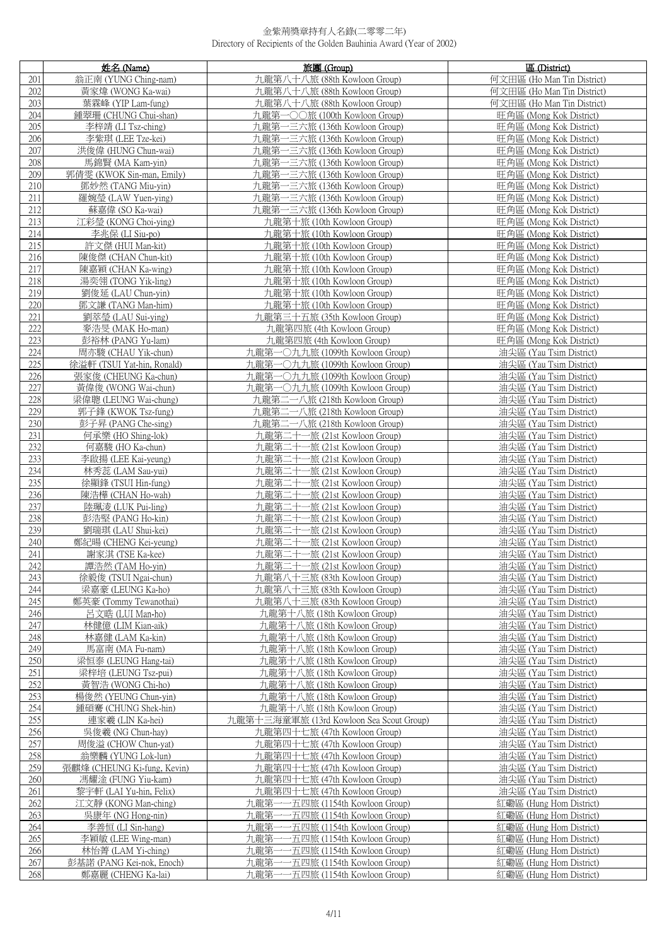|            | 姓名 (Name)                                | 旅團 (Group)                                                               | 區 (District)                                       |
|------------|------------------------------------------|--------------------------------------------------------------------------|----------------------------------------------------|
| 201        | 翁正南 (YUNG Ching-nam)                     | 九龍第八十八旅 (88th Kowloon Group)                                             | 何文田區 (Ho Man Tin District)                         |
| 202        | 黃家煒 (WONG Ka-wai)                        | 九龍第八十八旅 (88th Kowloon Group)                                             | 何文田區 (Ho Man Tin District)                         |
| 203        | 葉霖峰 (YIP Lam-fung)                       | 九龍第八十八旅 (88th Kowloon Group)                                             | 何文田區 (Ho Man Tin District)                         |
| 204        | 鍾翠珊 (CHUNG Chui-shan)                    | 九龍第一〇〇旅 (100th Kowloon Group)                                            | 旺角區 (Mong Kok District)                            |
| 205        | 李梓靖 (LI Tsz-ching)                       | 九龍第一三六旅 (136th Kowloon Group)                                            | 旺角區 (Mong Kok District)                            |
| 206        | 李紫琪 (LEE Tze-kei)                        | 九龍第一三六旅 (136th Kowloon Group)                                            | 旺角區 (Mong Kok District)                            |
| 207        | 洪俊偉 (HUNG Chun-wai)                      | 九龍第一三六旅 (136th Kowloon Group)                                            | 旺角區 (Mong Kok District)                            |
| 208        | 馬錦賢 (MA Kam-yin)                         | 九龍第一三六旅 (136th Kowloon Group)                                            | 旺角區 (Mong Kok District)                            |
| 209        | 郭倩雯 (KWOK Sin-man, Emily)                | 九龍第一三六旅 (136th Kowloon Group)                                            | 旺角區 (Mong Kok District)                            |
| 210        | 鄧妙然 (TANG Miu-yin)                       | 九龍第一三六旅 (136th Kowloon Group)                                            | 旺角區 (Mong Kok District)                            |
| 211        | 羅婉瑩 (LAW Yuen-ying)                      | 九龍第一三六旅 (136th Kowloon Group)                                            | 旺角區 (Mong Kok District)                            |
| 212        | 蘇嘉偉 (SO Ka-wai)                          | 九龍第一三六旅 (136th Kowloon Group)                                            | 旺角區 (Mong Kok District)                            |
| 213        | 江彩瑩 (KONG Choi-ying)                     | 九龍第十旅 (10th Kowloon Group)                                               | 旺角區 (Mong Kok District)                            |
| 214        | 李兆保 (LI Siu-po)                          | 九龍第十旅 (10th Kowloon Group)                                               | 旺角區 (Mong Kok District)                            |
| 215<br>216 | 許文傑 (HUI Man-kit)<br>陳俊傑 (CHAN Chun-kit) | 九龍第十旅 (10th Kowloon Group)<br>九龍第十旅 (10th Kowloon Group)                 | 旺角區 (Mong Kok District)<br>旺角區 (Mong Kok District) |
| 217        | 陳嘉穎 (CHAN Ka-wing)                       | 九龍第十旅 (10th Kowloon Group)                                               | 旺角區 (Mong Kok District)                            |
| 218        | 湯奕翎 (TONG Yik-ling)                      | 九龍第十旅 (10th Kowloon Group)                                               | 旺角區 (Mong Kok District)                            |
| 219        | 劉俊延 (LAU Chun-yin)                       | 九龍第十旅 (10th Kowloon Group)                                               | 旺角區 (Mong Kok District)                            |
| 220        | 鄧文謙 (TANG Man-him)                       | 九龍第十旅 (10th Kowloon Group)                                               | 旺角區 (Mong Kok District)                            |
| 221        | 劉萃瑩 (LAU Sui-ying)                       | 九龍第三十五旅 (35th Kowloon Group)                                             | 旺角區 (Mong Kok District)                            |
| 222        | 麥浩旻 (MAK Ho-man)                         | 九龍第四旅 (4th Kowloon Group)                                                | 旺角區 (Mong Kok District)                            |
| 223        | 彭裕林 (PANG Yu-lam)                        | 九龍第四旅 (4th Kowloon Group)                                                | 旺角區 (Mong Kok District)                            |
| 224        | 周亦駿 (CHAU Yik-chun)                      | 九龍第一〇九九旅 (1099th Kowloon Group)                                          | 油尖區 (Yau Tsim District)                            |
| 225        | 徐溢軒 (TSUI Yat-hin, Ronald)               | 九龍第一〇九九旅 (1099th Kowloon Group)                                          | 油尖區 (Yau Tsim District)                            |
| 226        | 張家俊 (CHEUNG Ka-chun)                     | 九龍第一〇九九旅 (1099th Kowloon Group)                                          | 油尖區 (Yau Tsim District)                            |
| 227        | 黃偉俊 (WONG Wai-chun)                      | 九龍第一〇九九旅 (1099th Kowloon Group)                                          | 油尖區 (Yau Tsim District)                            |
| 228        | 梁偉聰 (LEUNG Wai-chung)                    | 九龍第二一八旅 (218th Kowloon Group)                                            | 油尖區 (Yau Tsim District)                            |
| 229        | 郭子鋒 (KWOK Tsz-fung)                      | 九龍第二一八旅 (218th Kowloon Group)                                            | 油尖區 (Yau Tsim District)                            |
| 230        | 彭子昇 (PANG Che-sing)                      | 九龍第二一八旅 (218th Kowloon Group)                                            | 油尖區 (Yau Tsim District)                            |
| 231        | 何承樂 (HO Shing-lok)                       | 九龍第二十一旅 (21st Kowloon Group)                                             | 油尖區 (Yau Tsim District)                            |
| 232        | 何嘉駿 (HO Ka-chun)                         | 九龍第二十一旅 (21st Kowloon Group)                                             | 油尖區 (Yau Tsim District)                            |
| 233        | 李啟揚 (LEE Kai-yeung)                      | 九龍第二十一旅 (21st Kowloon Group)                                             | 油尖區 (Yau Tsim District)                            |
| 234        | 林秀蕊 (LAM Sau-yui)                        | 九龍第二十一<br>-旅 (21st Kowloon Group)                                        | 油尖區 (Yau Tsim District)                            |
| 235        | 徐顯鋒 (TSUI Hin-fung)                      | 九龍第二十<br>一旅 (21st Kowloon Group)                                         | 油尖區 (Yau Tsim District)                            |
| 236<br>237 | 陳浩槿 (CHAN Ho-wah)<br>陸珮淩 (LUK Pui-ling)  | 九龍第二十一旅 (21st Kowloon Group)<br>九龍第二十一旅 (21st Kowloon Group)             | 油尖區 (Yau Tsim District)<br>油尖區 (Yau Tsim District) |
| 238        | 彭浩堅 (PANG Ho-kin)                        | 九龍第二十一旅 (21st Kowloon Group)                                             | 油尖區 (Yau Tsim District)                            |
| 239        | 劉瑞琪 (LAU Shui-kei)                       | 九龍第二十一<br>-旅 (21st Kowloon Group)                                        | 油尖區 (Yau Tsim District)                            |
| 240        | 鄭紀暘 (CHENG Kei-yeung)                    | 九龍第二十一旅 (21st Kowloon Group)                                             | 油尖區 (Yau Tsim District)                            |
| 241        | 謝家淇 (TSE Ka-kee)                         | 九龍第二十一旅 (21st Kowloon Group)                                             | 油尖區 (Yau Tsim District)                            |
| 242        | 譚浩然 (TAM Ho-vin)                         | 九龍第二十一旅 (21st Kowloon Group)                                             | 油尖區 (Yau Tsim District)                            |
| 243        | 徐毅俊 (TSUI Ngai-chun)                     | 九龍第八十三旅 (83th Kowloon Group)                                             | 油尖區 (Yau Tsim District)                            |
| 244        | 梁嘉豪 (LEUNG Ka-ho)                        | 九龍第八十三旅 (83th Kowloon Group)                                             | 油尖區 (Yau Tsim District)                            |
| 245        | 鄭英豪 (Tommy Tewanothai)                   | 九龍第八十三旅 (83th Kowloon Group)                                             | 油尖區 (Yau Tsim District)                            |
| 246        | 呂文晧 (LUI Man-ho)                         | 九龍第十八旅 (18th Kowloon Group)                                              | 油尖區 (Yau Tsim District)                            |
| 247        | 林健億 (LIM Kian-aik)                       | 九龍第十八旅 (18th Kowloon Group)                                              | 油尖區 (Yau Tsim District)                            |
| 248        | 林嘉健 (LAM Ka-kin)                         | 九龍第十八旅 (18th Kowloon Group)                                              | 油尖區 (Yau Tsim District)                            |
| 249        | 馬富南 (MA Fu-nam)                          | 九龍第十八旅 (18th Kowloon Group)                                              | 油尖區 (Yau Tsim District)                            |
| 250        | 梁恒泰 (LEUNG Hang-tai)                     | 九龍第十八旅 (18th Kowloon Group)                                              | 油尖區 (Yau Tsim District)                            |
| 251        | 梁梓培 (LEUNG Tsz-pui)                      | 九龍第十八旅 (18th Kowloon Group)                                              | 油尖區 (Yau Tsim District)                            |
| 252        | 黃智浩 (WONG Chi-ho)                        | 九龍第十八旅 (18th Kowloon Group)                                              | 油尖區 (Yau Tsim District)                            |
| 253<br>254 | 楊俊然 (YEUNG Chun-yin)                     | 九龍第十八旅 (18th Kowloon Group)                                              | 油尖區 (Yau Tsim District)                            |
| 255        | 鍾碩騫 (CHUNG Shek-hin)<br>連家羲 (LIN Ka-hei) | 九龍第十八旅 (18th Kowloon Group)                                              | 油尖區 (Yau Tsim District)                            |
| 256        | 吳俊羲 (NG Chun-hay)                        | 九龍第十三海童軍旅 (13rd Kowloon Sea Scout Group)<br>九龍第四十七旅 (47th Kowloon Group) | 油尖區 (Yau Tsim District)<br>油尖區 (Yau Tsim District) |
| 257        | 周俊溢 (CHOW Chun-yat)                      | 九龍第四十七旅 (47th Kowloon Group)                                             | 油尖區 (Yau Tsim District)                            |
| 258        | 翁樂麟 (YUNG Lok-lun)                       | 九龍第四十七旅 (47th Kowloon Group)                                             | 油尖區 (Yau Tsim District)                            |
| 259        | 張麒烽 (CHEUNG Ki-fung, Kevin)              | 九龍第四十七旅 (47th Kowloon Group)                                             | 油尖區 (Yau Tsim District)                            |
| 260        | 馮耀淦 (FUNG Yiu-kam)                       | 九龍第四十七旅 (47th Kowloon Group)                                             | 油尖區 (Yau Tsim District)                            |
| 261        | 黎宇軒 (LAI Yu-hin, Felix)                  | 九龍第四十七旅 (47th Kowloon Group)                                             | 油尖區 (Yau Tsim District)                            |
| 262        | 江文靜 (KONG Man-ching)                     | 九龍第一<br>一五四旅 (1154th Kowloon Group)                                      | 紅磡區 (Hung Hom District)                            |
| 263        | 吳康年 (NG Hong-nin)                        | 九龍第<br>-五四旅 (1154th Kowloon Group)                                       | 紅磡區 (Hung Hom District)                            |
| 264        | 李善恒 (LI Sin-hang)                        | 九龍第<br>-五四旅 (1154th Kowloon Group)                                       | 紅磡區 (Hung Hom District)                            |
| 265        | 李穎敏 (LEE Wing-man)                       | 九龍第<br>-五四旅 (1154th Kowloon Group)                                       | 紅磡區 (Hung Hom District)                            |
| 266        | 林怡菁 (LAM Yi-ching)                       | -五四旅 (1154th Kowloon Group)<br>九龍第                                       | 紅磡區 (Hung Hom District)                            |
| 267        | 彭基諾 (PANG Kei-nok, Enoch)                | 九龍第<br>-五四旅 (1154th Kowloon Group)                                       | 紅磡區 (Hung Hom District)                            |
| 268        | 鄭嘉麗 (CHENG Ka-lai)                       | -五四旅 (1154th Kowloon Group)<br>九龍第                                       | 紅磡區 (Hung Hom District)                            |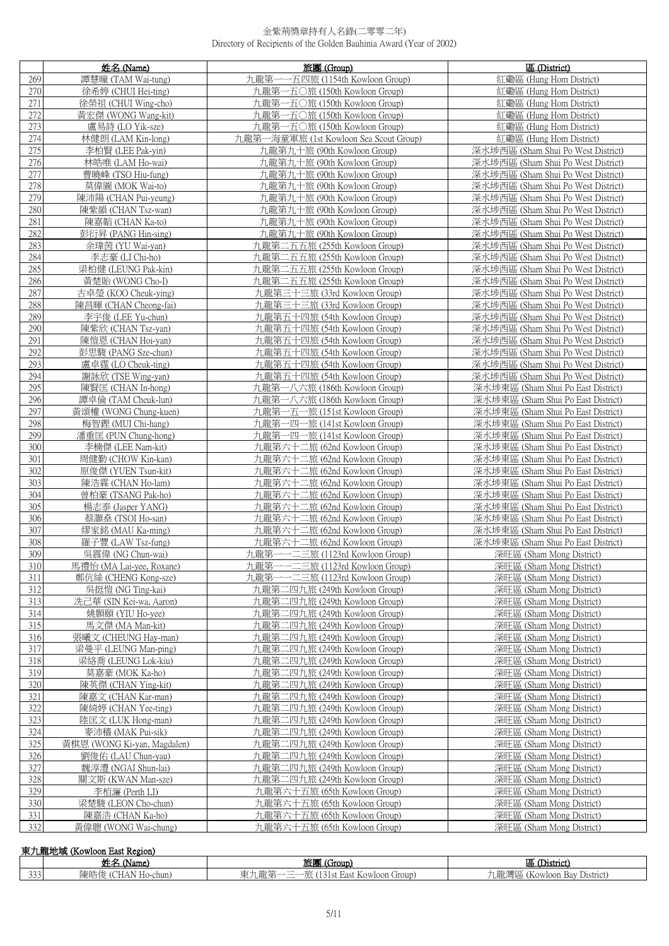|            | 姓名 (Name)                                 | 旅團 (Group)                                                     | 區 (District)                                                             |
|------------|-------------------------------------------|----------------------------------------------------------------|--------------------------------------------------------------------------|
| 269        | 譚慧曈 (TAM Wai-tung)                        | 九龍第<br>一五四旅 (1154th Kowloon Group)                             | 紅磡區 (Hung Hom District)                                                  |
| 270        | 徐希婷 (CHUI Hei-ting)                       | 九龍第一五〇旅 (150th Kowloon Group)                                  | 紅磡區 (Hung Hom District)                                                  |
| 271        | 徐榮祖 (CHUI Wing-cho)                       | 一五〇旅 (150th Kowloon Group)<br>九龍第                              | 紅磡區 (Hung Hom District)                                                  |
| 272        | 黃宏傑 (WONG Wang-kit)                       | 九龍第一五〇旅 (150th Kowloon Group)                                  | 紅磡區 (Hung Hom District)                                                  |
| 273        | 盧易詩 (LO Yik-sze)                          | 九龍第一五〇旅 (150th Kowloon Group)                                  | 紅磡區 (Hung Hom District)                                                  |
| 274        | 林健朗 (LAM Kin-long)                        | 九龍第一海童軍旅 (1st Kowloon Sea Scout Group)                         | 紅磡區 (Hung Hom District)                                                  |
| 275        | 李柏賢 (LEE Pak-yin)                         | 九龍第九十旅 (90th Kowloon Group)                                    | 深水埗西區 (Sham Shui Po West District)                                       |
| 276        | 林皓唯 (LAM Ho-wai)                          | 九龍第九十旅 (90th Kowloon Group)                                    | 深水埗西區 (Sham Shui Po West District)                                       |
| 277        | 曹曉峰 (TSO Hiu-fung)                        | 九龍第九十旅 (90th Kowloon Group)                                    | 深水埗西區 (Sham Shui Po West District)                                       |
| 278        | 莫偉圖 (MOK Wai-to)                          | 九龍第九十旅 (90th Kowloon Group)                                    | 深水埗西區 (Sham Shui Po West District)                                       |
| 279        | 陳沛陽 (CHAN Pui-yeung)                      | 九龍第九十旅 (90th Kowloon Group)                                    | 深水埗西區 (Sham Shui Po West District)                                       |
| 280        | 陳紫韻 (CHAN Tsz-wan)                        | 九龍第九十旅 (90th Kowloon Group)                                    | 深水埗西區 (Sham Shui Po West District)                                       |
| 281        | 陳嘉韜 (CHAN Ka-to)                          | 九龍第九十旅 (90th Kowloon Group)                                    | 深水埗西區 (Sham Shui Po West District)                                       |
| 282        | 彭衍昇 (PANG Hin-sing)                       | 九龍第九十旅 (90th Kowloon Group)                                    | 深水埗西區 (Sham Shui Po West District)                                       |
| 283        | 余瑋茵 (YU Wai-yan)                          | 九龍第二五五旅 (255th Kowloon Group)                                  | 深水埗西區 (Sham Shui Po West District)                                       |
| 284        | 李志豪 (LI Chi-ho)                           | 九龍第二五五旅 (255th Kowloon Group)                                  | 深水埗西區 (Sham Shui Po West District)                                       |
| 285        | 梁柏健 (LEUNG Pak-kin)                       | 九龍第二五五旅 (255th Kowloon Group)                                  | 深水埗西區 (Sham Shui Po West District)                                       |
| 286        | 黃楚貽 (WONG Cho-I)                          | 九龍第二五五旅 (255th Kowloon Group)                                  | 深水埗西區 (Sham Shui Po West District)                                       |
| 287        | 古卓瑩 (KOO Cheuk-ying)                      | 九龍第三十三旅 (33rd Kowloon Group)                                   | 深水埗西區 (Sham Shui Po West District)                                       |
| 288        | 陳昌暉 (CHAN Cheong-fai)                     | 九龍第三十三旅 (33rd Kowloon Group)                                   | 深水埗西區 (Sham Shui Po West District)                                       |
| 289        | 李宇俊 (LEE Yu-chun)                         | 九龍第五十四旅 (54th Kowloon Group)                                   | 深水埗西區 (Sham Shui Po West District)                                       |
| 290        | 陳紫欣 (CHAN Tsz-yan)                        | 九龍第五十四旅 (54th Kowloon Group)                                   | 深水埗西區 (Sham Shui Po West District)                                       |
| 291        | 陳愷恩 (CHAN Hoi-yan)                        | 九龍第五十四旅 (54th Kowloon Group)                                   | 深水埗西區 (Sham Shui Po West District)                                       |
| 292        | 彭思駿 (PANG Sze-chun)                       | 九龍第五十四旅 (54th Kowloon Group)                                   | 深水埗西區 (Sham Shui Po West District)                                       |
| 293        | 盧卓霆 (LO Cheuk-ting)                       | 九龍第五十四旅 (54th Kowloon Group)                                   | 深水埗西區 (Sham Shui Po West District)                                       |
| 294        | 謝詠欣 (TSE Wing-yan)                        | 九龍第五十四旅 (54th Kowloon Group)                                   | 深水埗西區 (Sham Shui Po West District)                                       |
| 295        | 陳賢匡 (CHAN In-hong)                        | 九龍第一八六旅 (186th Kowloon Group)                                  | 深水埗東區 (Sham Shui Po East District)                                       |
| 296        | 譚卓倫 (TAM Cheuk-lun)                       | 九龍第一八六旅 (186th Kowloon Group)                                  | 深水埗東區 (Sham Shui Po East District)                                       |
| 297        | 黃頌權 (WONG Chung-kuen)                     | 九龍第一五一旅 (151st Kowloon Group)                                  | 深水埗東區 (Sham Shui Po East District)                                       |
| 298<br>299 | 梅智鏗 (MUI Chi-hang)                        | 九龍第一四一旅 (141st Kowloon Group)                                  | 深水埗東區 (Sham Shui Po East District)                                       |
| 300        | 潘重匡 (PUN Chung-hong)<br>李楠傑 (LEE Nam-kit) | 九龍第一四一旅 (141st Kowloon Group)<br>九龍第六十二旅 (62nd Kowloon Group)  | 深水埗東區 (Sham Shui Po East District)<br>深水埗東區 (Sham Shui Po East District) |
| 301        | 周健勤 (CHOW Kin-kan)                        | 九龍第六十二旅 (62nd Kowloon Group)                                   | 深水埗東區 (Sham Shui Po East District)                                       |
| 302        | 原俊傑 (YUEN Tsun-kit)                       | 九龍第六十二旅 (62nd Kowloon Group)                                   | 深水埗東區 (Sham Shui Po East District)                                       |
| 303        | 陳浩霖 (CHAN Ho-lam)                         | 九龍第六十二旅 (62nd Kowloon Group)                                   | 深水埗東區 (Sham Shui Po East District)                                       |
| 304        | 曾柏豪 (TSANG Pak-ho)                        | 九龍第六十二旅 (62nd Kowloon Group)                                   | 深水埗東區 (Sham Shui Po East District)                                       |
| 305        | 楊志泰 (Jasper YANG)                         | 九龍第六十二旅 (62nd Kowloon Group)                                   | 深水埗東區 (Sham Shui Po East District)                                       |
| 306        | 蔡灝燊 (TSOI Ho-san)                         | 九龍第六十二旅 (62nd Kowloon Group)                                   | 深水埗東區 (Sham Shui Po East District)                                       |
| 307        | 繆家銘 (MAU Ka-ming)                         | 九龍第六十二旅 (62nd Kowloon Group)                                   | 深水埗東區 (Sham Shui Po East District)                                       |
| 308        | 羅子豐 (LAW Tsz-fung)                        | 九龍第六十二旅 (62nd Kowloon Group)                                   | 深水埗東區 (Sham Shui Po East District)                                       |
| 309        | 吳震偉 (NG Chun-wai)                         | 九龍第一一二三旅 (1123rd Kowloon Group)                                | 深旺區 (Sham Mong District)                                                 |
| 310        | 馬禮怡 (MA Lai-yee, Roxane)                  | 九龍第一一二三旅 (1123rd Kowloon Group)                                | 深旺區 (Sham Mong District)                                                 |
| 311        | 鄭伉絲 (CHENG Kong-sze)                      | 九龍第一一二三旅 (1123rd Kowloon Group)                                | 深旺區 (Sham Mong District)                                                 |
| 312        | 吳挺愷 (NG Ting-kai)                         | 九龍第二四九旅 (249th Kowloon Group)                                  | 深旺區 (Sham Mong District)                                                 |
| 313        | 冼己華 (SIN Kei-wa, Aaron)                   | 九龍第二四九旅 (249th Kowloon Group)                                  | 深旺區 (Sham Mong District)                                                 |
| 314        | 姚顥頤 (YIU Ho-yee)                          | 九龍第二四九旅 (249th Kowloon Group)                                  | 深旺區 (Sham Mong District)                                                 |
| 315        | 馬文傑 (MA Man-kit)                          | 九龍第二四九旅 (249th Kowloon Group)                                  | 深旺區 (Sham Mong District)                                                 |
| 316        | 張曦文 (CHEUNG Hay-man)                      | 九龍第二四九旅 (249th Kowloon Group)                                  | 深旺區 (Sham Mong District)                                                 |
| 317        | 梁曼平 (LEUNG Man-ping)                      | 九龍第二四九旅 (249th Kowloon Group)                                  | 深旺區 (Sham Mong District)                                                 |
| 318        | 梁絡喬 (LEUNG Lok-kiu)                       | 九龍第二四九旅 (249th Kowloon Group)<br>九龍第二四九旅 (249th Kowloon Group) | 深旺區 (Sham Mong District)                                                 |
| 319        | 莫嘉豪 (MOK Ka-ho)                           |                                                                | 深旺區 (Sham Mong District)                                                 |
| 320<br>321 | 陳英傑 (CHAN Ying-kit)<br>陳嘉文 (CHAN Kar-man) | 九龍第二四九旅 (249th Kowloon Group)<br>九龍第二四九旅 (249th Kowloon Group) | 深旺區 (Sham Mong District)<br>深旺區 (Sham Mong District)                     |
| 322        | 陳綺婷 (CHAN Yee-ting)                       | 九龍第二四九旅 (249th Kowloon Group)                                  | 深旺區 (Sham Mong District)                                                 |
| 323        | 陸匡文 (LUK Hong-man)                        | 九龍第二四九旅 (249th Kowloon Group)                                  | 深旺區 (Sham Mong District)                                                 |
| 324        | 麥沛穡 (MAK Pui-sik)                         | 九龍第二四九旅 (249th Kowloon Group)                                  | 深旺區 (Sham Mong District)                                                 |
| 325        | 黃棋恩 (WONG Ki-yan, Magdalen)               | 九龍第二四九旅 (249th Kowloon Group)                                  | 深旺區 (Sham Mong District)                                                 |
| 326        | 劉俊佑 (LAU Chun-yau)                        | 九龍第二四九旅 (249th Kowloon Group)                                  | 深旺區 (Sham Mong District)                                                 |
| 327        | 魏淳澧 (NGAI Shun-lai)                       | 九龍第二四九旅 (249th Kowloon Group)                                  | 深旺區 (Sham Mong District)                                                 |
| 328        | 關文斯 (KWAN Man-sze)                        | 九龍第二四九旅 (249th Kowloon Group)                                  | 深旺區 (Sham Mong District)                                                 |
| 329        | 李栢濂 (Perth LI)                            | 九龍第六十五旅 (65th Kowloon Group)                                   | 深旺區 (Sham Mong District)                                                 |
| 330        | 梁楚駿 (LEON Cho-chun)                       | 九龍第六十五旅 (65th Kowloon Group)                                   | 深旺區 (Sham Mong District)                                                 |
| 331        | 陳嘉浩 (CHAN Ka-ho)                          | 九龍第六十五旅 (65th Kowloon Group)                                   | 深旺區 (Sham Mong District)                                                 |
| 332        | 黃偉聰 (WONG Wai-chung)                      | 九龍第六十五旅 (65th Kowloon Group)                                   | 深旺區 (Sham Mong District)                                                 |

|     | 東九龍地域 (Kowloon East Region) |                                                                     |                                |  |  |  |
|-----|-----------------------------|---------------------------------------------------------------------|--------------------------------|--|--|--|
|     | 姓名<br>Name <sub>r</sub>     | 旅團<br>$\sqrt{2}$<br>(iroup)                                         | District)<br>品                 |  |  |  |
| 333 | 陳皓俊<br>(CHAN Ho-chun)       | <sup>t</sup> East Kowloon Group)<br>ਰਾਜ<br>$\overline{\phantom{a}}$ | (Kowloon Bay District)<br>九龍灣區 |  |  |  |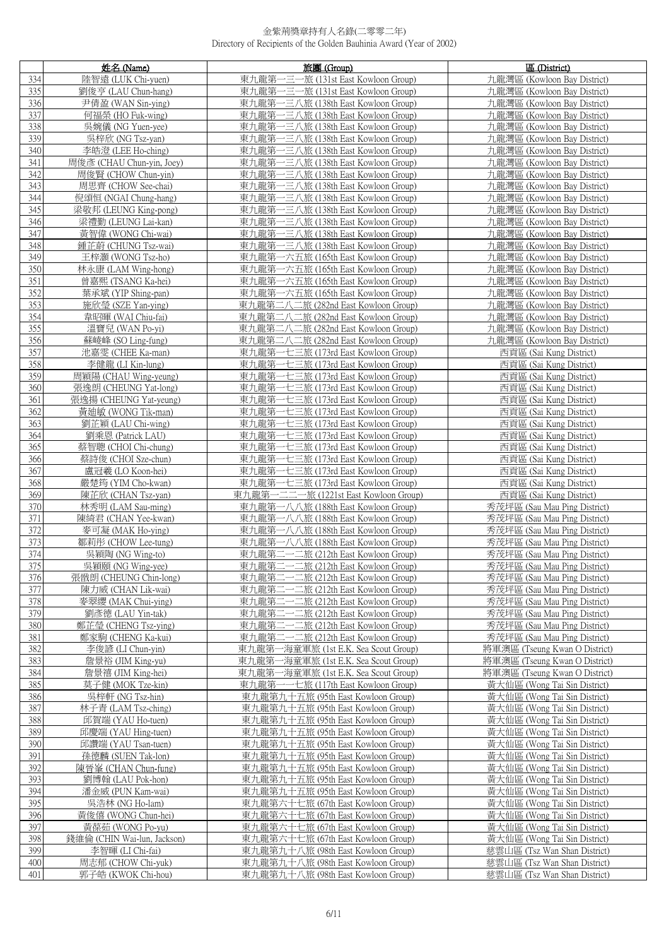|            | 姓名 (Name)                                       | 旅團 (Group)                                                                 | 區 (District)                                                 |
|------------|-------------------------------------------------|----------------------------------------------------------------------------|--------------------------------------------------------------|
| 334        | 陸智遠 (LUK Chi-yuen)                              | 東九龍第一三-<br>一旅 (131st East Kowloon Group)                                   | 九龍灣區 (Kowloon Bay District)                                  |
| 335        | 劉俊亨 (LAU Chun-hang)                             | 東九龍第一三一旅 (131st East Kowloon Group)                                        | 九龍灣區 (Kowloon Bay District)                                  |
| 336        | 尹倩盈 (WAN Sin-ying)                              | 東九龍第一三八旅 (138th East Kowloon Group)                                        | 九龍灣區 (Kowloon Bay District)                                  |
| 337        | 何福榮 (HO Fuk-wing)                               | 東九龍第一三八旅 (138th East Kowloon Group)                                        | 九龍灣區 (Kowloon Bay District)                                  |
| 338        | 吳婉儀 (NG Yuen-yee)                               | 東九龍第一三八旅 (138th East Kowloon Group)                                        | 九龍灣區 (Kowloon Bay District)                                  |
| 339        | 吳梓欣 (NG Tsz-yan)                                | 東九龍第一三八旅 (138th East Kowloon Group)                                        | 九龍灣區 (Kowloon Bay District)                                  |
| 340        | 李皓澄 (LEE Ho-ching)                              | 東九龍第一三八旅 (138th East Kowloon Group)                                        | 九龍灣區 (Kowloon Bay District)                                  |
| 341        | 周俊彥 (CHAU Chun-yin, Joey)                       | 東九龍第一三八旅 (138th East Kowloon Group)                                        | 九龍灣區 (Kowloon Bay District)                                  |
| 342        | 周俊賢 (CHOW Chun-yin)                             | 東九龍第一三八旅 (138th East Kowloon Group)                                        | 九龍灣區 (Kowloon Bay District)                                  |
| 343<br>344 | 周思齊 (CHOW See-chai)<br>倪頌恒 (NGAI Chung-hang)    | 東九龍第一三八旅 (138th East Kowloon Group)<br>東九龍第一三八旅 (138th East Kowloon Group) | 九龍灣區 (Kowloon Bay District)<br>九龍灣區 (Kowloon Bay District)   |
| 345        | 梁敬邦 (LEUNG King-pong)                           | 東九龍第一三八旅 (138th East Kowloon Group)                                        | 九龍灣區 (Kowloon Bay District)                                  |
| 346        | 梁禮勤 (LEUNG Lai-kan)                             | 東九龍第一三八旅 (138th East Kowloon Group)                                        | 九龍灣區 (Kowloon Bay District)                                  |
| 347        | 黃智偉 (WONG Chi-wai)                              | 東九龍第一三八旅 (138th East Kowloon Group)                                        | 九龍灣區 (Kowloon Bay District)                                  |
| 348        | 鍾芷蔚 (CHUNG Tsz-wai)                             | 東九龍第一三八旅 (138th East Kowloon Group)                                        | 九龍灣區 (Kowloon Bay District)                                  |
| 349        | 王梓灝 (WONG Tsz-ho)                               | 東九龍第一六五旅 (165th East Kowloon Group)                                        | 九龍灣區 (Kowloon Bay District)                                  |
| 350        | 林永康 (LAM Wing-hong)                             | 東九龍第一六五旅 (165th East Kowloon Group)                                        | 九龍灣區 (Kowloon Bay District)                                  |
| 351        | 曾嘉熙 (TSANG Ka-hei)                              | 東九龍第一六五旅 (165th East Kowloon Group)                                        | 九龍灣區 (Kowloon Bay District)                                  |
| 352        | 葉承斌 (YIP Shing-pan)                             | 東九龍第一六五旅 (165th East Kowloon Group)                                        | 九龍灣區 (Kowloon Bay District)                                  |
| 353        | 施欣瑩 (SZE Yan-ying)                              | 東九龍第二八二旅 (282nd East Kowloon Group)                                        | 九龍灣區 (Kowloon Bay District)                                  |
| 354        | 韋昭暉 (WAI Chiu-fai)                              | 東九龍第二八二旅 (282nd East Kowloon Group)                                        | 九龍灣區 (Kowloon Bay District)                                  |
| 355        | 溫寶兒 (WAN Po-yi)                                 | 東九龍第二八二旅 (282nd East Kowloon Group)                                        | 九龍灣區 (Kowloon Bay District)                                  |
| 356<br>357 | 蘇崚峰 (SO Ling-fung)<br>池嘉雯 (CHEE Ka-man)         | 東九龍第二八二旅 (282nd East Kowloon Group)<br>東九龍第一七三旅 (173rd East Kowloon Group) | 九龍灣區 (Kowloon Bay District)<br>西貢區 (Sai Kung District)       |
| 358        | 李健龍 (LI Kin-lung)                               | 東九龍第一七三旅 (173rd East Kowloon Group)                                        | 西貢區 (Sai Kung District)                                      |
| 359        | 周穎陽 (CHAU Wing-yeung)                           | 東九龍第一七三旅 (173rd East Kowloon Group)                                        | 西貢區 (Sai Kung District)                                      |
| 360        | 張逸朗 (CHEUNG Yat-long)                           | 東九龍第一七三旅 (173rd East Kowloon Group)                                        | 西貢區 (Sai Kung District)                                      |
| 361        | 張逸揚 (CHEUNG Yat-yeung)                          | 東九龍第一七三旅 (173rd East Kowloon Group)                                        | 西貢區 (Sai Kung District)                                      |
| 362        | 黃廸敏 (WONG Tik-man)                              | 東九龍第一七三旅 (173rd East Kowloon Group)                                        | 西貢區 (Sai Kung District)                                      |
| 363        | 劉芷穎 (LAU Chi-wing)                              | 東九龍第一七三旅 (173rd East Kowloon Group)                                        | 西貢區 (Sai Kung District)                                      |
| 364        | 劉乘恩 (Patrick LAU)                               | 東九龍第一七三旅 (173rd East Kowloon Group)                                        | 西貢區 (Sai Kung District)                                      |
| 365        | 蔡智聰 (CHOI Chi-chung)                            | 東九龍第一七三旅 (173rd East Kowloon Group)                                        | 西貢區 (Sai Kung District)                                      |
| 366        | 蔡詩俊 (CHOI Sze-chun)                             | 東九龍第一七三旅 (173rd East Kowloon Group)                                        | 西貢區 (Sai Kung District)                                      |
| 367<br>368 | 盧冠羲 (LO Koon-hei)<br>嚴楚筠 (YIM Cho-kwan)         | 東九龍第一七三旅 (173rd East Kowloon Group)<br>東九龍第一七三旅 (173rd East Kowloon Group) | 西貢區 (Sai Kung District)<br>西貢區 (Sai Kung District)           |
| 369        | 陳芷欣 (CHAN Tsz-yan)                              | 東九龍第一二二一旅 (1221st East Kowloon Group)                                      | 西貢區 (Sai Kung District)                                      |
| 370        | 林秀明 (LAM Sau-ming)                              | 東九龍第一八八旅 (188th East Kowloon Group)                                        | 秀茂坪區 (Sau Mau Ping District)                                 |
| 371        | 陳綺君 (CHAN Yee-kwan)                             | 東九龍第一八八旅 (188th East Kowloon Group)                                        | 秀茂坪區 (Sau Mau Ping District)                                 |
| 372        | 麥可凝 (MAK Ho-ying)                               | 東九龍第一八八旅 (188th East Kowloon Group)                                        | 秀茂坪區 (Sau Mau Ping District)                                 |
| 373        | 鄒莉彤 (CHOW Lee-tung)                             | 東九龍第一八八旅 (188th East Kowloon Group)                                        | 秀茂坪區 (Sau Mau Ping District)                                 |
| 374        | 吳穎陶 (NG Wing-to)                                | 東九龍第二一二旅 (212th East Kowloon Group)                                        | 秀茂坪區 (Sau Mau Ping District)                                 |
| 375        | 吳穎頤 (NG Wing-yee)                               | 東九龍第二一二旅 (212th East Kowloon Group)                                        | 秀茂坪區 (Sau Mau Ping District)                                 |
| 376        | 張戩朗 (CHEUNG Chin-long)                          | 東九龍第二一二旅 (212th East Kowloon Group)<br>東九龍第二一二旅 (212th East Kowloon Group) | 秀茂坪區 (Sau Mau Ping District)                                 |
| 377<br>378 | 陳力威 (CHAN Lik-wai)<br>麥翠纓 (MAK Chui-ying)       | 東九龍第二一二旅 (212th East Kowloon Group)                                        | 秀茂坪區 (Sau Mau Ping District)<br>秀茂坪區 (Sau Mau Ping District) |
| 379        | 劉彥德 (LAU Yin-tak)                               | 東九龍第二一二旅 (212th East Kowloon Group)                                        | 秀茂坪區 (Sau Mau Ping District)                                 |
| 380        | 鄭芷瑩 (CHENG Tsz-ving)                            | 東九龍第二一二旅 (212th East Kowloon Group)                                        | 秀茂坪區 (Sau Mau Ping District)                                 |
| 381        | 鄭家駒 (CHENG Ka-kui)                              | 東九龍第二一二旅 (212th East Kowloon Group)                                        | 秀茂坪區 (Sau Mau Ping District)                                 |
| 382        | 李俊諺 (LI Chun-yin)                               | 東九龍第一海童軍旅 (1st E.K. Sea Scout Group)                                       | 將軍澳區 (Tseung Kwan O District)                                |
| 383        | 詹景裕 (JIM King-yu)                               | 東九龍第一海童軍旅 (1st E.K. Sea Scout Group)                                       | 將軍澳區 (Tseung Kwan O District)                                |
| 384        | 詹景禧 (JIM King-hei)                              | 東九龍第一海童軍旅 (1st E.K. Sea Scout Group)                                       | 將軍澳區 (Tseung Kwan O District)                                |
| 385        | 莫子健 (MOK Tze-kin)                               | -七旅 (117th East Kowloon Group)<br>東九龍第-                                    | 黃大仙區 (Wong Tai Sin District)                                 |
| 386<br>387 | 吳梓軒 (NG Tsz-hin)<br>林子青 (LAM Tsz-ching)         | 東九龍第九十五旅 (95th East Kowloon Group)<br>東九龍第九十五旅 (95th East Kowloon Group)   | 黃大仙區 (Wong Tai Sin District)<br>黃大仙區 (Wong Tai Sin District) |
| 388        | 邱賀端 (YAU Ho-tuen)                               | 東九龍第九十五旅 (95th East Kowloon Group)                                         | 黃大仙區 (Wong Tai Sin District)                                 |
| 389        | 邱慶端 (YAU Hing-tuen)                             | 東九龍第九十五旅 (95th East Kowloon Group)                                         | 黃大仙區 (Wong Tai Sin District)                                 |
| 390        | 邱讚端 (YAU Tsan-tuen)                             | 東九龍第九十五旅 (95th East Kowloon Group)                                         | 黃大仙區 (Wong Tai Sin District)                                 |
| 391        | 孫德麟 (SUEN Tak-lon)                              | 東九龍第九十五旅 (95th East Kowloon Group)                                         | 黃大仙區 (Wong Tai Sin District)                                 |
| 392        | 陳晉峯 (CHAN Chun-fung)                            | 東九龍第九十五旅 (95th East Kowloon Group)                                         | 黃大仙區 (Wong Tai Sin District)                                 |
| 393        | 劉博翰 (LAU Pok-hon)                               | 東九龍第九十五旅 (95th East Kowloon Group)                                         | 黃大仙區 (Wong Tai Sin District)                                 |
| 394        | 潘金威 (PUN Kam-wai)                               | 東九龍第九十五旅 (95th East Kowloon Group)                                         | 黃大仙區 (Wong Tai Sin District)                                 |
| 395        | 吳浩林 (NG Ho-lam)                                 | 東九龍第六十七旅 (67th East Kowloon Group)                                         | 黃大仙區 (Wong Tai Sin District)                                 |
| 396        | 黃俊僖 (WONG Chun-hei)                             | 東九龍第六十七旅 (67th East Kowloon Group)                                         | 黃大仙區 (Wong Tai Sin District)                                 |
| 397<br>398 | 黃葆茹 (WONG Po-yu)<br>錢維倫 (CHIN Wai-lun, Jackson) | 東九龍第六十七旅 (67th East Kowloon Group)<br>東九龍第六十七旅 (67th East Kowloon Group)   | 黃大仙區 (Wong Tai Sin District)<br>黃大仙區 (Wong Tai Sin District) |
| 399        | 李智暉 (LI Chi-fai)                                | 東九龍第九十八旅 (98th East Kowloon Group)                                         | 慈雲山區 (Tsz Wan Shan District)                                 |
| 400        | 周志郁 (CHOW Chi-yuk)                              | 東九龍第九十八旅 (98th East Kowloon Group)                                         | 慈雲山區 (Tsz Wan Shan District)                                 |
| 401        | 郭子皓 (KWOK Chi-hou)                              | 東九龍第九十八旅 (98th East Kowloon Group)                                         | 慈雲山區 (Tsz Wan Shan District)                                 |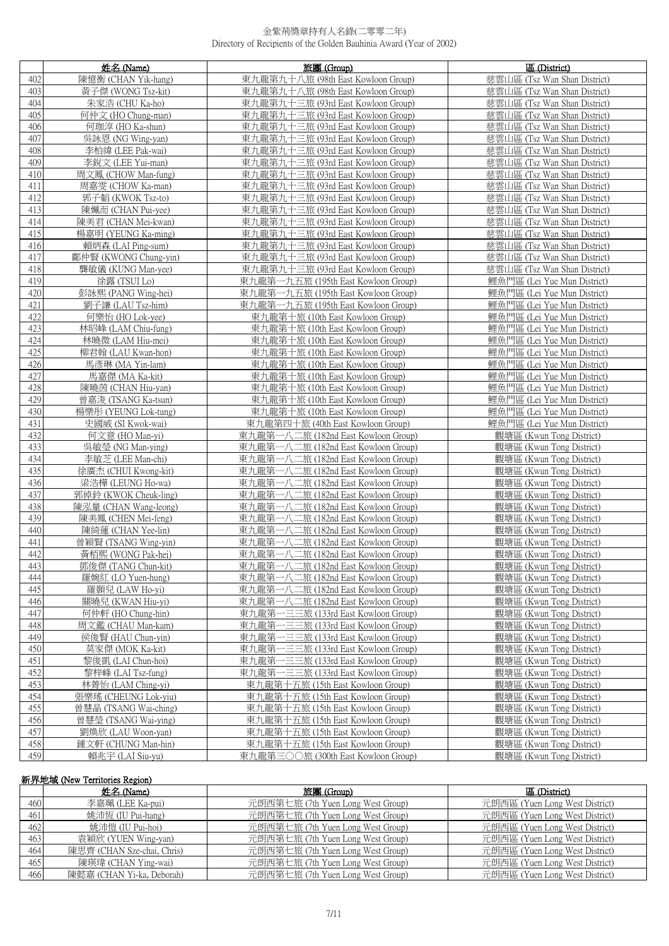| 402<br>陳憶衡 (CHAN Yik-hang)<br>東九龍第九十八旅 (98th East Kowloon Group)<br>慈雲山區 (Tsz Wan Shan District)<br>403<br>黃子傑 (WONG Tsz-kit)<br>東九龍第九十八旅 (98th East Kowloon Group)<br>慈雲山區 (Tsz Wan Shan District)<br>404<br>朱家浩 (CHU Ka-ho)<br>東九龍第九十三旅 (93rd East Kowloon Group)<br>慈雲山區 (Tsz Wan Shan District)<br>405<br>東九龍第九十三旅 (93rd East Kowloon Group)<br>慈雲山區 (Tsz Wan Shan District)<br>何仲文 (HO Chung-man)<br>東九龍第九十三旅 (93rd East Kowloon Group)<br>慈雲山區 (Tsz Wan Shan District)<br>406<br>何珈淳 (HO Ka-shun)<br>407<br>吳詠恩 (NG Wing-yan)<br>東九龍第九十三旅 (93rd East Kowloon Group)<br>慈雲山區 (Tsz Wan Shan District)<br>東九龍第九十三旅 (93rd East Kowloon Group)<br>408<br>李柏緯 (LEE Pak-wai)<br>慈雲山區 (Tsz Wan Shan District)<br>東九龍第九十三旅 (93rd East Kowloon Group)<br>409<br>李銳文 (LEE Yui-man)<br>慈雲山區 (Tsz Wan Shan District)<br>周文鳳 (CHOW Man-fung)<br>東九龍第九十三旅 (93rd East Kowloon Group)<br>慈雲山區 (Tsz Wan Shan District)<br>410<br>411<br>東九龍第九十三旅 (93rd East Kowloon Group)<br>慈雲山區 (Tsz Wan Shan District)<br>周嘉雯 (CHOW Ka-man)<br>東九龍第九十三旅 (93rd East Kowloon Group)<br>412<br>郭子韜 (KWOK Tsz-to)<br>慈雲山區 (Tsz Wan Shan District)<br>東九龍第九十三旅 (93rd East Kowloon Group)<br>陳姵而 (CHAN Pui-yee)<br>慈雲山區 (Tsz Wan Shan District)<br>413<br>陳美君 (CHAN Mei-kwan)<br>東九龍第九十三旅 (93rd East Kowloon Group)<br>慈雲山區 (Tsz Wan Shan District)<br>414<br>楊嘉明 (YEUNG Ka-ming)<br>東九龍第九十三旅 (93rd East Kowloon Group)<br>慈雲山區 (Tsz Wan Shan District)<br>415<br>東九龍第九十三旅 (93rd East Kowloon Group)<br>慈雲山區 (Tsz Wan Shan District)<br>416<br>賴炳森 (LAI Ping-sum)<br>鄺仲賢 (KWONG Chung-yin)<br>東九龍第九十三旅 (93rd East Kowloon Group)<br>慈雲山區 (Tsz Wan Shan District)<br>417<br>418<br>龔敏儀 (KUNG Man-yee)<br>東九龍第九十三旅 (93rd East Kowloon Group)<br>慈雲山區 (Tsz Wan Shan District)<br>徐露 (TSUI Lo)<br>東九龍第一九五旅 (195th East Kowloon Group)<br>鯉魚門區 (Lei Yue Mun District)<br>419<br>彭詠熙 (PANG Wing-hei)<br>鯉魚門區 (Lei Yue Mun District)<br>420<br>東九龍第一九五旅 (195th East Kowloon Group)<br>鯉魚門區 (Lei Yue Mun District)<br>421<br>劉子謙 (LAU Tsz-him)<br>東九龍第一九五旅 (195th East Kowloon Group)<br>422<br>何樂怡 (HO Lok-yee)<br>東九龍第十旅 (10th East Kowloon Group)<br>鯉魚門區 (Lei Yue Mun District)<br>423<br>鯉魚門區 (Lei Yue Mun District)<br>林昭峰 (LAM Chiu-fung)<br>東九龍第十旅 (10th East Kowloon Group)<br>424<br>林曉微 (LAM Hiu-mei)<br>東九龍第十旅 (10th East Kowloon Group)<br>鯉魚門區 (Lei Yue Mun District)<br>425<br>鯉魚門區 (Lei Yue Mun District)<br>柳君翰 (LAU Kwan-hon)<br>東九龍第十旅 (10th East Kowloon Group)<br>426<br>馬彥琳 (MA Yin-lam)<br>東九龍第十旅 (10th East Kowloon Group)<br>鯉魚門區 (Lei Yue Mun District)<br>427<br>馬嘉傑 (MA Ka-kit)<br>東九龍第十旅 (10th East Kowloon Group)<br>鯉魚門區 (Lei Yue Mun District)<br>428<br>東九龍第十旅 (10th East Kowloon Group)<br>鯉魚門區 (Lei Yue Mun District)<br>陳曉茵 (CHAN Hiu-yan)<br>429<br>鯉魚門區 (Lei Yue Mun District)<br>曾嘉浚 (TSANG Ka-tsun)<br>東九龍第十旅 (10th East Kowloon Group)<br>430<br>楊樂彤 (YEUNG Lok-tung)<br>鯉魚門區 (Lei Yue Mun District)<br>東九龍第十旅 (10th East Kowloon Group)<br>431<br>史國威 (SI Kwok-wai)<br>東九龍第四十旅 (40th East Kowloon Group)<br>鯉魚門區 (Lei Yue Mun District)<br>432<br>何文意 (HO Man-yi)<br>東九龍第一八二旅 (182nd East Kowloon Group)<br>觀塘區 (Kwun Tong District)<br>433<br>吳敏瑩 (NG Man-ying)<br>東九龍第一八二旅 (182nd East Kowloon Group)<br>觀塘區 (Kwun Tong District)<br>434<br>李敏芝 (LEE Man-chi)<br>東九龍第一八二旅 (182nd East Kowloon Group)<br>觀塘區 (Kwun Tong District)<br>435<br>徐廣杰 (CHUI Kwong-kit)<br>東九龍第一八二旅 (182nd East Kowloon Group)<br>觀塘區 (Kwun Tong District)<br>梁浩樺 (LEUNG Ho-wa)<br>東九龍第一八二旅 (182nd East Kowloon Group)<br>觀塘區 (Kwun Tong District)<br>436<br>437<br>郭倬鈴 (KWOK Cheuk-ling)<br>東九龍第一八二旅 (182nd East Kowloon Group)<br>觀塘區 (Kwun Tong District)<br>東九龍第一八二旅 (182nd East Kowloon Group)<br>438<br>陳泓量 (CHAN Wang-leong)<br>觀塘區 (Kwun Tong District)<br>439<br>陳美鳳 (CHEN Mei-feng)<br>東九龍第一八二旅 (182nd East Kowloon Group)<br>觀塘區 (Kwun Tong District)<br>440<br>陳綺蓮 (CHAN Yee-lin)<br>東九龍第一八二旅 (182nd East Kowloon Group)<br>觀塘區 (Kwun Tong District)<br>441<br>曾穎賢 (TSANG Wing-yin)<br>東九龍第一八二旅 (182nd East Kowloon Group)<br>觀塘區 (Kwun Tong District)<br>東九龍第一八二旅 (182nd East Kowloon Group)<br>黃栢熙 (WONG Pak-hei)<br>442<br>觀塘區 (Kwun Tong District)<br>東九龍第一八二旅 (182nd East Kowloon Group)<br>鄧俊傑 (TANG Chun-kit)<br>443<br>觀塘區 (Kwun Tong District)<br>444<br>觀塘區 (Kwun Tong District)<br>羅婉紅 (LO Yuen-hung)<br>東九龍第一八二旅 (182nd East Kowloon Group)<br>445<br>觀塘區 (Kwun Tong District)<br>羅顥兒 (LAW Ho-yi)<br>東九龍第一八二旅 (182nd East Kowloon Group)<br>446<br>關曉兒 (KWAN Hiu-yi)<br>東九龍第一八二旅 (182nd East Kowloon Group)<br>觀塘區 (Kwun Tong District)<br>447<br>東九龍第一三三旅 (133rd East Kowloon Group)<br>何仲軒 (HO Chung-hin)<br>觀塘區 (Kwun Tong District)<br>448<br>東九龍第一三三旅 (133rd East Kowloon Group)<br>觀塘區 (Kwun Tong District)<br>周文鑑 (CHAU Man-kam)<br>449<br>侯俊賢 (HAU Chun-yin)<br>東九龍第一三三旅 (133rd East Kowloon Group)<br>觀塘區 (Kwun Tong District)<br>450<br>莫家傑 (MOK Ka-kit)<br>東九龍第一三三旅 (133rd East Kowloon Group)<br>觀塘區 (Kwun Tong District)<br>東九龍第一三三旅 (133rd East Kowloon Group)<br>451<br>黎俊凱 (LAI Chun-hoi)<br>觀塘區 (Kwun Tong District)<br>452<br>黎梓峰 (LAI Tsz-fung)<br>東九龍第一三三旅 (133rd East Kowloon Group)<br>觀塘區 (Kwun Tong District)<br>453<br>觀塘區 (Kwun Tong District)<br>林菁怡 (LAM Ching-yi)<br>東九龍第十五旅 (15th East Kowloon Group)<br>454<br>張樂瑤 (CHEUNG Lok-yiu)<br>東九龍第十五旅 (15th East Kowloon Group)<br>觀塘區 (Kwun Tong District)<br>455<br>曾慧晶 (TSANG Wai-ching)<br>東九龍第十五旅 (15th East Kowloon Group)<br>觀塘區 (Kwun Tong District)<br>456<br>觀塘區 (Kwun Tong District)<br>曾慧瑩 (TSANG Wai-ying)<br>東九龍第十五旅 (15th East Kowloon Group)<br>457<br>觀塘區 (Kwun Tong District)<br>劉煥欣 (LAU Woon-yan)<br>東九龍第十五旅 (15th East Kowloon Group) |     | 姓名 (Name)           | 旅團 (Group)                        | 區 (District)             |
|------------------------------------------------------------------------------------------------------------------------------------------------------------------------------------------------------------------------------------------------------------------------------------------------------------------------------------------------------------------------------------------------------------------------------------------------------------------------------------------------------------------------------------------------------------------------------------------------------------------------------------------------------------------------------------------------------------------------------------------------------------------------------------------------------------------------------------------------------------------------------------------------------------------------------------------------------------------------------------------------------------------------------------------------------------------------------------------------------------------------------------------------------------------------------------------------------------------------------------------------------------------------------------------------------------------------------------------------------------------------------------------------------------------------------------------------------------------------------------------------------------------------------------------------------------------------------------------------------------------------------------------------------------------------------------------------------------------------------------------------------------------------------------------------------------------------------------------------------------------------------------------------------------------------------------------------------------------------------------------------------------------------------------------------------------------------------------------------------------------------------------------------------------------------------------------------------------------------------------------------------------------------------------------------------------------------------------------------------------------------------------------------------------------------------------------------------------------------------------------------------------------------------------------------------------------------------------------------------------------------------------------------------------------------------------------------------------------------------------------------------------------------------------------------------------------------------------------------------------------------------------------------------------------------------------------------------------------------------------------------------------------------------------------------------------------------------------------------------------------------------------------------------------------------------------------------------------------------------------------------------------------------------------------------------------------------------------------------------------------------------------------------------------------------------------------------------------------------------------------------------------------------------------------------------------------------------------------------------------------------------------------------------------------------------------------------------------------------------------------------------------------------------------------------------------------------------------------------------------------------------------------------------------------------------------------------------------------------------------------------------------------------------------------------------------------------------------------------------------------------------------------------------------------------------------------------------------------------------------------------------------------------------------------------------------------------------------------------------------------------------------------------------------------------------------------------------------------------------------------------------------------------------------------------------------------------------------------------------------------------------------------------------------------------------------------------------------------------------------------------------------------------------------------------------------------------------------------------------------------------------------------------------------------------------------------------------------------------------------------------------------------------------------------------------------------------------------------------------------------------------------------------------------------------------------------------------------------------------------------------------------------------------------------------------------------------------------------------------------------------------------------------------------------------------------------------------------------------------------------------------------------------------------------------------------------------------------------------------------------------------------------|-----|---------------------|-----------------------------------|--------------------------|
|                                                                                                                                                                                                                                                                                                                                                                                                                                                                                                                                                                                                                                                                                                                                                                                                                                                                                                                                                                                                                                                                                                                                                                                                                                                                                                                                                                                                                                                                                                                                                                                                                                                                                                                                                                                                                                                                                                                                                                                                                                                                                                                                                                                                                                                                                                                                                                                                                                                                                                                                                                                                                                                                                                                                                                                                                                                                                                                                                                                                                                                                                                                                                                                                                                                                                                                                                                                                                                                                                                                                                                                                                                                                                                                                                                                                                                                                                                                                                                                                                                                                                                                                                                                                                                                                                                                                                                                                                                                                                                                                                                                                                                                                                                                                                                                                                                                                                                                                                                                                                                                                                                                                                                                                                                                                                                                                                                                                                                                                                                                                                                                                                                          |     |                     |                                   |                          |
|                                                                                                                                                                                                                                                                                                                                                                                                                                                                                                                                                                                                                                                                                                                                                                                                                                                                                                                                                                                                                                                                                                                                                                                                                                                                                                                                                                                                                                                                                                                                                                                                                                                                                                                                                                                                                                                                                                                                                                                                                                                                                                                                                                                                                                                                                                                                                                                                                                                                                                                                                                                                                                                                                                                                                                                                                                                                                                                                                                                                                                                                                                                                                                                                                                                                                                                                                                                                                                                                                                                                                                                                                                                                                                                                                                                                                                                                                                                                                                                                                                                                                                                                                                                                                                                                                                                                                                                                                                                                                                                                                                                                                                                                                                                                                                                                                                                                                                                                                                                                                                                                                                                                                                                                                                                                                                                                                                                                                                                                                                                                                                                                                                          |     |                     |                                   |                          |
|                                                                                                                                                                                                                                                                                                                                                                                                                                                                                                                                                                                                                                                                                                                                                                                                                                                                                                                                                                                                                                                                                                                                                                                                                                                                                                                                                                                                                                                                                                                                                                                                                                                                                                                                                                                                                                                                                                                                                                                                                                                                                                                                                                                                                                                                                                                                                                                                                                                                                                                                                                                                                                                                                                                                                                                                                                                                                                                                                                                                                                                                                                                                                                                                                                                                                                                                                                                                                                                                                                                                                                                                                                                                                                                                                                                                                                                                                                                                                                                                                                                                                                                                                                                                                                                                                                                                                                                                                                                                                                                                                                                                                                                                                                                                                                                                                                                                                                                                                                                                                                                                                                                                                                                                                                                                                                                                                                                                                                                                                                                                                                                                                                          |     |                     |                                   |                          |
|                                                                                                                                                                                                                                                                                                                                                                                                                                                                                                                                                                                                                                                                                                                                                                                                                                                                                                                                                                                                                                                                                                                                                                                                                                                                                                                                                                                                                                                                                                                                                                                                                                                                                                                                                                                                                                                                                                                                                                                                                                                                                                                                                                                                                                                                                                                                                                                                                                                                                                                                                                                                                                                                                                                                                                                                                                                                                                                                                                                                                                                                                                                                                                                                                                                                                                                                                                                                                                                                                                                                                                                                                                                                                                                                                                                                                                                                                                                                                                                                                                                                                                                                                                                                                                                                                                                                                                                                                                                                                                                                                                                                                                                                                                                                                                                                                                                                                                                                                                                                                                                                                                                                                                                                                                                                                                                                                                                                                                                                                                                                                                                                                                          |     |                     |                                   |                          |
|                                                                                                                                                                                                                                                                                                                                                                                                                                                                                                                                                                                                                                                                                                                                                                                                                                                                                                                                                                                                                                                                                                                                                                                                                                                                                                                                                                                                                                                                                                                                                                                                                                                                                                                                                                                                                                                                                                                                                                                                                                                                                                                                                                                                                                                                                                                                                                                                                                                                                                                                                                                                                                                                                                                                                                                                                                                                                                                                                                                                                                                                                                                                                                                                                                                                                                                                                                                                                                                                                                                                                                                                                                                                                                                                                                                                                                                                                                                                                                                                                                                                                                                                                                                                                                                                                                                                                                                                                                                                                                                                                                                                                                                                                                                                                                                                                                                                                                                                                                                                                                                                                                                                                                                                                                                                                                                                                                                                                                                                                                                                                                                                                                          |     |                     |                                   |                          |
|                                                                                                                                                                                                                                                                                                                                                                                                                                                                                                                                                                                                                                                                                                                                                                                                                                                                                                                                                                                                                                                                                                                                                                                                                                                                                                                                                                                                                                                                                                                                                                                                                                                                                                                                                                                                                                                                                                                                                                                                                                                                                                                                                                                                                                                                                                                                                                                                                                                                                                                                                                                                                                                                                                                                                                                                                                                                                                                                                                                                                                                                                                                                                                                                                                                                                                                                                                                                                                                                                                                                                                                                                                                                                                                                                                                                                                                                                                                                                                                                                                                                                                                                                                                                                                                                                                                                                                                                                                                                                                                                                                                                                                                                                                                                                                                                                                                                                                                                                                                                                                                                                                                                                                                                                                                                                                                                                                                                                                                                                                                                                                                                                                          |     |                     |                                   |                          |
|                                                                                                                                                                                                                                                                                                                                                                                                                                                                                                                                                                                                                                                                                                                                                                                                                                                                                                                                                                                                                                                                                                                                                                                                                                                                                                                                                                                                                                                                                                                                                                                                                                                                                                                                                                                                                                                                                                                                                                                                                                                                                                                                                                                                                                                                                                                                                                                                                                                                                                                                                                                                                                                                                                                                                                                                                                                                                                                                                                                                                                                                                                                                                                                                                                                                                                                                                                                                                                                                                                                                                                                                                                                                                                                                                                                                                                                                                                                                                                                                                                                                                                                                                                                                                                                                                                                                                                                                                                                                                                                                                                                                                                                                                                                                                                                                                                                                                                                                                                                                                                                                                                                                                                                                                                                                                                                                                                                                                                                                                                                                                                                                                                          |     |                     |                                   |                          |
|                                                                                                                                                                                                                                                                                                                                                                                                                                                                                                                                                                                                                                                                                                                                                                                                                                                                                                                                                                                                                                                                                                                                                                                                                                                                                                                                                                                                                                                                                                                                                                                                                                                                                                                                                                                                                                                                                                                                                                                                                                                                                                                                                                                                                                                                                                                                                                                                                                                                                                                                                                                                                                                                                                                                                                                                                                                                                                                                                                                                                                                                                                                                                                                                                                                                                                                                                                                                                                                                                                                                                                                                                                                                                                                                                                                                                                                                                                                                                                                                                                                                                                                                                                                                                                                                                                                                                                                                                                                                                                                                                                                                                                                                                                                                                                                                                                                                                                                                                                                                                                                                                                                                                                                                                                                                                                                                                                                                                                                                                                                                                                                                                                          |     |                     |                                   |                          |
|                                                                                                                                                                                                                                                                                                                                                                                                                                                                                                                                                                                                                                                                                                                                                                                                                                                                                                                                                                                                                                                                                                                                                                                                                                                                                                                                                                                                                                                                                                                                                                                                                                                                                                                                                                                                                                                                                                                                                                                                                                                                                                                                                                                                                                                                                                                                                                                                                                                                                                                                                                                                                                                                                                                                                                                                                                                                                                                                                                                                                                                                                                                                                                                                                                                                                                                                                                                                                                                                                                                                                                                                                                                                                                                                                                                                                                                                                                                                                                                                                                                                                                                                                                                                                                                                                                                                                                                                                                                                                                                                                                                                                                                                                                                                                                                                                                                                                                                                                                                                                                                                                                                                                                                                                                                                                                                                                                                                                                                                                                                                                                                                                                          |     |                     |                                   |                          |
|                                                                                                                                                                                                                                                                                                                                                                                                                                                                                                                                                                                                                                                                                                                                                                                                                                                                                                                                                                                                                                                                                                                                                                                                                                                                                                                                                                                                                                                                                                                                                                                                                                                                                                                                                                                                                                                                                                                                                                                                                                                                                                                                                                                                                                                                                                                                                                                                                                                                                                                                                                                                                                                                                                                                                                                                                                                                                                                                                                                                                                                                                                                                                                                                                                                                                                                                                                                                                                                                                                                                                                                                                                                                                                                                                                                                                                                                                                                                                                                                                                                                                                                                                                                                                                                                                                                                                                                                                                                                                                                                                                                                                                                                                                                                                                                                                                                                                                                                                                                                                                                                                                                                                                                                                                                                                                                                                                                                                                                                                                                                                                                                                                          |     |                     |                                   |                          |
|                                                                                                                                                                                                                                                                                                                                                                                                                                                                                                                                                                                                                                                                                                                                                                                                                                                                                                                                                                                                                                                                                                                                                                                                                                                                                                                                                                                                                                                                                                                                                                                                                                                                                                                                                                                                                                                                                                                                                                                                                                                                                                                                                                                                                                                                                                                                                                                                                                                                                                                                                                                                                                                                                                                                                                                                                                                                                                                                                                                                                                                                                                                                                                                                                                                                                                                                                                                                                                                                                                                                                                                                                                                                                                                                                                                                                                                                                                                                                                                                                                                                                                                                                                                                                                                                                                                                                                                                                                                                                                                                                                                                                                                                                                                                                                                                                                                                                                                                                                                                                                                                                                                                                                                                                                                                                                                                                                                                                                                                                                                                                                                                                                          |     |                     |                                   |                          |
|                                                                                                                                                                                                                                                                                                                                                                                                                                                                                                                                                                                                                                                                                                                                                                                                                                                                                                                                                                                                                                                                                                                                                                                                                                                                                                                                                                                                                                                                                                                                                                                                                                                                                                                                                                                                                                                                                                                                                                                                                                                                                                                                                                                                                                                                                                                                                                                                                                                                                                                                                                                                                                                                                                                                                                                                                                                                                                                                                                                                                                                                                                                                                                                                                                                                                                                                                                                                                                                                                                                                                                                                                                                                                                                                                                                                                                                                                                                                                                                                                                                                                                                                                                                                                                                                                                                                                                                                                                                                                                                                                                                                                                                                                                                                                                                                                                                                                                                                                                                                                                                                                                                                                                                                                                                                                                                                                                                                                                                                                                                                                                                                                                          |     |                     |                                   |                          |
|                                                                                                                                                                                                                                                                                                                                                                                                                                                                                                                                                                                                                                                                                                                                                                                                                                                                                                                                                                                                                                                                                                                                                                                                                                                                                                                                                                                                                                                                                                                                                                                                                                                                                                                                                                                                                                                                                                                                                                                                                                                                                                                                                                                                                                                                                                                                                                                                                                                                                                                                                                                                                                                                                                                                                                                                                                                                                                                                                                                                                                                                                                                                                                                                                                                                                                                                                                                                                                                                                                                                                                                                                                                                                                                                                                                                                                                                                                                                                                                                                                                                                                                                                                                                                                                                                                                                                                                                                                                                                                                                                                                                                                                                                                                                                                                                                                                                                                                                                                                                                                                                                                                                                                                                                                                                                                                                                                                                                                                                                                                                                                                                                                          |     |                     |                                   |                          |
|                                                                                                                                                                                                                                                                                                                                                                                                                                                                                                                                                                                                                                                                                                                                                                                                                                                                                                                                                                                                                                                                                                                                                                                                                                                                                                                                                                                                                                                                                                                                                                                                                                                                                                                                                                                                                                                                                                                                                                                                                                                                                                                                                                                                                                                                                                                                                                                                                                                                                                                                                                                                                                                                                                                                                                                                                                                                                                                                                                                                                                                                                                                                                                                                                                                                                                                                                                                                                                                                                                                                                                                                                                                                                                                                                                                                                                                                                                                                                                                                                                                                                                                                                                                                                                                                                                                                                                                                                                                                                                                                                                                                                                                                                                                                                                                                                                                                                                                                                                                                                                                                                                                                                                                                                                                                                                                                                                                                                                                                                                                                                                                                                                          |     |                     |                                   |                          |
|                                                                                                                                                                                                                                                                                                                                                                                                                                                                                                                                                                                                                                                                                                                                                                                                                                                                                                                                                                                                                                                                                                                                                                                                                                                                                                                                                                                                                                                                                                                                                                                                                                                                                                                                                                                                                                                                                                                                                                                                                                                                                                                                                                                                                                                                                                                                                                                                                                                                                                                                                                                                                                                                                                                                                                                                                                                                                                                                                                                                                                                                                                                                                                                                                                                                                                                                                                                                                                                                                                                                                                                                                                                                                                                                                                                                                                                                                                                                                                                                                                                                                                                                                                                                                                                                                                                                                                                                                                                                                                                                                                                                                                                                                                                                                                                                                                                                                                                                                                                                                                                                                                                                                                                                                                                                                                                                                                                                                                                                                                                                                                                                                                          |     |                     |                                   |                          |
|                                                                                                                                                                                                                                                                                                                                                                                                                                                                                                                                                                                                                                                                                                                                                                                                                                                                                                                                                                                                                                                                                                                                                                                                                                                                                                                                                                                                                                                                                                                                                                                                                                                                                                                                                                                                                                                                                                                                                                                                                                                                                                                                                                                                                                                                                                                                                                                                                                                                                                                                                                                                                                                                                                                                                                                                                                                                                                                                                                                                                                                                                                                                                                                                                                                                                                                                                                                                                                                                                                                                                                                                                                                                                                                                                                                                                                                                                                                                                                                                                                                                                                                                                                                                                                                                                                                                                                                                                                                                                                                                                                                                                                                                                                                                                                                                                                                                                                                                                                                                                                                                                                                                                                                                                                                                                                                                                                                                                                                                                                                                                                                                                                          |     |                     |                                   |                          |
|                                                                                                                                                                                                                                                                                                                                                                                                                                                                                                                                                                                                                                                                                                                                                                                                                                                                                                                                                                                                                                                                                                                                                                                                                                                                                                                                                                                                                                                                                                                                                                                                                                                                                                                                                                                                                                                                                                                                                                                                                                                                                                                                                                                                                                                                                                                                                                                                                                                                                                                                                                                                                                                                                                                                                                                                                                                                                                                                                                                                                                                                                                                                                                                                                                                                                                                                                                                                                                                                                                                                                                                                                                                                                                                                                                                                                                                                                                                                                                                                                                                                                                                                                                                                                                                                                                                                                                                                                                                                                                                                                                                                                                                                                                                                                                                                                                                                                                                                                                                                                                                                                                                                                                                                                                                                                                                                                                                                                                                                                                                                                                                                                                          |     |                     |                                   |                          |
|                                                                                                                                                                                                                                                                                                                                                                                                                                                                                                                                                                                                                                                                                                                                                                                                                                                                                                                                                                                                                                                                                                                                                                                                                                                                                                                                                                                                                                                                                                                                                                                                                                                                                                                                                                                                                                                                                                                                                                                                                                                                                                                                                                                                                                                                                                                                                                                                                                                                                                                                                                                                                                                                                                                                                                                                                                                                                                                                                                                                                                                                                                                                                                                                                                                                                                                                                                                                                                                                                                                                                                                                                                                                                                                                                                                                                                                                                                                                                                                                                                                                                                                                                                                                                                                                                                                                                                                                                                                                                                                                                                                                                                                                                                                                                                                                                                                                                                                                                                                                                                                                                                                                                                                                                                                                                                                                                                                                                                                                                                                                                                                                                                          |     |                     |                                   |                          |
|                                                                                                                                                                                                                                                                                                                                                                                                                                                                                                                                                                                                                                                                                                                                                                                                                                                                                                                                                                                                                                                                                                                                                                                                                                                                                                                                                                                                                                                                                                                                                                                                                                                                                                                                                                                                                                                                                                                                                                                                                                                                                                                                                                                                                                                                                                                                                                                                                                                                                                                                                                                                                                                                                                                                                                                                                                                                                                                                                                                                                                                                                                                                                                                                                                                                                                                                                                                                                                                                                                                                                                                                                                                                                                                                                                                                                                                                                                                                                                                                                                                                                                                                                                                                                                                                                                                                                                                                                                                                                                                                                                                                                                                                                                                                                                                                                                                                                                                                                                                                                                                                                                                                                                                                                                                                                                                                                                                                                                                                                                                                                                                                                                          |     |                     |                                   |                          |
|                                                                                                                                                                                                                                                                                                                                                                                                                                                                                                                                                                                                                                                                                                                                                                                                                                                                                                                                                                                                                                                                                                                                                                                                                                                                                                                                                                                                                                                                                                                                                                                                                                                                                                                                                                                                                                                                                                                                                                                                                                                                                                                                                                                                                                                                                                                                                                                                                                                                                                                                                                                                                                                                                                                                                                                                                                                                                                                                                                                                                                                                                                                                                                                                                                                                                                                                                                                                                                                                                                                                                                                                                                                                                                                                                                                                                                                                                                                                                                                                                                                                                                                                                                                                                                                                                                                                                                                                                                                                                                                                                                                                                                                                                                                                                                                                                                                                                                                                                                                                                                                                                                                                                                                                                                                                                                                                                                                                                                                                                                                                                                                                                                          |     |                     |                                   |                          |
|                                                                                                                                                                                                                                                                                                                                                                                                                                                                                                                                                                                                                                                                                                                                                                                                                                                                                                                                                                                                                                                                                                                                                                                                                                                                                                                                                                                                                                                                                                                                                                                                                                                                                                                                                                                                                                                                                                                                                                                                                                                                                                                                                                                                                                                                                                                                                                                                                                                                                                                                                                                                                                                                                                                                                                                                                                                                                                                                                                                                                                                                                                                                                                                                                                                                                                                                                                                                                                                                                                                                                                                                                                                                                                                                                                                                                                                                                                                                                                                                                                                                                                                                                                                                                                                                                                                                                                                                                                                                                                                                                                                                                                                                                                                                                                                                                                                                                                                                                                                                                                                                                                                                                                                                                                                                                                                                                                                                                                                                                                                                                                                                                                          |     |                     |                                   |                          |
|                                                                                                                                                                                                                                                                                                                                                                                                                                                                                                                                                                                                                                                                                                                                                                                                                                                                                                                                                                                                                                                                                                                                                                                                                                                                                                                                                                                                                                                                                                                                                                                                                                                                                                                                                                                                                                                                                                                                                                                                                                                                                                                                                                                                                                                                                                                                                                                                                                                                                                                                                                                                                                                                                                                                                                                                                                                                                                                                                                                                                                                                                                                                                                                                                                                                                                                                                                                                                                                                                                                                                                                                                                                                                                                                                                                                                                                                                                                                                                                                                                                                                                                                                                                                                                                                                                                                                                                                                                                                                                                                                                                                                                                                                                                                                                                                                                                                                                                                                                                                                                                                                                                                                                                                                                                                                                                                                                                                                                                                                                                                                                                                                                          |     |                     |                                   |                          |
|                                                                                                                                                                                                                                                                                                                                                                                                                                                                                                                                                                                                                                                                                                                                                                                                                                                                                                                                                                                                                                                                                                                                                                                                                                                                                                                                                                                                                                                                                                                                                                                                                                                                                                                                                                                                                                                                                                                                                                                                                                                                                                                                                                                                                                                                                                                                                                                                                                                                                                                                                                                                                                                                                                                                                                                                                                                                                                                                                                                                                                                                                                                                                                                                                                                                                                                                                                                                                                                                                                                                                                                                                                                                                                                                                                                                                                                                                                                                                                                                                                                                                                                                                                                                                                                                                                                                                                                                                                                                                                                                                                                                                                                                                                                                                                                                                                                                                                                                                                                                                                                                                                                                                                                                                                                                                                                                                                                                                                                                                                                                                                                                                                          |     |                     |                                   |                          |
|                                                                                                                                                                                                                                                                                                                                                                                                                                                                                                                                                                                                                                                                                                                                                                                                                                                                                                                                                                                                                                                                                                                                                                                                                                                                                                                                                                                                                                                                                                                                                                                                                                                                                                                                                                                                                                                                                                                                                                                                                                                                                                                                                                                                                                                                                                                                                                                                                                                                                                                                                                                                                                                                                                                                                                                                                                                                                                                                                                                                                                                                                                                                                                                                                                                                                                                                                                                                                                                                                                                                                                                                                                                                                                                                                                                                                                                                                                                                                                                                                                                                                                                                                                                                                                                                                                                                                                                                                                                                                                                                                                                                                                                                                                                                                                                                                                                                                                                                                                                                                                                                                                                                                                                                                                                                                                                                                                                                                                                                                                                                                                                                                                          |     |                     |                                   |                          |
|                                                                                                                                                                                                                                                                                                                                                                                                                                                                                                                                                                                                                                                                                                                                                                                                                                                                                                                                                                                                                                                                                                                                                                                                                                                                                                                                                                                                                                                                                                                                                                                                                                                                                                                                                                                                                                                                                                                                                                                                                                                                                                                                                                                                                                                                                                                                                                                                                                                                                                                                                                                                                                                                                                                                                                                                                                                                                                                                                                                                                                                                                                                                                                                                                                                                                                                                                                                                                                                                                                                                                                                                                                                                                                                                                                                                                                                                                                                                                                                                                                                                                                                                                                                                                                                                                                                                                                                                                                                                                                                                                                                                                                                                                                                                                                                                                                                                                                                                                                                                                                                                                                                                                                                                                                                                                                                                                                                                                                                                                                                                                                                                                                          |     |                     |                                   |                          |
|                                                                                                                                                                                                                                                                                                                                                                                                                                                                                                                                                                                                                                                                                                                                                                                                                                                                                                                                                                                                                                                                                                                                                                                                                                                                                                                                                                                                                                                                                                                                                                                                                                                                                                                                                                                                                                                                                                                                                                                                                                                                                                                                                                                                                                                                                                                                                                                                                                                                                                                                                                                                                                                                                                                                                                                                                                                                                                                                                                                                                                                                                                                                                                                                                                                                                                                                                                                                                                                                                                                                                                                                                                                                                                                                                                                                                                                                                                                                                                                                                                                                                                                                                                                                                                                                                                                                                                                                                                                                                                                                                                                                                                                                                                                                                                                                                                                                                                                                                                                                                                                                                                                                                                                                                                                                                                                                                                                                                                                                                                                                                                                                                                          |     |                     |                                   |                          |
|                                                                                                                                                                                                                                                                                                                                                                                                                                                                                                                                                                                                                                                                                                                                                                                                                                                                                                                                                                                                                                                                                                                                                                                                                                                                                                                                                                                                                                                                                                                                                                                                                                                                                                                                                                                                                                                                                                                                                                                                                                                                                                                                                                                                                                                                                                                                                                                                                                                                                                                                                                                                                                                                                                                                                                                                                                                                                                                                                                                                                                                                                                                                                                                                                                                                                                                                                                                                                                                                                                                                                                                                                                                                                                                                                                                                                                                                                                                                                                                                                                                                                                                                                                                                                                                                                                                                                                                                                                                                                                                                                                                                                                                                                                                                                                                                                                                                                                                                                                                                                                                                                                                                                                                                                                                                                                                                                                                                                                                                                                                                                                                                                                          |     |                     |                                   |                          |
|                                                                                                                                                                                                                                                                                                                                                                                                                                                                                                                                                                                                                                                                                                                                                                                                                                                                                                                                                                                                                                                                                                                                                                                                                                                                                                                                                                                                                                                                                                                                                                                                                                                                                                                                                                                                                                                                                                                                                                                                                                                                                                                                                                                                                                                                                                                                                                                                                                                                                                                                                                                                                                                                                                                                                                                                                                                                                                                                                                                                                                                                                                                                                                                                                                                                                                                                                                                                                                                                                                                                                                                                                                                                                                                                                                                                                                                                                                                                                                                                                                                                                                                                                                                                                                                                                                                                                                                                                                                                                                                                                                                                                                                                                                                                                                                                                                                                                                                                                                                                                                                                                                                                                                                                                                                                                                                                                                                                                                                                                                                                                                                                                                          |     |                     |                                   |                          |
|                                                                                                                                                                                                                                                                                                                                                                                                                                                                                                                                                                                                                                                                                                                                                                                                                                                                                                                                                                                                                                                                                                                                                                                                                                                                                                                                                                                                                                                                                                                                                                                                                                                                                                                                                                                                                                                                                                                                                                                                                                                                                                                                                                                                                                                                                                                                                                                                                                                                                                                                                                                                                                                                                                                                                                                                                                                                                                                                                                                                                                                                                                                                                                                                                                                                                                                                                                                                                                                                                                                                                                                                                                                                                                                                                                                                                                                                                                                                                                                                                                                                                                                                                                                                                                                                                                                                                                                                                                                                                                                                                                                                                                                                                                                                                                                                                                                                                                                                                                                                                                                                                                                                                                                                                                                                                                                                                                                                                                                                                                                                                                                                                                          |     |                     |                                   |                          |
|                                                                                                                                                                                                                                                                                                                                                                                                                                                                                                                                                                                                                                                                                                                                                                                                                                                                                                                                                                                                                                                                                                                                                                                                                                                                                                                                                                                                                                                                                                                                                                                                                                                                                                                                                                                                                                                                                                                                                                                                                                                                                                                                                                                                                                                                                                                                                                                                                                                                                                                                                                                                                                                                                                                                                                                                                                                                                                                                                                                                                                                                                                                                                                                                                                                                                                                                                                                                                                                                                                                                                                                                                                                                                                                                                                                                                                                                                                                                                                                                                                                                                                                                                                                                                                                                                                                                                                                                                                                                                                                                                                                                                                                                                                                                                                                                                                                                                                                                                                                                                                                                                                                                                                                                                                                                                                                                                                                                                                                                                                                                                                                                                                          |     |                     |                                   |                          |
|                                                                                                                                                                                                                                                                                                                                                                                                                                                                                                                                                                                                                                                                                                                                                                                                                                                                                                                                                                                                                                                                                                                                                                                                                                                                                                                                                                                                                                                                                                                                                                                                                                                                                                                                                                                                                                                                                                                                                                                                                                                                                                                                                                                                                                                                                                                                                                                                                                                                                                                                                                                                                                                                                                                                                                                                                                                                                                                                                                                                                                                                                                                                                                                                                                                                                                                                                                                                                                                                                                                                                                                                                                                                                                                                                                                                                                                                                                                                                                                                                                                                                                                                                                                                                                                                                                                                                                                                                                                                                                                                                                                                                                                                                                                                                                                                                                                                                                                                                                                                                                                                                                                                                                                                                                                                                                                                                                                                                                                                                                                                                                                                                                          |     |                     |                                   |                          |
|                                                                                                                                                                                                                                                                                                                                                                                                                                                                                                                                                                                                                                                                                                                                                                                                                                                                                                                                                                                                                                                                                                                                                                                                                                                                                                                                                                                                                                                                                                                                                                                                                                                                                                                                                                                                                                                                                                                                                                                                                                                                                                                                                                                                                                                                                                                                                                                                                                                                                                                                                                                                                                                                                                                                                                                                                                                                                                                                                                                                                                                                                                                                                                                                                                                                                                                                                                                                                                                                                                                                                                                                                                                                                                                                                                                                                                                                                                                                                                                                                                                                                                                                                                                                                                                                                                                                                                                                                                                                                                                                                                                                                                                                                                                                                                                                                                                                                                                                                                                                                                                                                                                                                                                                                                                                                                                                                                                                                                                                                                                                                                                                                                          |     |                     |                                   |                          |
|                                                                                                                                                                                                                                                                                                                                                                                                                                                                                                                                                                                                                                                                                                                                                                                                                                                                                                                                                                                                                                                                                                                                                                                                                                                                                                                                                                                                                                                                                                                                                                                                                                                                                                                                                                                                                                                                                                                                                                                                                                                                                                                                                                                                                                                                                                                                                                                                                                                                                                                                                                                                                                                                                                                                                                                                                                                                                                                                                                                                                                                                                                                                                                                                                                                                                                                                                                                                                                                                                                                                                                                                                                                                                                                                                                                                                                                                                                                                                                                                                                                                                                                                                                                                                                                                                                                                                                                                                                                                                                                                                                                                                                                                                                                                                                                                                                                                                                                                                                                                                                                                                                                                                                                                                                                                                                                                                                                                                                                                                                                                                                                                                                          |     |                     |                                   |                          |
|                                                                                                                                                                                                                                                                                                                                                                                                                                                                                                                                                                                                                                                                                                                                                                                                                                                                                                                                                                                                                                                                                                                                                                                                                                                                                                                                                                                                                                                                                                                                                                                                                                                                                                                                                                                                                                                                                                                                                                                                                                                                                                                                                                                                                                                                                                                                                                                                                                                                                                                                                                                                                                                                                                                                                                                                                                                                                                                                                                                                                                                                                                                                                                                                                                                                                                                                                                                                                                                                                                                                                                                                                                                                                                                                                                                                                                                                                                                                                                                                                                                                                                                                                                                                                                                                                                                                                                                                                                                                                                                                                                                                                                                                                                                                                                                                                                                                                                                                                                                                                                                                                                                                                                                                                                                                                                                                                                                                                                                                                                                                                                                                                                          |     |                     |                                   |                          |
|                                                                                                                                                                                                                                                                                                                                                                                                                                                                                                                                                                                                                                                                                                                                                                                                                                                                                                                                                                                                                                                                                                                                                                                                                                                                                                                                                                                                                                                                                                                                                                                                                                                                                                                                                                                                                                                                                                                                                                                                                                                                                                                                                                                                                                                                                                                                                                                                                                                                                                                                                                                                                                                                                                                                                                                                                                                                                                                                                                                                                                                                                                                                                                                                                                                                                                                                                                                                                                                                                                                                                                                                                                                                                                                                                                                                                                                                                                                                                                                                                                                                                                                                                                                                                                                                                                                                                                                                                                                                                                                                                                                                                                                                                                                                                                                                                                                                                                                                                                                                                                                                                                                                                                                                                                                                                                                                                                                                                                                                                                                                                                                                                                          |     |                     |                                   |                          |
|                                                                                                                                                                                                                                                                                                                                                                                                                                                                                                                                                                                                                                                                                                                                                                                                                                                                                                                                                                                                                                                                                                                                                                                                                                                                                                                                                                                                                                                                                                                                                                                                                                                                                                                                                                                                                                                                                                                                                                                                                                                                                                                                                                                                                                                                                                                                                                                                                                                                                                                                                                                                                                                                                                                                                                                                                                                                                                                                                                                                                                                                                                                                                                                                                                                                                                                                                                                                                                                                                                                                                                                                                                                                                                                                                                                                                                                                                                                                                                                                                                                                                                                                                                                                                                                                                                                                                                                                                                                                                                                                                                                                                                                                                                                                                                                                                                                                                                                                                                                                                                                                                                                                                                                                                                                                                                                                                                                                                                                                                                                                                                                                                                          |     |                     |                                   |                          |
|                                                                                                                                                                                                                                                                                                                                                                                                                                                                                                                                                                                                                                                                                                                                                                                                                                                                                                                                                                                                                                                                                                                                                                                                                                                                                                                                                                                                                                                                                                                                                                                                                                                                                                                                                                                                                                                                                                                                                                                                                                                                                                                                                                                                                                                                                                                                                                                                                                                                                                                                                                                                                                                                                                                                                                                                                                                                                                                                                                                                                                                                                                                                                                                                                                                                                                                                                                                                                                                                                                                                                                                                                                                                                                                                                                                                                                                                                                                                                                                                                                                                                                                                                                                                                                                                                                                                                                                                                                                                                                                                                                                                                                                                                                                                                                                                                                                                                                                                                                                                                                                                                                                                                                                                                                                                                                                                                                                                                                                                                                                                                                                                                                          |     |                     |                                   |                          |
|                                                                                                                                                                                                                                                                                                                                                                                                                                                                                                                                                                                                                                                                                                                                                                                                                                                                                                                                                                                                                                                                                                                                                                                                                                                                                                                                                                                                                                                                                                                                                                                                                                                                                                                                                                                                                                                                                                                                                                                                                                                                                                                                                                                                                                                                                                                                                                                                                                                                                                                                                                                                                                                                                                                                                                                                                                                                                                                                                                                                                                                                                                                                                                                                                                                                                                                                                                                                                                                                                                                                                                                                                                                                                                                                                                                                                                                                                                                                                                                                                                                                                                                                                                                                                                                                                                                                                                                                                                                                                                                                                                                                                                                                                                                                                                                                                                                                                                                                                                                                                                                                                                                                                                                                                                                                                                                                                                                                                                                                                                                                                                                                                                          |     |                     |                                   |                          |
|                                                                                                                                                                                                                                                                                                                                                                                                                                                                                                                                                                                                                                                                                                                                                                                                                                                                                                                                                                                                                                                                                                                                                                                                                                                                                                                                                                                                                                                                                                                                                                                                                                                                                                                                                                                                                                                                                                                                                                                                                                                                                                                                                                                                                                                                                                                                                                                                                                                                                                                                                                                                                                                                                                                                                                                                                                                                                                                                                                                                                                                                                                                                                                                                                                                                                                                                                                                                                                                                                                                                                                                                                                                                                                                                                                                                                                                                                                                                                                                                                                                                                                                                                                                                                                                                                                                                                                                                                                                                                                                                                                                                                                                                                                                                                                                                                                                                                                                                                                                                                                                                                                                                                                                                                                                                                                                                                                                                                                                                                                                                                                                                                                          |     |                     |                                   |                          |
|                                                                                                                                                                                                                                                                                                                                                                                                                                                                                                                                                                                                                                                                                                                                                                                                                                                                                                                                                                                                                                                                                                                                                                                                                                                                                                                                                                                                                                                                                                                                                                                                                                                                                                                                                                                                                                                                                                                                                                                                                                                                                                                                                                                                                                                                                                                                                                                                                                                                                                                                                                                                                                                                                                                                                                                                                                                                                                                                                                                                                                                                                                                                                                                                                                                                                                                                                                                                                                                                                                                                                                                                                                                                                                                                                                                                                                                                                                                                                                                                                                                                                                                                                                                                                                                                                                                                                                                                                                                                                                                                                                                                                                                                                                                                                                                                                                                                                                                                                                                                                                                                                                                                                                                                                                                                                                                                                                                                                                                                                                                                                                                                                                          |     |                     |                                   |                          |
|                                                                                                                                                                                                                                                                                                                                                                                                                                                                                                                                                                                                                                                                                                                                                                                                                                                                                                                                                                                                                                                                                                                                                                                                                                                                                                                                                                                                                                                                                                                                                                                                                                                                                                                                                                                                                                                                                                                                                                                                                                                                                                                                                                                                                                                                                                                                                                                                                                                                                                                                                                                                                                                                                                                                                                                                                                                                                                                                                                                                                                                                                                                                                                                                                                                                                                                                                                                                                                                                                                                                                                                                                                                                                                                                                                                                                                                                                                                                                                                                                                                                                                                                                                                                                                                                                                                                                                                                                                                                                                                                                                                                                                                                                                                                                                                                                                                                                                                                                                                                                                                                                                                                                                                                                                                                                                                                                                                                                                                                                                                                                                                                                                          |     |                     |                                   |                          |
|                                                                                                                                                                                                                                                                                                                                                                                                                                                                                                                                                                                                                                                                                                                                                                                                                                                                                                                                                                                                                                                                                                                                                                                                                                                                                                                                                                                                                                                                                                                                                                                                                                                                                                                                                                                                                                                                                                                                                                                                                                                                                                                                                                                                                                                                                                                                                                                                                                                                                                                                                                                                                                                                                                                                                                                                                                                                                                                                                                                                                                                                                                                                                                                                                                                                                                                                                                                                                                                                                                                                                                                                                                                                                                                                                                                                                                                                                                                                                                                                                                                                                                                                                                                                                                                                                                                                                                                                                                                                                                                                                                                                                                                                                                                                                                                                                                                                                                                                                                                                                                                                                                                                                                                                                                                                                                                                                                                                                                                                                                                                                                                                                                          |     |                     |                                   |                          |
|                                                                                                                                                                                                                                                                                                                                                                                                                                                                                                                                                                                                                                                                                                                                                                                                                                                                                                                                                                                                                                                                                                                                                                                                                                                                                                                                                                                                                                                                                                                                                                                                                                                                                                                                                                                                                                                                                                                                                                                                                                                                                                                                                                                                                                                                                                                                                                                                                                                                                                                                                                                                                                                                                                                                                                                                                                                                                                                                                                                                                                                                                                                                                                                                                                                                                                                                                                                                                                                                                                                                                                                                                                                                                                                                                                                                                                                                                                                                                                                                                                                                                                                                                                                                                                                                                                                                                                                                                                                                                                                                                                                                                                                                                                                                                                                                                                                                                                                                                                                                                                                                                                                                                                                                                                                                                                                                                                                                                                                                                                                                                                                                                                          |     |                     |                                   |                          |
|                                                                                                                                                                                                                                                                                                                                                                                                                                                                                                                                                                                                                                                                                                                                                                                                                                                                                                                                                                                                                                                                                                                                                                                                                                                                                                                                                                                                                                                                                                                                                                                                                                                                                                                                                                                                                                                                                                                                                                                                                                                                                                                                                                                                                                                                                                                                                                                                                                                                                                                                                                                                                                                                                                                                                                                                                                                                                                                                                                                                                                                                                                                                                                                                                                                                                                                                                                                                                                                                                                                                                                                                                                                                                                                                                                                                                                                                                                                                                                                                                                                                                                                                                                                                                                                                                                                                                                                                                                                                                                                                                                                                                                                                                                                                                                                                                                                                                                                                                                                                                                                                                                                                                                                                                                                                                                                                                                                                                                                                                                                                                                                                                                          |     |                     |                                   |                          |
|                                                                                                                                                                                                                                                                                                                                                                                                                                                                                                                                                                                                                                                                                                                                                                                                                                                                                                                                                                                                                                                                                                                                                                                                                                                                                                                                                                                                                                                                                                                                                                                                                                                                                                                                                                                                                                                                                                                                                                                                                                                                                                                                                                                                                                                                                                                                                                                                                                                                                                                                                                                                                                                                                                                                                                                                                                                                                                                                                                                                                                                                                                                                                                                                                                                                                                                                                                                                                                                                                                                                                                                                                                                                                                                                                                                                                                                                                                                                                                                                                                                                                                                                                                                                                                                                                                                                                                                                                                                                                                                                                                                                                                                                                                                                                                                                                                                                                                                                                                                                                                                                                                                                                                                                                                                                                                                                                                                                                                                                                                                                                                                                                                          |     |                     |                                   |                          |
|                                                                                                                                                                                                                                                                                                                                                                                                                                                                                                                                                                                                                                                                                                                                                                                                                                                                                                                                                                                                                                                                                                                                                                                                                                                                                                                                                                                                                                                                                                                                                                                                                                                                                                                                                                                                                                                                                                                                                                                                                                                                                                                                                                                                                                                                                                                                                                                                                                                                                                                                                                                                                                                                                                                                                                                                                                                                                                                                                                                                                                                                                                                                                                                                                                                                                                                                                                                                                                                                                                                                                                                                                                                                                                                                                                                                                                                                                                                                                                                                                                                                                                                                                                                                                                                                                                                                                                                                                                                                                                                                                                                                                                                                                                                                                                                                                                                                                                                                                                                                                                                                                                                                                                                                                                                                                                                                                                                                                                                                                                                                                                                                                                          |     |                     |                                   |                          |
|                                                                                                                                                                                                                                                                                                                                                                                                                                                                                                                                                                                                                                                                                                                                                                                                                                                                                                                                                                                                                                                                                                                                                                                                                                                                                                                                                                                                                                                                                                                                                                                                                                                                                                                                                                                                                                                                                                                                                                                                                                                                                                                                                                                                                                                                                                                                                                                                                                                                                                                                                                                                                                                                                                                                                                                                                                                                                                                                                                                                                                                                                                                                                                                                                                                                                                                                                                                                                                                                                                                                                                                                                                                                                                                                                                                                                                                                                                                                                                                                                                                                                                                                                                                                                                                                                                                                                                                                                                                                                                                                                                                                                                                                                                                                                                                                                                                                                                                                                                                                                                                                                                                                                                                                                                                                                                                                                                                                                                                                                                                                                                                                                                          |     |                     |                                   |                          |
|                                                                                                                                                                                                                                                                                                                                                                                                                                                                                                                                                                                                                                                                                                                                                                                                                                                                                                                                                                                                                                                                                                                                                                                                                                                                                                                                                                                                                                                                                                                                                                                                                                                                                                                                                                                                                                                                                                                                                                                                                                                                                                                                                                                                                                                                                                                                                                                                                                                                                                                                                                                                                                                                                                                                                                                                                                                                                                                                                                                                                                                                                                                                                                                                                                                                                                                                                                                                                                                                                                                                                                                                                                                                                                                                                                                                                                                                                                                                                                                                                                                                                                                                                                                                                                                                                                                                                                                                                                                                                                                                                                                                                                                                                                                                                                                                                                                                                                                                                                                                                                                                                                                                                                                                                                                                                                                                                                                                                                                                                                                                                                                                                                          |     |                     |                                   |                          |
|                                                                                                                                                                                                                                                                                                                                                                                                                                                                                                                                                                                                                                                                                                                                                                                                                                                                                                                                                                                                                                                                                                                                                                                                                                                                                                                                                                                                                                                                                                                                                                                                                                                                                                                                                                                                                                                                                                                                                                                                                                                                                                                                                                                                                                                                                                                                                                                                                                                                                                                                                                                                                                                                                                                                                                                                                                                                                                                                                                                                                                                                                                                                                                                                                                                                                                                                                                                                                                                                                                                                                                                                                                                                                                                                                                                                                                                                                                                                                                                                                                                                                                                                                                                                                                                                                                                                                                                                                                                                                                                                                                                                                                                                                                                                                                                                                                                                                                                                                                                                                                                                                                                                                                                                                                                                                                                                                                                                                                                                                                                                                                                                                                          |     |                     |                                   |                          |
|                                                                                                                                                                                                                                                                                                                                                                                                                                                                                                                                                                                                                                                                                                                                                                                                                                                                                                                                                                                                                                                                                                                                                                                                                                                                                                                                                                                                                                                                                                                                                                                                                                                                                                                                                                                                                                                                                                                                                                                                                                                                                                                                                                                                                                                                                                                                                                                                                                                                                                                                                                                                                                                                                                                                                                                                                                                                                                                                                                                                                                                                                                                                                                                                                                                                                                                                                                                                                                                                                                                                                                                                                                                                                                                                                                                                                                                                                                                                                                                                                                                                                                                                                                                                                                                                                                                                                                                                                                                                                                                                                                                                                                                                                                                                                                                                                                                                                                                                                                                                                                                                                                                                                                                                                                                                                                                                                                                                                                                                                                                                                                                                                                          |     |                     |                                   |                          |
|                                                                                                                                                                                                                                                                                                                                                                                                                                                                                                                                                                                                                                                                                                                                                                                                                                                                                                                                                                                                                                                                                                                                                                                                                                                                                                                                                                                                                                                                                                                                                                                                                                                                                                                                                                                                                                                                                                                                                                                                                                                                                                                                                                                                                                                                                                                                                                                                                                                                                                                                                                                                                                                                                                                                                                                                                                                                                                                                                                                                                                                                                                                                                                                                                                                                                                                                                                                                                                                                                                                                                                                                                                                                                                                                                                                                                                                                                                                                                                                                                                                                                                                                                                                                                                                                                                                                                                                                                                                                                                                                                                                                                                                                                                                                                                                                                                                                                                                                                                                                                                                                                                                                                                                                                                                                                                                                                                                                                                                                                                                                                                                                                                          |     |                     |                                   |                          |
|                                                                                                                                                                                                                                                                                                                                                                                                                                                                                                                                                                                                                                                                                                                                                                                                                                                                                                                                                                                                                                                                                                                                                                                                                                                                                                                                                                                                                                                                                                                                                                                                                                                                                                                                                                                                                                                                                                                                                                                                                                                                                                                                                                                                                                                                                                                                                                                                                                                                                                                                                                                                                                                                                                                                                                                                                                                                                                                                                                                                                                                                                                                                                                                                                                                                                                                                                                                                                                                                                                                                                                                                                                                                                                                                                                                                                                                                                                                                                                                                                                                                                                                                                                                                                                                                                                                                                                                                                                                                                                                                                                                                                                                                                                                                                                                                                                                                                                                                                                                                                                                                                                                                                                                                                                                                                                                                                                                                                                                                                                                                                                                                                                          |     |                     |                                   |                          |
|                                                                                                                                                                                                                                                                                                                                                                                                                                                                                                                                                                                                                                                                                                                                                                                                                                                                                                                                                                                                                                                                                                                                                                                                                                                                                                                                                                                                                                                                                                                                                                                                                                                                                                                                                                                                                                                                                                                                                                                                                                                                                                                                                                                                                                                                                                                                                                                                                                                                                                                                                                                                                                                                                                                                                                                                                                                                                                                                                                                                                                                                                                                                                                                                                                                                                                                                                                                                                                                                                                                                                                                                                                                                                                                                                                                                                                                                                                                                                                                                                                                                                                                                                                                                                                                                                                                                                                                                                                                                                                                                                                                                                                                                                                                                                                                                                                                                                                                                                                                                                                                                                                                                                                                                                                                                                                                                                                                                                                                                                                                                                                                                                                          |     |                     |                                   |                          |
|                                                                                                                                                                                                                                                                                                                                                                                                                                                                                                                                                                                                                                                                                                                                                                                                                                                                                                                                                                                                                                                                                                                                                                                                                                                                                                                                                                                                                                                                                                                                                                                                                                                                                                                                                                                                                                                                                                                                                                                                                                                                                                                                                                                                                                                                                                                                                                                                                                                                                                                                                                                                                                                                                                                                                                                                                                                                                                                                                                                                                                                                                                                                                                                                                                                                                                                                                                                                                                                                                                                                                                                                                                                                                                                                                                                                                                                                                                                                                                                                                                                                                                                                                                                                                                                                                                                                                                                                                                                                                                                                                                                                                                                                                                                                                                                                                                                                                                                                                                                                                                                                                                                                                                                                                                                                                                                                                                                                                                                                                                                                                                                                                                          |     |                     |                                   |                          |
|                                                                                                                                                                                                                                                                                                                                                                                                                                                                                                                                                                                                                                                                                                                                                                                                                                                                                                                                                                                                                                                                                                                                                                                                                                                                                                                                                                                                                                                                                                                                                                                                                                                                                                                                                                                                                                                                                                                                                                                                                                                                                                                                                                                                                                                                                                                                                                                                                                                                                                                                                                                                                                                                                                                                                                                                                                                                                                                                                                                                                                                                                                                                                                                                                                                                                                                                                                                                                                                                                                                                                                                                                                                                                                                                                                                                                                                                                                                                                                                                                                                                                                                                                                                                                                                                                                                                                                                                                                                                                                                                                                                                                                                                                                                                                                                                                                                                                                                                                                                                                                                                                                                                                                                                                                                                                                                                                                                                                                                                                                                                                                                                                                          | 458 | 鍾文軒 (CHUNG Man-hin) | 東九龍第十五旅 (15th East Kowloon Group) | 觀塘區 (Kwun Tong District) |
| 459<br>賴兆宇 (LAI Siu-yu)<br>東九龍第三〇〇旅 (300th East Kowloon Group)<br>觀塘區 (Kwun Tong District)                                                                                                                                                                                                                                                                                                                                                                                                                                                                                                                                                                                                                                                                                                                                                                                                                                                                                                                                                                                                                                                                                                                                                                                                                                                                                                                                                                                                                                                                                                                                                                                                                                                                                                                                                                                                                                                                                                                                                                                                                                                                                                                                                                                                                                                                                                                                                                                                                                                                                                                                                                                                                                                                                                                                                                                                                                                                                                                                                                                                                                                                                                                                                                                                                                                                                                                                                                                                                                                                                                                                                                                                                                                                                                                                                                                                                                                                                                                                                                                                                                                                                                                                                                                                                                                                                                                                                                                                                                                                                                                                                                                                                                                                                                                                                                                                                                                                                                                                                                                                                                                                                                                                                                                                                                                                                                                                                                                                                                                                                                                                               |     |                     |                                   |                          |

# 新界地域 (New Territories Region)

|     | 姓名 (Name)                  | 旅團 (Group)                        | 區 (District)                   |
|-----|----------------------------|-----------------------------------|--------------------------------|
| 460 | 李嘉珮 (LEE Ka-pui)           | 元朗西第七旅 (7th Yuen Long West Group) | 元朗西區 (Yuen Long West District) |
| 461 | 姚沛恆 (IU Pui-hang)          | 元朗西第七旅 (7th Yuen Long West Group) | 元朗西區 (Yuen Long West District) |
| 462 | 姚沛愷 (IU Pui-hoi)           | 元朗西第七旅 (7th Yuen Long West Group) | 元朗西區 (Yuen Long West District) |
| 463 | 袁穎欣 (YUEN Wing-yan)        | 元朗西第七旅 (7th Yuen Long West Group) | 元朗西區 (Yuen Long West District) |
| 464 | 陳思齊 (CHAN Sze-chai, Chris) | 元朗西第七旅 (7th Yuen Long West Group) | 元朗西區 (Yuen Long West District) |
| 465 | 陳瑛瑋 (CHAN Ying-wai)        | 元朗西第七旅 (7th Yuen Long West Group) | 元朗西區 (Yuen Long West District) |
| 466 | 陳懿嘉 (CHAN Yi-ka, Deborah)  | 元朗西第七旅 (7th Yuen Long West Group) | 元朗西區 (Yuen Long West District) |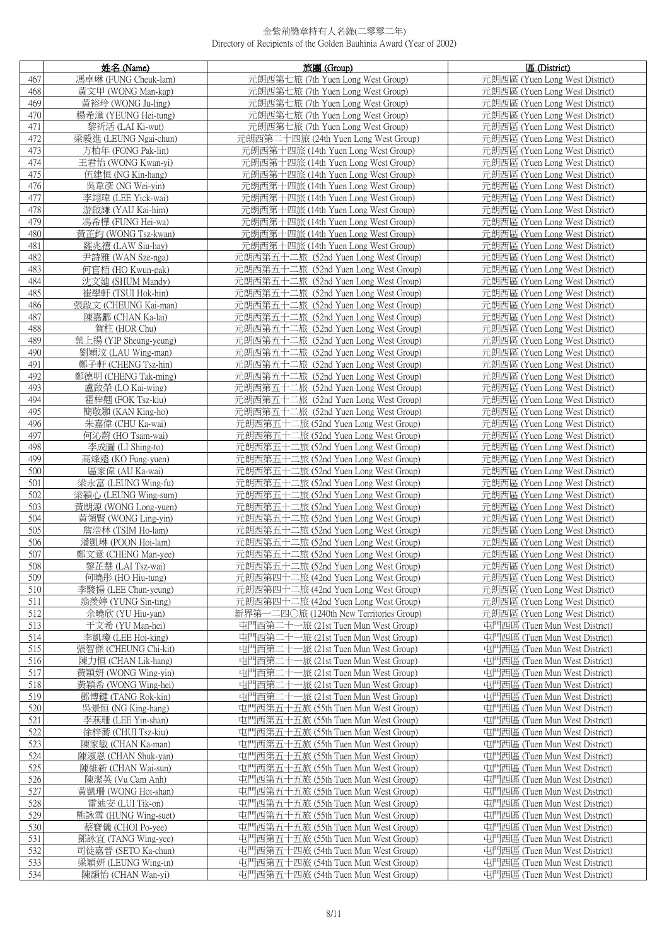|            | 姓名 (Name)                                   | 旅團 (Group)                                                                   | 區 (District)                                                     |
|------------|---------------------------------------------|------------------------------------------------------------------------------|------------------------------------------------------------------|
| 467        | 馮卓琳 (FUNG Cheuk-lam)                        | 元朗西第七旅 (7th Yuen Long West Group)                                            | 元朗西區 (Yuen Long West District)                                   |
| 468        | 黃文甲 (WONG Man-kap)                          | 元朗西第七旅 (7th Yuen Long West Group)                                            | 元朗西區 (Yuen Long West District)                                   |
| 469        | 黃裕玲 (WONG Ju-ling)                          | 元朗西第七旅 (7th Yuen Long West Group)                                            | 元朗西區 (Yuen Long West District)                                   |
| 470        | 楊希潼 (YEUNG Hei-tung)                        | 元朗西第七旅 (7th Yuen Long West Group)                                            | 元朗西區 (Yuen Long West District)                                   |
| 471        | 黎祈活 (LAI Ki-wut)                            | 元朗西第七旅 (7th Yuen Long West Group)                                            | 元朗西區 (Yuen Long West District)                                   |
| 472        | 梁毅進 (LEUNG Ngai-chun)                       | 元朗西第二十四旅 (24th Yuen Long West Group)                                         | 元朗西區 (Yuen Long West District)                                   |
| 473        | 方柏年 (FONG Pak-lin)                          | 元朗西第十四旅 (14th Yuen Long West Group)                                          | 元朗西區 (Yuen Long West District)                                   |
| 474        | 王君怡 (WONG Kwan-vi)                          | 元朗西第十四旅 (14th Yuen Long West Group)                                          | 元朗西區 (Yuen Long West District)                                   |
| 475        | 伍建恒 (NG Kin-hang)                           | 元朗西第十四旅 (14th Yuen Long West Group)                                          | 元朗西區 (Yuen Long West District)                                   |
| 476        | 吳韋彥 (NG Wei-yin)                            | 元朗西第十四旅 (14th Yuen Long West Group)                                          | 元朗西區 (Yuen Long West District)                                   |
| 477        | 李翊瑋 (LEE Yick-wai)                          | 元朗西第十四旅 (14th Yuen Long West Group)                                          | 元朗西區 (Yuen Long West District)                                   |
| 478        | 游啟謙 (YAU Kai-him)                           | 元朗西第十四旅 (14th Yuen Long West Group)                                          | 元朗西區 (Yuen Long West District)                                   |
| 479        | 馮希樺 (FUNG Hei-wa)                           | 元朗西第十四旅 (14th Yuen Long West Group)                                          | 元朗西區 (Yuen Long West District)                                   |
| 480        | 黃芷鈞 (WONG Tsz-kwan)                         | 元朗西第十四旅 (14th Yuen Long West Group)                                          | 元朗西區 (Yuen Long West District)                                   |
| 481<br>482 | 羅兆禧 (LAW Siu-hay)<br>尹詩雅 (WAN Sze-nga)      | 元朗西第十四旅 (14th Yuen Long West Group)<br>元朗西第五十二旅 (52nd Yuen Long West Group)  | 元朗西區 (Yuen Long West District)<br>元朗西區 (Yuen Long West District) |
| 483        |                                             | 元朗西第五十二旅 (52nd Yuen Long West Group)                                         | 元朗西區 (Yuen Long West District)                                   |
| 484        | 何官栢 (HO Kwun-pak)<br>沈文廸 (SHUM Mandy)       | 元朗西第五十二旅 (52nd Yuen Long West Group)                                         | 元朗西區 (Yuen Long West District)                                   |
| 485        | 崔學軒 (TSUI Hok-hin)                          | 元朗西第五十二旅 (52nd Yuen Long West Group)                                         | 元朗西區 (Yuen Long West District)                                   |
| 486        | 張啟文 (CHEUNG Kai-man)                        | 元朗西第五十二旅 (52nd Yuen Long West Group)                                         | 元朗西區 (Yuen Long West District)                                   |
| 487        | 陳嘉酈 (CHAN Ka-lai)                           | 元朗西第五十二旅 (52nd Yuen Long West Group)                                         | 元朗西區 (Yuen Long West District)                                   |
| 488        | 賀柱 (HOR Chu)                                | 元朗西第五十二旅 (52nd Yuen Long West Group)                                         | 元朗西區 (Yuen Long West District)                                   |
| 489        | 葉上揚 (YIP Sheung-yeung)                      | 元朗西第五十二旅 (52nd Yuen Long West Group)                                         | 元朗西區 (Yuen Long West District)                                   |
| 490        | 劉穎汶 (LAU Wing-man)                          | 元朗西第五十二旅 (52nd Yuen Long West Group)                                         | 元朗西區 (Yuen Long West District)                                   |
| 491        | 鄭子軒 (CHENG Tsz-hin)                         | 元朗西第五十二旅 (52nd Yuen Long West Group)                                         | 元朗西區 (Yuen Long West District)                                   |
| 492        | 鄭德明 (CHENG Tak-ming)                        | 元朗西第五十二旅 (52nd Yuen Long West Group)                                         | 元朗西區 (Yuen Long West District)                                   |
| 493        | 盧啟榮 (LO Kai-wing)                           | 元朗西第五十二旅 (52nd Yuen Long West Group)                                         | 元朗西區 (Yuen Long West District)                                   |
| 494        | 霍梓翹 (FOK Tsz-kiu)                           | 元朗西第五十二旅 (52nd Yuen Long West Group)                                         | 元朗西區 (Yuen Long West District)                                   |
| 495        | 簡敬灝 (KAN King-ho)                           | 元朗西第五十二旅 (52nd Yuen Long West Group)                                         | 元朗西區 (Yuen Long West District)                                   |
| 496        | 朱嘉偉 (CHU Ka-wai)                            | 元朗西第五十二旅 (52nd Yuen Long West Group)                                         | 元朗西區 (Yuen Long West District)                                   |
| 497        | 何沁蔚 (HO Tsam-wai)                           | 元朗西第五十二旅 (52nd Yuen Long West Group)                                         | 元朗西區 (Yuen Long West District)                                   |
| 498        | 李成圖 (LI Shing-to)                           | 元朗西第五十二旅 (52nd Yuen Long West Group)                                         | 元朗西區 (Yuen Long West District)                                   |
| 499        | 高烽遠 (KO Fung-yuen)                          | 元朗西第五十二旅 (52nd Yuen Long West Group)                                         | 元朗西區 (Yuen Long West District)                                   |
| 500<br>501 | 區家偉 (AU Ka-wai)                             | 元朗西第五十二旅 (52nd Yuen Long West Group)                                         | 元朗西區 (Yuen Long West District)                                   |
| 502        | 梁永富 (LEUNG Wing-fu)<br>梁穎心 (LEUNG Wing-sum) | 元朗西第五十二旅 (52nd Yuen Long West Group)<br>元朗西第五十二旅 (52nd Yuen Long West Group) | 元朗西區 (Yuen Long West District)<br>元朗西區 (Yuen Long West District) |
| 503        | 黃朗源 (WONG Long-yuen)                        | 元朗西第五十二旅 (52nd Yuen Long West Group)                                         | 元朗西區 (Yuen Long West District)                                   |
| 504        | 黃領賢 (WONG Ling-yin)                         | 元朗西第五十二旅 (52nd Yuen Long West Group)                                         | 元朗西區 (Yuen Long West District)                                   |
| 505        | 詹浩林 (TSIM Ho-lam)                           | 元朗西第五十二旅 (52nd Yuen Long West Group)                                         | 元朗西區 (Yuen Long West District)                                   |
| 506        | 潘凱琳 (POON Hoi-lam)                          | 元朗西第五十二旅 (52nd Yuen Long West Group)                                         | 元朗西區 (Yuen Long West District)                                   |
| 507        | 鄭文意 (CHENG Man-yee)                         | 元朗西第五十二旅 (52nd Yuen Long West Group)                                         | 元朗西區 (Yuen Long West District)                                   |
| 508        | 黎芷慧 (LAI Tsz-wai)                           | 元朗西第五十二旅 (52nd Yuen Long West Group)                                         | 元朗西區 (Yuen Long West District)                                   |
| 509        | 何曉彤 (HO Hiu-tung)                           | 元朗西第四十二旅 (42nd Yuen Long West Group)                                         | 元朗西區 (Yuen Long West District)                                   |
| 510        | 李駿揚 (LEE Chun-yeung)                        | 元朗西第四十二旅 (42nd Yuen Long West Group)                                         | 元朗西區 (Yuen Long West District)                                   |
| 511        | 翁羡婷 (YUNG Sin-ting)                         | 元朗西第四十二旅 (42nd Yuen Long West Group)                                         | 元朗西區 (Yuen Long West District)                                   |
| 512        | 余曉欣 (YU Hiu-yan)                            | 新界第一二四○旅 (1240th New Territories Group)                                      | 元朗西區 (Yuen Long West District)                                   |
| 513        | 于文希 (YU Man-hei)                            | 屯門西第二十一旅 (21st Tuen Mun West Group)                                          | 屯門西區 (Tuen Mun West District)                                    |
| 514        | 李凱瓊 (LEE Hoi-king)                          | 屯門西第二十一旅 (21st Tuen Mun West Group)                                          | 屯門西區 (Tuen Mun West District)                                    |
| 515        | 張智傑 (CHEUNG Chi-kit)                        | 屯門西第二十一旅 (21st Tuen Mun West Group)                                          | 屯門西區 (Tuen Mun West District)                                    |
| 516<br>517 | 陳力恒 (CHAN Lik-hang)                         | 屯門西第二十一旅 (21st Tuen Mun West Group)<br>屯門西第二十                                | 屯門西區 (Tuen Mun West District)                                    |
| 518        | 黃穎妍 (WONG Wing-yin)<br>黃穎希 (WONG Wing-hei)  | -旅 (21st Tuen Mun West Group)<br>屯門西第二十<br>一旅 (21st Tuen Mun West Group)     | 屯門西區 (Tuen Mun West District)<br>屯門西區 (Tuen Mun West District)   |
| 519        | 鄧博鍵 (TANG Rok-kin)                          | 屯門西第二十<br>一旅 (21st Tuen Mun West Group)                                      | 屯門西區 (Tuen Mun West District)                                    |
| 520        | 吳景恒 (NG King-hang)                          | 屯門西第五十五旅 (55th Tuen Mun West Group)                                          | 屯門西區 (Tuen Mun West District)                                    |
| 521        | 李燕珊 (LEE Yin-shan)                          | 屯門西第五十五旅 (55th Tuen Mun West Group)                                          | 屯門西區 (Tuen Mun West District)                                    |
| 522        | 徐梓蕎 (CHUI Tsz-kiu)                          | 屯門西第五十五旅 (55th Tuen Mun West Group)                                          | 屯門西區 (Tuen Mun West District)                                    |
| 523        | 陳家敏 (CHAN Ka-man)                           | 屯門西第五十五旅 (55th Tuen Mun West Group)                                          | 屯門西區 (Tuen Mun West District)                                    |
| 524        | 陳淑恩 (CHAN Shuk-yan)                         | 屯門西第五十五旅 (55th Tuen Mun West Group)                                          | 屯門西區 (Tuen Mun West District)                                    |
| 525        | 陳維新 (CHAN Wai-sun)                          | 屯門西第五十五旅 (55th Tuen Mun West Group)                                          | 屯門西區 (Tuen Mun West District)                                    |
| 526        | 陳潔英 (Vu Cam Anh)                            | 屯門西第五十五旅 (55th Tuen Mun West Group)                                          | 屯門西區 (Tuen Mun West District)                                    |
| 527        | 黃凱珊 (WONG Hoi-shan)                         | 屯門西第五十五旅 (55th Tuen Mun West Group)                                          | 屯門西區 (Tuen Mun West District)                                    |
| 528        | 雷迪安 (LUI Tik-on)                            | 屯門西第五十五旅 (55th Tuen Mun West Group)                                          | 屯門西區 (Tuen Mun West District)                                    |
| 529        | 熊詠雪 (HUNG Wing-suet)                        | 屯門西第五十五旅 (55th Tuen Mun West Group)                                          | 屯門西區 (Tuen Mun West District)                                    |
| 530        | 蔡寶儀 (CHOI Po-yee)                           | 屯門西第五十五旅 (55th Tuen Mun West Group)                                          | 屯門西區 (Tuen Mun West District)                                    |
| 531        | 鄧詠宜 (TANG Wing-yee)                         | 屯門西第五十五旅 (55th Tuen Mun West Group)                                          | 屯門西區 (Tuen Mun West District)                                    |
| 532<br>533 | 司徒嘉晉 (SETO Ka-chun)<br>梁穎妍 (LEUNG Wing-in)  | 屯門西第五十四旅 (54th Tuen Mun West Group)<br>屯門西第五十四旅 (54th Tuen Mun West Group)   | 屯門西區 (Tuen Mun West District)<br>屯門西區 (Tuen Mun West District)   |
| 534        | 陳韻怡 (CHAN Wan-yi)                           | 屯門西第五十四旅 (54th Tuen Mun West Group)                                          | 屯門西區 (Tuen Mun West District)                                    |
|            |                                             |                                                                              |                                                                  |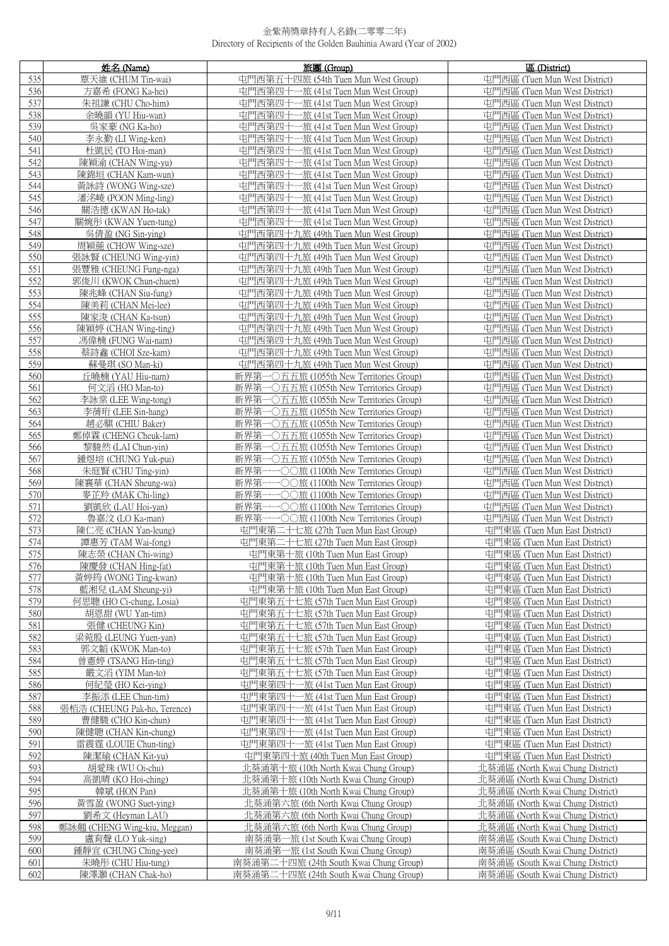|            | 姓名 (Name)                                 | 旅團 (Group)                                                                                   | 區 (District)                                                   |
|------------|-------------------------------------------|----------------------------------------------------------------------------------------------|----------------------------------------------------------------|
| 535        | 覃天維 (CHUM Tin-wai)                        | 屯門西第五十四旅 (54th Tuen Mun West Group)                                                          | 屯門西區 (Tuen Mun West District)                                  |
| 536        | 方嘉希 (FONG Ka-hei)                         | 屯門西第四十一旅 (41st Tuen Mun West Group)                                                          | 屯門西區 (Tuen Mun West District)                                  |
| 537        | 朱祖謙 (CHU Cho-him)                         | 屯門西第四十一旅 (41st Tuen Mun West Group)                                                          | 屯門西區 (Tuen Mun West District)                                  |
| 538        | 余曉韻 (YU Hiu-wan)                          | 屯門西第四十一旅 (41st Tuen Mun West Group)                                                          | 屯門西區 (Tuen Mun West District)                                  |
| 539        | 吳家豪 (NG Ka-ho)                            | 屯門西第四十-<br>-旅 (41st Tuen Mun West Group)                                                     | 屯門西區 (Tuen Mun West District)                                  |
| 540        | 李永勤 (LI Wing-ken)                         | 屯門西第四十一旅 (41st Tuen Mun West Group)                                                          | 屯門西區 (Tuen Mun West District)                                  |
| 541        | 杜凱民 (TO Hoi-man)                          | 屯門西第四十一旅 (41st Tuen Mun West Group)                                                          | 屯門西區 (Tuen Mun West District)                                  |
| 542        | 陳穎渝 (CHAN Wing-yu)                        | 屯門西第四十一旅 (41st Tuen Mun West Group)                                                          | 屯門西區 (Tuen Mun West District)                                  |
| 543        | 陳錦垣 (CHAN Kam-wun)                        | 屯門西第四十一旅 (41st Tuen Mun West Group)                                                          | 屯門西區 (Tuen Mun West District)                                  |
| 544        | 黃詠詩 (WONG Wing-sze)                       | 屯門西第四十一旅 (41st Tuen Mun West Group)                                                          | 屯門西區 (Tuen Mun West District)                                  |
| 545        | 潘洺崚 (POON Ming-ling)                      | 屯門西第四十一旅 (41st Tuen Mun West Group)                                                          | 屯門西區 (Tuen Mun West District)                                  |
| 546        | 關浩德 (KWAN Ho-tak)                         | 屯門西第四十一旅 (41st Tuen Mun West Group)                                                          | 屯門西區 (Tuen Mun West District)                                  |
| 547        | 關婉彤 (KWAN Yuen-tung)                      | 屯門西第四十一旅 (41st Tuen Mun West Group)                                                          | 屯門西區 (Tuen Mun West District)                                  |
| 548        | 吳倩盈 (NG Sin-ying)                         | 屯門西第四十九旅 (49th Tuen Mun West Group)                                                          | 屯門西區 (Tuen Mun West District)                                  |
| 549        | 周穎葹 (CHOW Wing-sze)                       | 屯門西第四十九旅 (49th Tuen Mun West Group)                                                          | 屯門西區 (Tuen Mun West District)                                  |
| 550        | 張詠賢 (CHEUNG Wing-yin)                     | 屯門西第四十九旅 (49th Tuen Mun West Group)                                                          | 屯門西區 (Tuen Mun West District)                                  |
| 551<br>552 | 張豐雅 (CHEUNG Fung-nga)                     | 屯門西第四十九旅 (49th Tuen Mun West Group)                                                          | 屯門西區 (Tuen Mun West District)<br>屯門西區 (Tuen Mun West District) |
| 553        | 郭俊川 (KWOK Chun-chuen)                     | 屯門西第四十九旅 (49th Tuen Mun West Group)                                                          | 屯門西區 (Tuen Mun West District)                                  |
| 554        | 陳兆峰 (CHAN Siu-fung)<br>陳美莉 (CHAN Mei-lee) | 屯門西第四十九旅 (49th Tuen Mun West Group)<br>屯門西第四十九旅 (49th Tuen Mun West Group)                   | 屯門西區 (Tuen Mun West District)                                  |
| 555        | 陳家浚 (CHAN Ka-tsun)                        | 屯門西第四十九旅 (49th Tuen Mun West Group)                                                          | 屯門西區 (Tuen Mun West District)                                  |
| 556        | 陳穎婷 (CHAN Wing-ting)                      | 屯門西第四十九旅 (49th Tuen Mun West Group)                                                          | 屯門西區 (Tuen Mun West District)                                  |
| 557        | 馮偉楠 (FUNG Wai-nam)                        | 屯門西第四十九旅 (49th Tuen Mun West Group)                                                          | 屯門西區 (Tuen Mun West District)                                  |
| 558        | 蔡詩鑫 (CHOI Sze-kam)                        | 屯門西第四十九旅 (49th Tuen Mun West Group)                                                          | 屯門西區 (Tuen Mun West District)                                  |
| 559        | 蘇曼琪 (SO Man-ki)                           | 屯門西第四十九旅 (49th Tuen Mun West Group)                                                          | 屯門西區 (Tuen Mun West District)                                  |
| 560        | 丘曉楠 (YAU Hiu-nam)                         | 新界第-<br>−○五五旅 (1055th New Territories Group)                                                 | 屯門西區 (Tuen Mun West District)                                  |
| 561        | 何文滔 (HO Man-to)                           | 新界第<br>一〇五五旅 (1055th New Territories Group)                                                  | 屯門西區 (Tuen Mun West District)                                  |
| 562        | 李詠棠 (LEE Wing-tong)                       | 新界第<br>-〇五五旅 (1055th New Territories Group)                                                  | 屯門西區 (Tuen Mun West District)                                  |
| 563        | 李蒨珩 (LEE Sin-hang)                        | 新界第一〇五五旅 (1055th New Territories Group)                                                      | 屯門西區 (Tuen Mun West District)                                  |
| 564        | 趙必騏 (CHIU Baker)                          | 新界第<br>一〇五五旅 (1055th New Territories Group)                                                  | 屯門西區 (Tuen Mun West District)                                  |
| 565        | 鄭倬霖 (CHENG Cheuk-lam)                     | 新界第-<br>一〇五五旅 (1055th New Territories Group)                                                 | 屯門西區 (Tuen Mun West District)                                  |
| 566        | 黎駿然 (LAI Chun-yin)                        | 新界第<br>一〇五五旅 (1055th New Territories Group)                                                  | 屯門西區 (Tuen Mun West District)                                  |
| 567        | 鍾煜培 (CHUNG Yuk-pui)                       | 新界第-<br>$\neg$ ○五五旅 (1055th New Territories Group)                                           | 屯門西區 (Tuen Mun West District)                                  |
| 568        | 朱庭賢 (CHU Ting-yin)                        | 新界第<br>−−○○旅 (1100th New Territories Group)                                                  | 屯門西區 (Tuen Mun West District)                                  |
| 569        | 陳襄華 (CHAN Sheung-wa)                      | 新界第<br>−○○旅 (1100th New Territories Group)                                                   | 屯門西區 (Tuen Mun West District)                                  |
| 570<br>571 | 麥芷羚 (MAK Chi-ling)<br>劉凱欣 (LAU Hoi-yan)   | 新界第<br>−○○旅 (1100th New Territories Group)<br>新界第                                            | 屯門西區 (Tuen Mun West District)<br>屯門西區 (Tuen Mun West District) |
| 572        | 魯嘉汶 (LO Ka-man)                           | −○○旅 (1100th New Territories Group)<br>新界第<br>$-\bigcirc$ O 旅 (1100th New Territories Group) | 屯門西區 (Tuen Mun West District)                                  |
| 573        | 陳仁亮 (CHAN Yan-leung)                      | 屯門東第二十七旅 (27th Tuen Mun East Group)                                                          | 屯門東區 (Tuen Mun East District)                                  |
| 574        | 譚惠芳 (TAM Wai-fong)                        | 屯門東第二十七旅 (27th Tuen Mun East Group)                                                          | 屯門東區 (Tuen Mun East District)                                  |
| 575        | 陳志榮 (CHAN Chi-wing)                       | 屯門東第十旅 (10th Tuen Mun East Group)                                                            | 屯門東區 (Tuen Mun East District)                                  |
| 576        | 陳慶發 (CHAN Hing-fat)                       | 屯門東第十旅 (10th Tuen Mun East Group)                                                            | 屯門東區 (Tuen Mun East District)                                  |
| 577        | 黃婷筠 (WONG Ting-kwan)                      | 屯門東第十旅 (10th Tuen Mun East Group)                                                            | 屯門東區 (Tuen Mun East District)                                  |
| 578        | 藍湘兒 (LAM Sheung-yi)                       | 屯門東第十旅 (10th Tuen Mun East Group)                                                            | 屯門東區 (Tuen Mun East District)                                  |
| 579        | 何思聰 (HO Ci-chung, Losia)                  | 屯門東第五十七旅 (57th Tuen Mun East Group)                                                          | 屯門東區 (Tuen Mun East District)                                  |
| 580        | 胡恩甜 (WU Yan-tim)                          | 屯門東第五十七旅 (57th Tuen Mun East Group)                                                          | 屯門東區 (Tuen Mun East District)                                  |
| 581        | 張健 (CHEUNG Kin)                           | 屯門東第五十七旅 (57th Tuen Mun East Group)                                                          | 屯門東區 (Tuen Mun East District)                                  |
| 582        | 梁菀殷 (LEUNG Yuen-yan)                      | 屯門東第五十七旅 (57th Tuen Mun East Group)                                                          | 屯門東區 (Tuen Mun East District)                                  |
| 583        | 郭文韜 (KWOK Man-to)                         | 屯門東第五十七旅 (57th Tuen Mun East Group)                                                          | 屯門東區 (Tuen Mun East District)                                  |
| 584        | 曾憲婷 (TSANG Hin-ting)                      | 屯門東第五十七旅 (57th Tuen Mun East Group)                                                          | 屯門東區 (Tuen Mun East District)                                  |
| 585        | 嚴文滔 (YIM Man-to)                          | 屯門東第五十七旅 (57th Tuen Mun East Group)                                                          | 屯門東區 (Tuen Mun East District)                                  |
| 586<br>587 | 何紀瑩 (HO Kei-ying)<br>李振添 (LEE Chun-tim)   | 屯門東第四十一旅 (41st Tuen Mun East Group)<br>屯門東第四十一旅 (41st Tuen Mun East Group)                   | 屯門東區 (Tuen Mun East District)<br>屯門東區 (Tuen Mun East District) |
| 588        | 張栢浩 (CHEUNG Pak-ho, Terence)              | 屯門東第四十一旅 (41st Tuen Mun East Group)                                                          | 屯門東區 (Tuen Mun East District)                                  |
| 589        | 曹健駿 (CHO Kin-chun)                        | 屯門東第四十一旅 (41st Tuen Mun East Group)                                                          | 屯門東區 (Tuen Mun East District)                                  |
| 590        | 陳健聰 (CHAN Kin-chung)                      | 屯門東第四十一旅 (41st Tuen Mun East Group)                                                          | 屯門東區 (Tuen Mun East District)                                  |
| 591        | 雷震霆 (LOUIE Chun-ting)                     | 屯門東第四十一旅 (41st Tuen Mun East Group)                                                          | 屯門東區 (Tuen Mun East District)                                  |
| 592        | 陳潔瑜 (CHAN Kit-yu)                         | 屯門東第四十旅 (40th Tuen Mun East Group)                                                           | 屯門東區 (Tuen Mun East District)                                  |
| 593        | 胡愛珠 (WU Oi-chu)                           | 北葵涌第十旅 (10th North Kwai Chung Group)                                                         | 北葵涌區 (North Kwai Chung District)                               |
| 594        | 高凱晴 (KO Hoi-ching)                        | 北葵涌第十旅 (10th North Kwai Chung Group)                                                         | 北葵涌區 (North Kwai Chung District)                               |
| 595        | 韓斌 (HON Pan)                              | 北葵涌第十旅 (10th North Kwai Chung Group)                                                         | 北葵涌區 (North Kwai Chung District)                               |
| 596        | 黃雪盈 (WONG Suet-ying)                      | 北葵涌第六旅 (6th North Kwai Chung Group)                                                          | 北葵涌區 (North Kwai Chung District)                               |
| 597        | 劉希文 (Heyman LAU)                          | 北葵涌第六旅 (6th North Kwai Chung Group)                                                          | 北葵涌區 (North Kwai Chung District)                               |
| 598        | 鄭詠翹 (CHENG Wing-kiu, Meggan)              | 北葵涌第六旅 (6th North Kwai Chung Group)                                                          | 北葵涌區 (North Kwai Chung District)                               |
| 599        | 盧育聲 (LO Yuk-sing)                         | 南葵涌第一旅 (1st South Kwai Chung Group)                                                          | 南葵涌區 (South Kwai Chung District)                               |
| 600        | 鍾靜宜 (CHUNG Ching-yee)                     | 南葵涌第一旅 (1st South Kwai Chung Group)                                                          | 南葵涌區 (South Kwai Chung District)                               |
| 601        | 朱曉彤 (CHU Hiu-tung)                        | 南葵涌第二十四旅 (24th South Kwai Chung Group)                                                       | 南葵涌區 (South Kwai Chung District)                               |
| 602        | 陳澤灝 (CHAN Chak-ho)                        | 南葵涌第二十四旅 (24th South Kwai Chung Group)                                                       | 南葵涌區 (South Kwai Chung District)                               |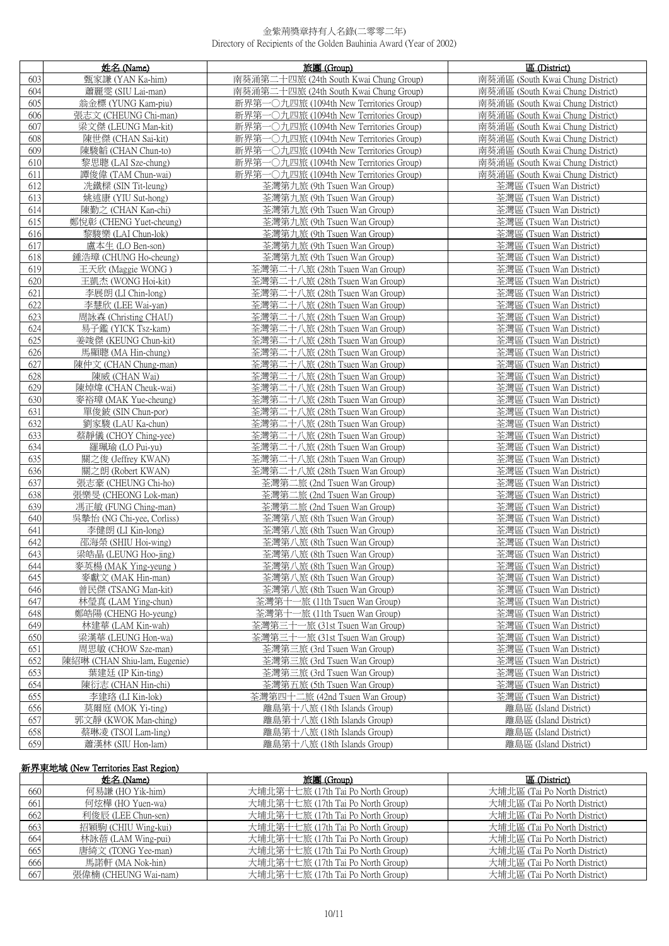|     | 姓名 (Name)                    | 旅團(Group)                               | 區 (District)                     |
|-----|------------------------------|-----------------------------------------|----------------------------------|
| 603 | 甄家謙 (YAN Ka-him)             | 南葵涌第二十四旅 (24th South Kwai Chung Group)  | 南葵涌區 (South Kwai Chung District) |
| 604 | 蕭麗雯 (SIU Lai-man)            | 南葵涌第二十四旅 (24th South Kwai Chung Group)  | 南葵涌區 (South Kwai Chung District) |
| 605 | 翁金標 (YUNG Kam-piu)           | 新界第一〇九四旅 (1094th New Territories Group) | 南葵涌區 (South Kwai Chung District) |
| 606 | 張志文 (CHEUNG Chi-man)         | 新界第一〇九四旅 (1094th New Territories Group) | 南葵涌區 (South Kwai Chung District) |
| 607 | 梁文傑 (LEUNG Man-kit)          | 新界第一〇九四旅 (1094th New Territories Group) | 南葵涌區 (South Kwai Chung District) |
| 608 | 陳世傑 (CHAN Sai-kit)           | 新界第一〇九四旅 (1094th New Territories Group) | 南葵涌區 (South Kwai Chung District) |
| 609 | 陳駿韜 (CHAN Chun-to)           | 新界第一〇九四旅 (1094th New Territories Group) | 南葵涌區 (South Kwai Chung District) |
| 610 | 黎思聰 (LAI Sze-chung)          | 新界第一〇九四旅 (1094th New Territories Group) | 南葵涌區 (South Kwai Chung District) |
| 611 | 譚俊偉 (TAM Chun-wai)           | 新界第一〇九四旅 (1094th New Territories Group) | 南葵涌區 (South Kwai Chung District) |
| 612 | 冼鐵樑 (SIN Tit-leung)          | 荃灣第九旅 (9th Tsuen Wan Group)             | 荃灣區 (Tsuen Wan District)         |
| 613 | 姚述康 (YIU Sut-hong)           | 荃灣第九旅 (9th Tsuen Wan Group)             | 荃灣區 (Tsuen Wan District)         |
| 614 | 陳勤之 (CHAN Kan-chi)           | 荃灣第九旅 (9th Tsuen Wan Group)             | 荃灣區 (Tsuen Wan District)         |
| 615 | 鄭悅彰 (CHENG Yuet-cheung)      | 荃灣第九旅 (9th Tsuen Wan Group)             | 荃灣區 (Tsuen Wan District)         |
| 616 | 黎駿樂 (LAI Chun-lok)           | 荃灣第九旅 (9th Tsuen Wan Group)             | 荃灣區 (Tsuen Wan District)         |
| 617 | 盧本生 (LO Ben-son)             | 荃灣第九旅 (9th Tsuen Wan Group)             | 荃灣區 (Tsuen Wan District)         |
| 618 | 鍾浩璋 (CHUNG Ho-cheung)        | 荃灣第九旅 (9th Tsuen Wan Group)             | 荃灣區 (Tsuen Wan District)         |
| 619 | 王天欣 (Maggie WONG)            | 荃灣第二十八旅 (28th Tsuen Wan Group)          | 荃灣區 (Tsuen Wan District)         |
| 620 | 王凱杰 (WONG Hoi-kit)           | 荃灣第二十八旅 (28th Tsuen Wan Group)          | 荃灣區 (Tsuen Wan District)         |
| 621 | 李展朗 (LI Chin-long)           | 荃灣第二十八旅 (28th Tsuen Wan Group)          | 荃灣區 (Tsuen Wan District)         |
| 622 | 李慧欣 (LEE Wai-yan)            | 荃灣第二十八旅 (28th Tsuen Wan Group)          | 荃灣區 (Tsuen Wan District)         |
| 623 | 周詠森 (Christing CHAU)         | 荃灣第二十八旅 (28th Tsuen Wan Group)          | 荃灣區 (Tsuen Wan District)         |
| 624 | 易子鑑 (YICK Tsz-kam)           | 荃灣第二十八旅 (28th Tsuen Wan Group)          | 荃灣區 (Tsuen Wan District)         |
| 625 | 姜竣傑 (KEUNG Chun-kit)         | 荃灣第二十八旅 (28th Tsuen Wan Group)          | 荃灣區 (Tsuen Wan District)         |
| 626 | 馬顯聰 (MA Hin-chung)           | 荃灣第二十八旅 (28th Tsuen Wan Group)          | 荃灣區 (Tsuen Wan District)         |
| 627 | 陳仲文 (CHAN Chung-man)         | 荃灣第二十八旅 (28th Tsuen Wan Group)          | 荃灣區 (Tsuen Wan District)         |
| 628 | 陳威 (CHAN Wai)                | 荃灣第二十八旅 (28th Tsuen Wan Group)          | 荃灣區 (Tsuen Wan District)         |
| 629 | 陳焯煒 (CHAN Cheuk-wai)         | 荃灣第二十八旅 (28th Tsuen Wan Group)          | 荃灣區 (Tsuen Wan District)         |
| 630 | 麥裕璋 (MAK Yue-cheung)         | 荃灣第二十八旅 (28th Tsuen Wan Group)          | 荃灣區 (Tsuen Wan District)         |
| 631 | 單俊鈹 (SIN Chun-por)           | 荃灣第二十八旅 (28th Tsuen Wan Group)          | 荃灣區 (Tsuen Wan District)         |
| 632 | 劉家駿 (LAU Ka-chun)            | 荃灣第二十八旅 (28th Tsuen Wan Group)          | 荃灣區 (Tsuen Wan District)         |
| 633 | 蔡靜儀 (CHOY Ching-yee)         | 荃灣第二十八旅 (28th Tsuen Wan Group)          | 荃灣區 (Tsuen Wan District)         |
| 634 | 羅珮瑜 (LO Pui-yu)              | 荃灣第二十八旅 (28th Tsuen Wan Group)          | 荃灣區 (Tsuen Wan District)         |
| 635 | 關之俊 (Jeffrey KWAN)           | 荃灣第二十八旅 (28th Tsuen Wan Group)          | 荃灣區 (Tsuen Wan District)         |
| 636 | 關之朗 (Robert KWAN)            | 荃灣第二十八旅 (28th Tsuen Wan Group)          | 荃灣區 (Tsuen Wan District)         |
| 637 | 張志豪 (CHEUNG Chi-ho)          | 荃灣第二旅 (2nd Tsuen Wan Group)             | 荃灣區 (Tsuen Wan District)         |
| 638 | 張樂旻 (CHEONG Lok-man)         | 荃灣第二旅 (2nd Tsuen Wan Group)             | 荃灣區 (Tsuen Wan District)         |
| 639 | 馮正敏 (FUNG Ching-man)         | 荃灣第二旅 (2nd Tsuen Wan Group)             | 荃灣區 (Tsuen Wan District)         |
| 640 | 吳摯怡 (NG Chi-yee, Corliss)    | 荃灣第八旅 (8th Tsuen Wan Group)             | 荃灣區 (Tsuen Wan District)         |
| 641 | 李健朗 (LI Kin-long)            | 荃灣第八旅 (8th Tsuen Wan Group)             | 荃灣區 (Tsuen Wan District)         |
| 642 | 邵海榮 (SHIU Hoi-wing)          | 荃灣第八旅 (8th Tsuen Wan Group)             | 荃灣區 (Tsuen Wan District)         |
| 643 | 梁皓晶 (LEUNG Hoo-jing)         | 荃灣第八旅 (8th Tsuen Wan Group)             | 荃灣區 (Tsuen Wan District)         |
| 644 | 麥英楊 (MAK Ying-yeung)         | 荃灣第八旅 (8th Tsuen Wan Group)             | 荃灣區 (Tsuen Wan District)         |
| 645 | 麥獻文 (MAK Hin-man)            | 荃灣第八旅 (8th Tsuen Wan Group)             | 荃灣區 (Tsuen Wan District)         |
| 646 | 曾民傑 (TSANG Man-kit)          | 荃灣第八旅 (8th Tsuen Wan Group)             | 荃灣區 (Tsuen Wan District)         |
| 647 | 林瑩真 (LAM Ying-chun)          | 荃灣第十一旅 (11th Tsuen Wan Group)           | 荃灣區 (Tsuen Wan District)         |
| 648 | 鄭皓陽 (CHENG Ho-yeung)         | 荃灣第十一旅 (11th Tsuen Wan Group)           | 荃灣區 (Tsuen Wan District)         |
| 649 | 林建華 (LAM Kin-wah)            | 荃灣第三十一旅 (31st Tsuen Wan Group)          | 荃灣區 (Tsuen Wan District)         |
| 650 | 梁漢華 (LEUNG Hon-wa)           | 荃灣第三十一旅 (31st Tsuen Wan Group)          | 荃灣區 (Tsuen Wan District)         |
| 651 | 周思敏 (CHOW Sze-man)           | 荃灣第三旅 (3rd Tsuen Wan Group)             | 荃灣區 (Tsuen Wan District)         |
| 652 | 陳紹琳 (CHAN Shiu-lam, Eugenie) | 荃灣第三旅 (3rd Tsuen Wan Group)             | 荃灣區 (Tsuen Wan District)         |
| 653 | 葉建廷 (IP Kin-ting)            | 荃灣第三旅 (3rd Tsuen Wan Group)             | 荃灣區 (Tsuen Wan District)         |
| 654 | 陳衍志 (CHAN Hin-chi)           | 荃灣第五旅 (5th Tsuen Wan Group)             | 荃灣區 (Tsuen Wan District)         |
| 655 | 李建珞 (LI Kin-lok)             | 荃灣第四十二旅 (42nd Tsuen Wan Group)          | 荃灣區 (Tsuen Wan District)         |
| 656 | 莫爾庭 (MOK Yi-ting)            | 離島第十八旅 (18th Islands Group)             | 離島區 (Island District)            |
| 657 | 郭文靜 (KWOK Man-ching)         | 離島第十八旅 (18th Islands Group)             | 離島區 (Island District)            |
| 658 | 蔡琳凌 (TSOI Lam-ling)          | 離島第十八旅 (18th Islands Group)             | 離島區 (Island District)            |
| 659 | 蕭漢林 (SIU Hon-lam)            | 離島第十八旅 (18th Islands Group)             | 離島區 (Island District)            |

## 新界東地域 (New Territories East Region)

|     | 姓名 (Name)            | 旅團 (Group)                        | 區 (District)                 |
|-----|----------------------|-----------------------------------|------------------------------|
| 660 | 何易謙 (HO Yik-him)     | 大埔北第十七旅 (17th Tai Po North Group) | 大埔北區 (Tai Po North District) |
| 661 | 何炫樺 (HO Yuen-wa)     | 大埔北第十七旅 (17th Tai Po North Group) | 大埔北區 (Tai Po North District) |
| 662 | 利俊辰 (LEE Chun-sen)   | 大埔北第十七旅 (17th Tai Po North Group) | 大埔北區 (Tai Po North District) |
| 663 | 招穎駒 (CHIU Wing-kui)  | 大埔北第十七旅 (17th Tai Po North Group) | 大埔北區 (Tai Po North District) |
| 664 | 林詠蓓 (LAM Wing-pui)   | 大埔北第十七旅 (17th Tai Po North Group) | 大埔北區 (Tai Po North District) |
| 665 | 唐綺文 (TONG Yee-man)   | 大埔北第十七旅 (17th Tai Po North Group) | 大埔北區 (Tai Po North District) |
| 666 | 馬諾軒 (MA Nok-hin)     | 大埔北第十七旅 (17th Tai Po North Group) | 大埔北區 (Tai Po North District) |
| 667 | 張偉楠 (CHEUNG Wai-nam) | 大埔北第十七旅 (17th Tai Po North Group) | 大埔北區 (Tai Po North District) |